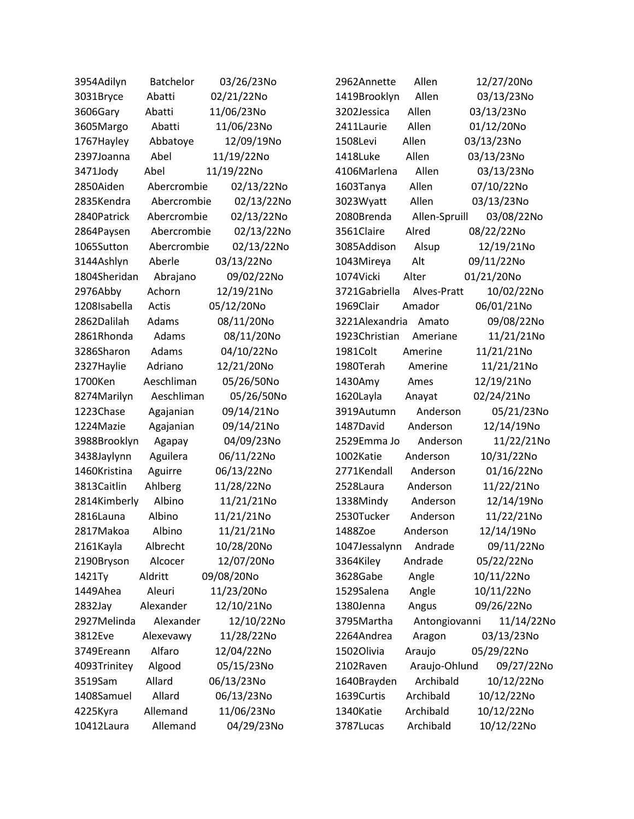| 3954Adilyn   | <b>Batchelor</b> | 03/26/23No | 2962Annette    | Allen         | 12/27/20No |
|--------------|------------------|------------|----------------|---------------|------------|
| 3031Bryce    | Abatti           | 02/21/22No | 1419Brooklyn   | Allen         | 03/13/23No |
| 3606Gary     | Abatti           | 11/06/23No | 3202Jessica    | Allen         | 03/13/23No |
| 3605Margo    | Abatti           | 11/06/23No | 2411Laurie     | Allen         | 01/12/20No |
| 1767Hayley   | Abbatoye         | 12/09/19No | 1508Levi       | Allen         | 03/13/23No |
| 2397Joanna   | Abel             | 11/19/22No | 1418Luke       | Allen         | 03/13/23No |
| 3471Jody     | Abel             | 11/19/22No | 4106Marlena    | Allen         | 03/13/23No |
| 2850Aiden    | Abercrombie      | 02/13/22No | 1603Tanya      | Allen         | 07/10/22No |
| 2835Kendra   | Abercrombie      | 02/13/22No | 3023Wyatt      | Allen         | 03/13/23No |
| 2840Patrick  | Abercrombie      | 02/13/22No | 2080Brenda     | Allen-Spruill | 03/08/22No |
| 2864Paysen   | Abercrombie      | 02/13/22No | 3561Claire     | Alred         | 08/22/22No |
| 1065Sutton   | Abercrombie      | 02/13/22No | 3085Addison    | Alsup         | 12/19/21No |
| 3144Ashlyn   | Aberle           | 03/13/22No | 1043Mireya     | Alt           | 09/11/22No |
| 1804Sheridan | Abrajano         | 09/02/22No | 1074Vicki      | Alter         | 01/21/20No |
| 2976Abby     | Achorn           | 12/19/21No | 3721Gabriella  | Alves-Pratt   | 10/02/22No |
| 1208Isabella | Actis            | 05/12/20No | 1969Clair      | Amador        | 06/01/21No |
| 2862Dalilah  | Adams            | 08/11/20No | 3221Alexandria | Amato         | 09/08/22No |
| 2861Rhonda   | Adams            | 08/11/20No | 1923Christian  | Ameriane      | 11/21/21No |
| 3286Sharon   | Adams            | 04/10/22No | 1981Colt       | Amerine       | 11/21/21No |
| 2327Haylie   | Adriano          | 12/21/20No | 1980Terah      | Amerine       | 11/21/21No |
| 1700Ken      | Aeschliman       | 05/26/50No | 1430Amy        | Ames          | 12/19/21No |
| 8274Marilyn  | Aeschliman       | 05/26/50No | 1620Layla      | Anayat        | 02/24/21No |
| 1223Chase    | Agajanian        | 09/14/21No | 3919Autumn     | Anderson      | 05/21/23No |
| 1224Mazie    | Agajanian        | 09/14/21No | 1487David      | Anderson      | 12/14/19No |
| 3988Brooklyn | Agapay           | 04/09/23No | 2529Emma Jo    | Anderson      | 11/22/21No |
| 3438Jaylynn  | Aguilera         | 06/11/22No | 1002Katie      | Anderson      | 10/31/22No |
| 1460Kristina | Aguirre          | 06/13/22No | 2771Kendall    | Anderson      | 01/16/22No |
| 3813Caitlin  | Ahlberg          | 11/28/22No | 2528Laura      | Anderson      | 11/22/21No |
| 2814Kimberly | Albino           | 11/21/21No | 1338Mindy      | Anderson      | 12/14/19No |
| 2816Launa    | Albino           | 11/21/21No | 2530Tucker     | Anderson      | 11/22/21No |
| 2817Makoa    | Albino           | 11/21/21No | 1488Zoe        | Anderson      | 12/14/19No |
| 2161Kayla    | Albrecht         | 10/28/20No | 1047Jessalynn  | Andrade       | 09/11/22No |
| 2190Bryson   | Alcocer          | 12/07/20No | 3364Kiley      | Andrade       | 05/22/22No |
| 1421Ty       | Aldritt          | 09/08/20No | 3628Gabe       | Angle         | 10/11/22No |
| 1449Ahea     | Aleuri           | 11/23/20No | 1529Salena     | Angle         | 10/11/22No |
| 2832Jay      | Alexander        | 12/10/21No | 1380Jenna      | Angus         | 09/26/22No |
| 2927Melinda  | Alexander        | 12/10/22No | 3795Martha     | Antongiovanni | 11/14/22No |
| 3812Eve      | Alexevawy        | 11/28/22No | 2264Andrea     | Aragon        | 03/13/23No |
| 3749Ereann   | Alfaro           | 12/04/22No | 1502Olivia     | Araujo        | 05/29/22No |
| 4093Trinitey | Algood           | 05/15/23No | 2102Raven      | Araujo-Ohlund | 09/27/22No |
| 3519Sam      | Allard           | 06/13/23No | 1640Brayden    | Archibald     | 10/12/22No |
| 1408Samuel   | Allard           | 06/13/23No | 1639Curtis     | Archibald     | 10/12/22No |
| 4225Kyra     | Allemand         | 11/06/23No | 1340Katie      | Archibald     | 10/12/22No |
| 10412Laura   | Allemand         | 04/29/23No | 3787Lucas      | Archibald     | 10/12/22No |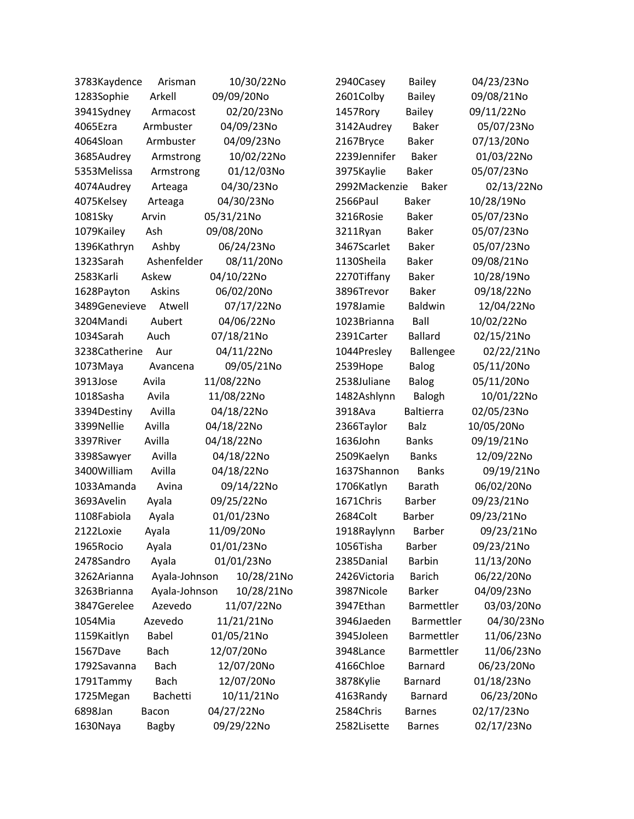| 3783Kaydence  | Arisman       | 10/30/22No | 2940Casey     | <b>Bailey</b>    | 04/23/23No |
|---------------|---------------|------------|---------------|------------------|------------|
| 1283Sophie    | Arkell        | 09/09/20No | 2601Colby     | <b>Bailey</b>    | 09/08/21No |
| 3941Sydney    | Armacost      | 02/20/23No | 1457Rory      | <b>Bailey</b>    | 09/11/22No |
| 4065Ezra      | Armbuster     | 04/09/23No | 3142Audrey    | <b>Baker</b>     | 05/07/23No |
| 4064Sloan     | Armbuster     | 04/09/23No | 2167Bryce     | <b>Baker</b>     | 07/13/20No |
| 3685Audrey    | Armstrong     | 10/02/22No | 2239Jennifer  | <b>Baker</b>     | 01/03/22No |
| 5353Melissa   | Armstrong     | 01/12/03No | 3975Kaylie    | <b>Baker</b>     | 05/07/23No |
| 4074Audrey    | Arteaga       | 04/30/23No | 2992Mackenzie | <b>Baker</b>     | 02/13/22No |
| 4075Kelsey    | Arteaga       | 04/30/23No | 2566Paul      | <b>Baker</b>     | 10/28/19No |
| 1081Sky       | Arvin         | 05/31/21No | 3216Rosie     | <b>Baker</b>     | 05/07/23No |
| 1079Kailey    | Ash           | 09/08/20No | 3211Ryan      | <b>Baker</b>     | 05/07/23No |
| 1396Kathryn   | Ashby         | 06/24/23No | 3467Scarlet   | <b>Baker</b>     | 05/07/23No |
| 1323Sarah     | Ashenfelder   | 08/11/20No | 1130Sheila    | <b>Baker</b>     | 09/08/21No |
| 2583Karli     | Askew         | 04/10/22No | 2270Tiffany   | <b>Baker</b>     | 10/28/19No |
| 1628Payton    | <b>Askins</b> | 06/02/20No | 3896Trevor    | <b>Baker</b>     | 09/18/22No |
| 3489Genevieve | Atwell        | 07/17/22No | 1978Jamie     | <b>Baldwin</b>   | 12/04/22No |
| 3204Mandi     | Aubert        | 04/06/22No | 1023Brianna   | Ball             | 10/02/22No |
| 1034Sarah     | Auch          | 07/18/21No | 2391Carter    | <b>Ballard</b>   | 02/15/21No |
| 3238Catherine | Aur           | 04/11/22No | 1044Presley   | Ballengee        | 02/22/21No |
| 1073Maya      | Avancena      | 09/05/21No | 2539Hope      | <b>Balog</b>     | 05/11/20No |
| 3913Jose      | Avila         | 11/08/22No | 2538Juliane   | <b>Balog</b>     | 05/11/20No |
| 1018Sasha     | Avila         | 11/08/22No | 1482Ashlynn   | Balogh           | 10/01/22No |
| 3394Destiny   | Avilla        | 04/18/22No | 3918Ava       | <b>Baltierra</b> | 02/05/23No |
| 3399Nellie    | Avilla        | 04/18/22No | 2366Taylor    | <b>Balz</b>      | 10/05/20No |
| 3397River     | Avilla        | 04/18/22No | 1636John      | <b>Banks</b>     | 09/19/21No |
| 3398Sawyer    | Avilla        | 04/18/22No | 2509Kaelyn    | <b>Banks</b>     | 12/09/22No |
| 3400William   | Avilla        | 04/18/22No | 1637Shannon   | <b>Banks</b>     | 09/19/21No |
| 1033Amanda    | Avina         | 09/14/22No | 1706Katlyn    | <b>Barath</b>    | 06/02/20No |
| 3693Avelin    | Ayala         | 09/25/22No | 1671Chris     | <b>Barber</b>    | 09/23/21No |
| 1108Fabiola   | Ayala         | 01/01/23No | 2684Colt      | <b>Barber</b>    | 09/23/21No |
| 2122Loxie     | Ayala         | 11/09/20No | 1918Raylynn   | Barber           | 09/23/21No |
| 1965Rocio     | Ayala         | 01/01/23No | 1056Tisha     | <b>Barber</b>    | 09/23/21No |
| 2478Sandro    | Ayala         | 01/01/23No | 2385Danial    | <b>Barbin</b>    | 11/13/20No |
| 3262Arianna   | Ayala-Johnson | 10/28/21No | 2426Victoria  | <b>Barich</b>    | 06/22/20No |
| 3263Brianna   | Ayala-Johnson | 10/28/21No | 3987Nicole    | <b>Barker</b>    | 04/09/23No |
| 3847Gerelee   | Azevedo       | 11/07/22No | 3947Ethan     | Barmettler       | 03/03/20No |
| 1054Mia       | Azevedo       | 11/21/21No | 3946Jaeden    | Barmettler       | 04/30/23No |
| 1159Kaitlyn   | <b>Babel</b>  | 01/05/21No | 3945Joleen    | Barmettler       | 11/06/23No |
| 1567Dave      | <b>Bach</b>   | 12/07/20No | 3948Lance     | Barmettler       | 11/06/23No |
| 1792Savanna   | <b>Bach</b>   | 12/07/20No | 4166Chloe     | <b>Barnard</b>   | 06/23/20No |
| 1791Tammy     | <b>Bach</b>   | 12/07/20No | 3878Kylie     | <b>Barnard</b>   | 01/18/23No |
| 1725Megan     | Bachetti      | 10/11/21No | 4163Randy     | Barnard          | 06/23/20No |
| 6898Jan       | Bacon         | 04/27/22No | 2584Chris     | <b>Barnes</b>    | 02/17/23No |
| 1630Naya      | <b>Bagby</b>  | 09/29/22No | 2582Lisette   | <b>Barnes</b>    | 02/17/23No |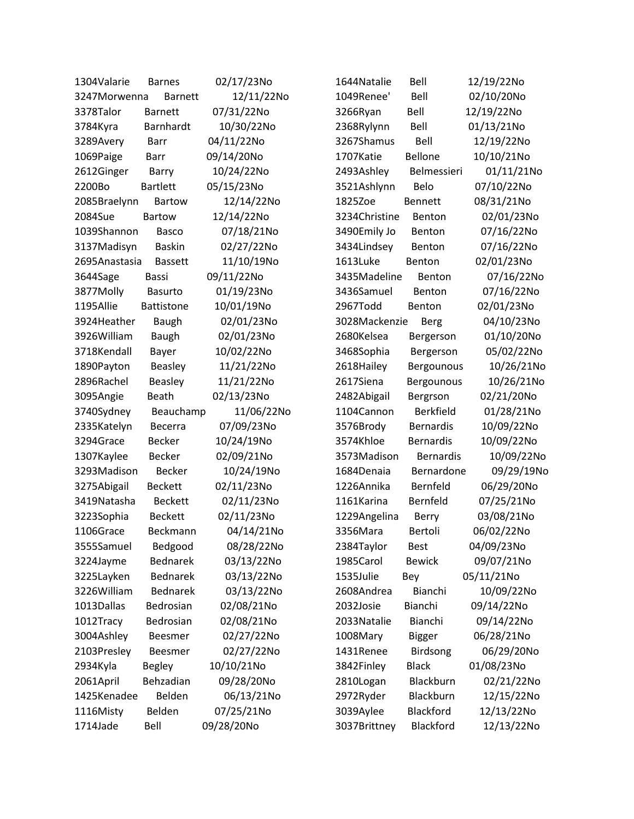| 1304Valarie   | <b>Barnes</b>     | 02/17/23No | 1644 Natalie  | Bell             | 12/19/22No |
|---------------|-------------------|------------|---------------|------------------|------------|
| 3247Morwenna  | <b>Barnett</b>    | 12/11/22No | 1049Renee'    | Bell             | 02/10/20No |
| 3378Talor     | <b>Barnett</b>    | 07/31/22No | 3266Ryan      | Bell             | 12/19/22No |
| 3784Kyra      | Barnhardt         | 10/30/22No | 2368Rylynn    | Bell             | 01/13/21No |
| 3289Avery     | <b>Barr</b>       | 04/11/22No | 3267Shamus    | Bell             | 12/19/22No |
| 1069Paige     | Barr              | 09/14/20No | 1707Katie     | Bellone          | 10/10/21No |
| 2612Ginger    | Barry             | 10/24/22No | 2493Ashley    | Belmessieri      | 01/11/21No |
| 2200Bo        | <b>Bartlett</b>   | 05/15/23No | 3521Ashlynn   | Belo             | 07/10/22No |
| 2085Braelynn  | <b>Bartow</b>     | 12/14/22No | 1825Zoe       | <b>Bennett</b>   | 08/31/21No |
| 2084Sue       | <b>Bartow</b>     | 12/14/22No | 3234Christine | Benton           | 02/01/23No |
| 1039Shannon   | <b>Basco</b>      | 07/18/21No | 3490Emily Jo  | Benton           | 07/16/22No |
| 3137Madisyn   | <b>Baskin</b>     | 02/27/22No | 3434Lindsey   | Benton           | 07/16/22No |
| 2695Anastasia | <b>Bassett</b>    | 11/10/19No | 1613Luke      | Benton           | 02/01/23No |
| 3644Sage      | Bassi             | 09/11/22No | 3435Madeline  | Benton           | 07/16/22No |
| 3877Molly     | <b>Basurto</b>    | 01/19/23No | 3436Samuel    | Benton           | 07/16/22No |
| 1195Allie     | <b>Battistone</b> | 10/01/19No | 2967Todd      | Benton           | 02/01/23No |
| 3924Heather   | <b>Baugh</b>      | 02/01/23No | 3028Mackenzie | Berg             | 04/10/23No |
| 3926William   | <b>Baugh</b>      | 02/01/23No | 2680Kelsea    | Bergerson        | 01/10/20No |
| 3718Kendall   | Bayer             | 10/02/22No | 3468Sophia    | Bergerson        | 05/02/22No |
| 1890Payton    | <b>Beasley</b>    | 11/21/22No | 2618Hailey    | Bergounous       | 10/26/21No |
| 2896Rachel    | Beasley           | 11/21/22No | 2617Siena     | Bergounous       | 10/26/21No |
| 3095Angie     | <b>Beath</b>      | 02/13/23No | 2482Abigail   | Bergrson         | 02/21/20No |
| 3740Sydney    | Beauchamp         | 11/06/22No | 1104Cannon    | <b>Berkfield</b> | 01/28/21No |
| 2335Katelyn   | <b>Becerra</b>    | 07/09/23No | 3576Brody     | <b>Bernardis</b> | 10/09/22No |
| 3294Grace     | <b>Becker</b>     | 10/24/19No | 3574Khloe     | <b>Bernardis</b> | 10/09/22No |
| 1307Kaylee    | <b>Becker</b>     | 02/09/21No | 3573Madison   | <b>Bernardis</b> | 10/09/22No |
| 3293Madison   | <b>Becker</b>     | 10/24/19No | 1684Denaia    | Bernardone       | 09/29/19No |
| 3275Abigail   | <b>Beckett</b>    | 02/11/23No | 1226Annika    | Bernfeld         | 06/29/20No |
| 3419Natasha   | <b>Beckett</b>    | 02/11/23No | 1161Karina    | Bernfeld         | 07/25/21No |
| 3223Sophia    | <b>Beckett</b>    | 02/11/23No | 1229Angelina  | Berry            | 03/08/21No |
| 1106Grace     | Beckmann          | 04/14/21No | 3356Mara      | Bertoli          | 06/02/22No |
| 3555Samuel    | Bedgood           | 08/28/22No | 2384Taylor    | <b>Best</b>      | 04/09/23No |
| 3224Jayme     | <b>Bednarek</b>   | 03/13/22No | 1985Carol     | <b>Bewick</b>    | 09/07/21No |
| 3225Layken    | <b>Bednarek</b>   | 03/13/22No | 1535Julie     | Bey              | 05/11/21No |
| 3226William   | <b>Bednarek</b>   | 03/13/22No | 2608Andrea    | Bianchi          | 10/09/22No |
| 1013Dallas    | Bedrosian         | 02/08/21No | 2032Josie     | Bianchi          | 09/14/22No |
| 1012Tracy     | Bedrosian         | 02/08/21No | 2033Natalie   | Bianchi          | 09/14/22No |
| 3004Ashley    | Beesmer           | 02/27/22No | 1008Mary      | <b>Bigger</b>    | 06/28/21No |
| 2103Presley   | <b>Beesmer</b>    | 02/27/22No | 1431Renee     | Birdsong         | 06/29/20No |
| 2934Kyla      | <b>Begley</b>     | 10/10/21No | 3842Finley    | <b>Black</b>     | 01/08/23No |
| 2061April     | Behzadian         | 09/28/20No | 2810Logan     | Blackburn        | 02/21/22No |
| 1425Kenadee   | Belden            | 06/13/21No | 2972Ryder     | Blackburn        | 12/15/22No |
| 1116Misty     | Belden            | 07/25/21No | 3039Aylee     | Blackford        | 12/13/22No |
| 1714Jade      | Bell              | 09/28/20No | 3037Brittney  | Blackford        | 12/13/22No |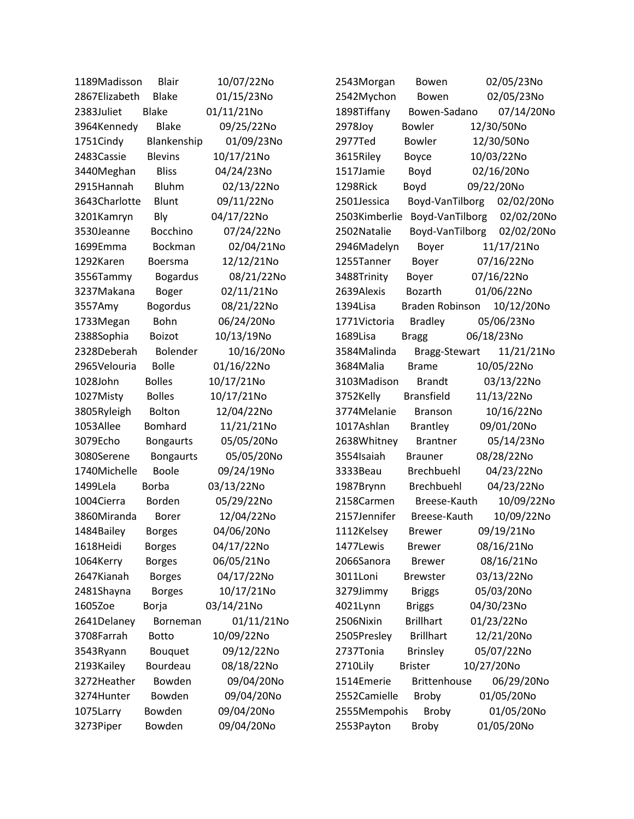| 1189Madisson  | <b>Blair</b>     | 10/07/22No | 2543Morgan    | Bowen               | 02/05/23No |
|---------------|------------------|------------|---------------|---------------------|------------|
| 2867Elizabeth | <b>Blake</b>     | 01/15/23No | 2542Mychon    | Bowen               | 02/05/23No |
| 2383Juliet    | <b>Blake</b>     | 01/11/21No | 1898Tiffany   | Bowen-Sadano        | 07/14/20No |
| 3964Kennedy   | <b>Blake</b>     | 09/25/22No | 2978Joy       | <b>Bowler</b>       | 12/30/50No |
| 1751Cindy     | Blankenship      | 01/09/23No | 2977Ted       | <b>Bowler</b>       | 12/30/50No |
| 2483 Cassie   | <b>Blevins</b>   | 10/17/21No | 3615Riley     | Boyce               | 10/03/22No |
| 3440Meghan    | <b>Bliss</b>     | 04/24/23No | 1517Jamie     | Boyd                | 02/16/20No |
| 2915Hannah    | <b>Bluhm</b>     | 02/13/22No | 1298Rick      | Boyd                | 09/22/20No |
| 3643Charlotte | Blunt            | 09/11/22No | 2501Jessica   | Boyd-VanTilborg     | 02/02/20No |
| 3201Kamryn    | Bly              | 04/17/22No | 2503Kimberlie | Boyd-VanTilborg     | 02/02/20No |
| 3530Jeanne    | <b>Bocchino</b>  | 07/24/22No | 2502Natalie   | Boyd-VanTilborg     | 02/02/20No |
| 1699Emma      | Bockman          | 02/04/21No | 2946Madelyn   | Boyer               | 11/17/21No |
| 1292Karen     | Boersma          | 12/12/21No | 1255Tanner    | Boyer               | 07/16/22No |
| 3556Tammy     | <b>Bogardus</b>  | 08/21/22No | 3488Trinity   | Boyer               | 07/16/22No |
| 3237Makana    | <b>Boger</b>     | 02/11/21No | 2639Alexis    | Bozarth             | 01/06/22No |
| 3557Amy       | <b>Bogordus</b>  | 08/21/22No | 1394Lisa      | Braden Robinson     | 10/12/20No |
| 1733Megan     | Bohn             | 06/24/20No | 1771Victoria  | <b>Bradley</b>      | 05/06/23No |
| 2388Sophia    | <b>Boizot</b>    | 10/13/19No | 1689Lisa      | <b>Bragg</b>        | 06/18/23No |
| 2328Deberah   | Bolender         | 10/16/20No | 3584Malinda   | Bragg-Stewart       | 11/21/21No |
| 2965Velouria  | <b>Bolle</b>     | 01/16/22No | 3684Malia     | <b>Brame</b>        | 10/05/22No |
| 1028John      | <b>Bolles</b>    | 10/17/21No | 3103Madison   | <b>Brandt</b>       | 03/13/22No |
| 1027Misty     | <b>Bolles</b>    | 10/17/21No | 3752Kelly     | <b>Bransfield</b>   | 11/13/22No |
| 3805Ryleigh   | Bolton           | 12/04/22No | 3774Melanie   | <b>Branson</b>      | 10/16/22No |
| 1053Allee     | Bomhard          | 11/21/21No | 1017Ashlan    | <b>Brantley</b>     | 09/01/20No |
| 3079Echo      | <b>Bongaurts</b> | 05/05/20No | 2638Whitney   | <b>Brantner</b>     | 05/14/23No |
| 3080Serene    | <b>Bongaurts</b> | 05/05/20No | 3554 Isaiah   | <b>Brauner</b>      | 08/28/22No |
| 1740Michelle  | <b>Boole</b>     | 09/24/19No | 3333Beau      | Brechbuehl          | 04/23/22No |
| 1499Lela      | <b>Borba</b>     | 03/13/22No | 1987Brynn     | Brechbuehl          | 04/23/22No |
| 1004Cierra    | Borden           | 05/29/22No | 2158Carmen    | Breese-Kauth        | 10/09/22No |
| 3860Miranda   | <b>Borer</b>     | 12/04/22No | 2157Jennifer  | Breese-Kauth        | 10/09/22No |
| 1484Bailey    | <b>Borges</b>    | 04/06/20No | 1112Kelsey    | <b>Brewer</b>       | 09/19/21No |
| 1618Heidi     | <b>Borges</b>    | 04/17/22No | 1477Lewis     | <b>Brewer</b>       | 08/16/21No |
| 1064Kerry     | <b>Borges</b>    | 06/05/21No | 2066Sanora    | <b>Brewer</b>       | 08/16/21No |
| 2647Kianah    | <b>Borges</b>    | 04/17/22No | 3011Loni      | <b>Brewster</b>     | 03/13/22No |
| 2481Shayna    | <b>Borges</b>    | 10/17/21No | 3279Jimmy     | <b>Briggs</b>       | 05/03/20No |
| 1605Zoe       | Borja            | 03/14/21No | 4021Lynn      | <b>Briggs</b>       | 04/30/23No |
| 2641Delaney   | Borneman         | 01/11/21No | 2506Nixin     | <b>Brillhart</b>    | 01/23/22No |
| 3708Farrah    | <b>Botto</b>     | 10/09/22No | 2505Presley   | <b>Brillhart</b>    | 12/21/20No |
| 3543Ryann     | Bouquet          | 09/12/22No | 2737Tonia     | <b>Brinsley</b>     | 05/07/22No |
| 2193Kailey    | Bourdeau         | 08/18/22No | 2710Lily      | <b>Brister</b>      | 10/27/20No |
| 3272Heather   | Bowden           | 09/04/20No | 1514Emerie    | <b>Brittenhouse</b> | 06/29/20No |
| 3274Hunter    | Bowden           | 09/04/20No | 2552Camielle  | <b>Broby</b>        | 01/05/20No |
| 1075Larry     | Bowden           | 09/04/20No | 2555Mempohis  | Broby               | 01/05/20No |
| 3273Piper     | Bowden           | 09/04/20No | 2553Payton    | <b>Broby</b>        | 01/05/20No |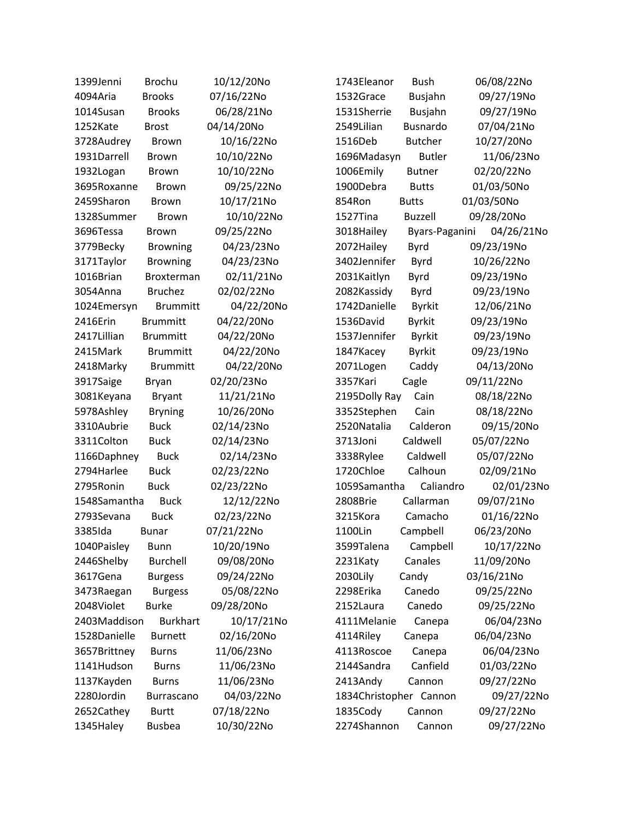| 1399Jenni    | <b>Brochu</b>   | 10/12/20No | 1743Eleanor            | <b>Bush</b>     | 06/08/22No |
|--------------|-----------------|------------|------------------------|-----------------|------------|
| 4094Aria     | <b>Brooks</b>   | 07/16/22No | 1532Grace              | <b>Busjahn</b>  | 09/27/19No |
| 1014Susan    | <b>Brooks</b>   | 06/28/21No | 1531Sherrie            | <b>Busjahn</b>  | 09/27/19No |
| 1252Kate     | <b>Brost</b>    | 04/14/20No | 2549Lilian             | <b>Busnardo</b> | 07/04/21No |
| 3728Audrey   | <b>Brown</b>    | 10/16/22No | 1516Deb                | <b>Butcher</b>  | 10/27/20No |
| 1931Darrell  | <b>Brown</b>    | 10/10/22No | 1696Madasyn            | <b>Butler</b>   | 11/06/23No |
| 1932Logan    | <b>Brown</b>    | 10/10/22No | 1006Emily              | <b>Butner</b>   | 02/20/22No |
| 3695Roxanne  | <b>Brown</b>    | 09/25/22No | 1900Debra              | <b>Butts</b>    | 01/03/50No |
| 2459Sharon   | <b>Brown</b>    | 10/17/21No | 854Ron                 | <b>Butts</b>    | 01/03/50No |
| 1328Summer   | <b>Brown</b>    | 10/10/22No | 1527Tina               | <b>Buzzell</b>  | 09/28/20No |
| 3696Tessa    | <b>Brown</b>    | 09/25/22No | 3018Hailey             | Byars-Paganini  | 04/26/21No |
| 3779Becky    | <b>Browning</b> | 04/23/23No | 2072 Hailey            | Byrd            | 09/23/19No |
| 3171Taylor   | <b>Browning</b> | 04/23/23No | 3402Jennifer           | <b>Byrd</b>     | 10/26/22No |
| 1016Brian    | Broxterman      | 02/11/21No | 2031Kaitlyn            | Byrd            | 09/23/19No |
| 3054Anna     | <b>Bruchez</b>  | 02/02/22No | 2082Kassidy            | Byrd            | 09/23/19No |
| 1024Emersyn  | <b>Brummitt</b> | 04/22/20No | 1742Danielle           | <b>Byrkit</b>   | 12/06/21No |
| 2416Erin     | <b>Brummitt</b> | 04/22/20No | 1536David              | <b>Byrkit</b>   | 09/23/19No |
| 2417Lillian  | <b>Brummitt</b> | 04/22/20No | 1537Jennifer           | <b>Byrkit</b>   | 09/23/19No |
| 2415Mark     | <b>Brummitt</b> | 04/22/20No | 1847Kacey              | <b>Byrkit</b>   | 09/23/19No |
| 2418Marky    | <b>Brummitt</b> | 04/22/20No | 2071Logen              | Caddy           | 04/13/20No |
| 3917Saige    | <b>Bryan</b>    | 02/20/23No | 3357Kari               | Cagle           | 09/11/22No |
| 3081Keyana   | <b>Bryant</b>   | 11/21/21No | 2195Dolly Ray          | Cain            | 08/18/22No |
| 5978Ashley   | <b>Bryning</b>  | 10/26/20No | 3352Stephen            | Cain            | 08/18/22No |
| 3310Aubrie   | <b>Buck</b>     | 02/14/23No | 2520Natalia            | Calderon        | 09/15/20No |
| 3311Colton   | <b>Buck</b>     | 02/14/23No | 3713Joni               | Caldwell        | 05/07/22No |
| 1166Daphney  | <b>Buck</b>     | 02/14/23No | 3338Rylee              | Caldwell        | 05/07/22No |
| 2794Harlee   | <b>Buck</b>     | 02/23/22No | 1720Chloe              | Calhoun         | 02/09/21No |
| 2795Ronin    | <b>Buck</b>     | 02/23/22No | 1059Samantha           | Caliandro       | 02/01/23No |
| 1548Samantha | <b>Buck</b>     | 12/12/22No | 2808Brie               | Callarman       | 09/07/21No |
| 2793Sevana   | <b>Buck</b>     | 02/23/22No | 3215Kora               | Camacho         | 01/16/22No |
| 3385Ida      | <b>Bunar</b>    | 07/21/22No | 1100Lin                | Campbell        | 06/23/20No |
| 1040Paisley  | <b>Bunn</b>     | 10/20/19No | 3599Talena             | Campbell        | 10/17/22No |
| 2446Shelby   | <b>Burchell</b> | 09/08/20No | 2231Katy               | Canales         | 11/09/20No |
| 3617Gena     | <b>Burgess</b>  | 09/24/22No | 2030Lily               | Candy           | 03/16/21No |
| 3473Raegan   | <b>Burgess</b>  | 05/08/22No | 2298Erika              | Canedo          | 09/25/22No |
| 2048Violet   | <b>Burke</b>    | 09/28/20No | 2152Laura              | Canedo          | 09/25/22No |
| 2403Maddison | <b>Burkhart</b> | 10/17/21No | 4111Melanie            | Canepa          | 06/04/23No |
| 1528Danielle | <b>Burnett</b>  | 02/16/20No | 4114Riley              | Canepa          | 06/04/23No |
| 3657Brittney | <b>Burns</b>    | 11/06/23No | 4113Roscoe             | Canepa          | 06/04/23No |
| 1141Hudson   | <b>Burns</b>    | 11/06/23No | 2144Sandra             | Canfield        | 01/03/22No |
| 1137Kayden   | <b>Burns</b>    | 11/06/23No | 2413Andy               | Cannon          | 09/27/22No |
| 2280Jordin   | Burrascano      | 04/03/22No | 1834Christopher Cannon |                 | 09/27/22No |
| 2652Cathey   | <b>Burtt</b>    | 07/18/22No | 1835Cody               | Cannon          | 09/27/22No |
| 1345Haley    | <b>Busbea</b>   | 10/30/22No | 2274Shannon            | Cannon          | 09/27/22No |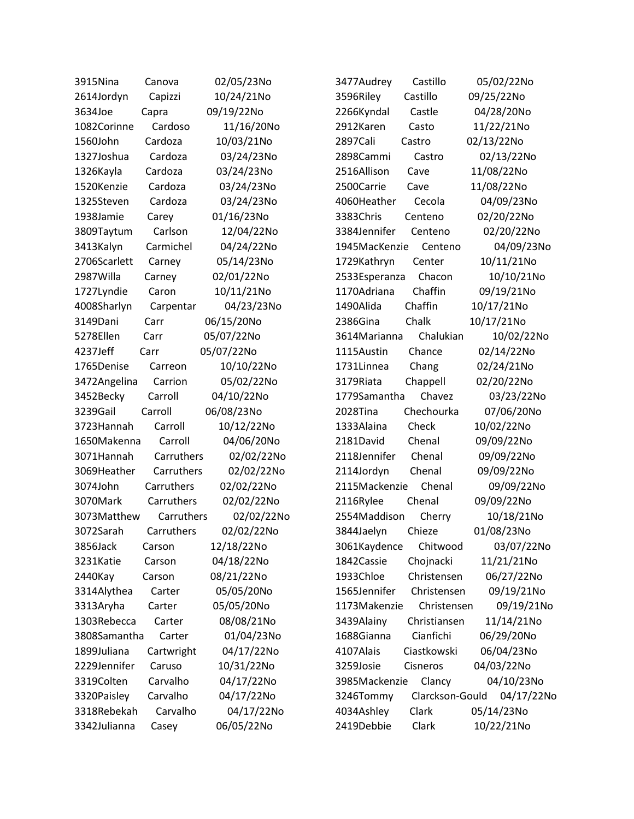| 3915Nina     | Canova     | 02/05/23No | 3477Audrey    | Castillo        | 05/02/22No |
|--------------|------------|------------|---------------|-----------------|------------|
| 2614Jordyn   | Capizzi    | 10/24/21No | 3596Riley     | Castillo        | 09/25/22No |
| 3634Joe      | Capra      | 09/19/22No | 2266Kyndal    | Castle          | 04/28/20No |
| 1082Corinne  | Cardoso    | 11/16/20No | 2912Karen     | Casto           | 11/22/21No |
| 1560John     | Cardoza    | 10/03/21No | 2897Cali      | Castro          | 02/13/22No |
| 1327Joshua   | Cardoza    | 03/24/23No | 2898Cammi     | Castro          | 02/13/22No |
| 1326Kayla    | Cardoza    | 03/24/23No | 2516Allison   | Cave            | 11/08/22No |
| 1520Kenzie   | Cardoza    | 03/24/23No | 2500Carrie    | Cave            | 11/08/22No |
| 1325Steven   | Cardoza    | 03/24/23No | 4060Heather   | Cecola          | 04/09/23No |
| 1938Jamie    | Carey      | 01/16/23No | 3383Chris     | Centeno         | 02/20/22No |
| 3809Taytum   | Carlson    | 12/04/22No | 3384Jennifer  | Centeno         | 02/20/22No |
| 3413Kalyn    | Carmichel  | 04/24/22No | 1945MacKenzie | Centeno         | 04/09/23No |
| 2706Scarlett | Carney     | 05/14/23No | 1729Kathryn   | Center          | 10/11/21No |
| 2987Willa    | Carney     | 02/01/22No | 2533Esperanza | Chacon          | 10/10/21No |
| 1727Lyndie   | Caron      | 10/11/21No | 1170Adriana   | Chaffin         | 09/19/21No |
| 4008Sharlyn  | Carpentar  | 04/23/23No | 1490Alida     | Chaffin         | 10/17/21No |
| 3149Dani     | Carr       | 06/15/20No | 2386Gina      | Chalk           | 10/17/21No |
| 5278Ellen    | Carr       | 05/07/22No | 3614Marianna  | Chalukian       | 10/02/22No |
| 4237Jeff     | Carr       | 05/07/22No | 1115Austin    | Chance          | 02/14/22No |
| 1765Denise   | Carreon    | 10/10/22No | 1731Linnea    | Chang           | 02/24/21No |
| 3472Angelina | Carrion    | 05/02/22No | 3179Riata     | Chappell        | 02/20/22No |
| 3452Becky    | Carroll    | 04/10/22No | 1779Samantha  | Chavez          | 03/23/22No |
| 3239Gail     | Carroll    | 06/08/23No | 2028Tina      | Chechourka      | 07/06/20No |
| 3723Hannah   | Carroll    | 10/12/22No | 1333Alaina    | Check           | 10/02/22No |
| 1650Makenna  | Carroll    | 04/06/20No | 2181David     | Chenal          | 09/09/22No |
| 3071Hannah   | Carruthers | 02/02/22No | 2118Jennifer  | Chenal          | 09/09/22No |
| 3069Heather  | Carruthers | 02/02/22No | 2114Jordyn    | Chenal          | 09/09/22No |
| 3074John     | Carruthers | 02/02/22No | 2115Mackenzie | Chenal          | 09/09/22No |
| 3070Mark     | Carruthers | 02/02/22No | 2116Rylee     | Chenal          | 09/09/22No |
| 3073Matthew  | Carruthers | 02/02/22No | 2554Maddison  | Cherry          | 10/18/21No |
| 3072Sarah    | Carruthers | 02/02/22No | 3844Jaelyn    | Chieze          | 01/08/23No |
| 3856Jack     | Carson     | 12/18/22No | 3061Kaydence  | Chitwood        | 03/07/22No |
| 3231Katie    | Carson     | 04/18/22No | 1842 Cassie   | Chojnacki       | 11/21/21No |
| 2440Kay      | Carson     | 08/21/22No | 1933Chloe     | Christensen     | 06/27/22No |
| 3314Alythea  | Carter     | 05/05/20No | 1565Jennifer  | Christensen     | 09/19/21No |
| 3313Aryha    | Carter     | 05/05/20No | 1173Makenzie  | Christensen     | 09/19/21No |
| 1303Rebecca  | Carter     | 08/08/21No | 3439Alainy    | Christiansen    | 11/14/21No |
| 3808Samantha | Carter     | 01/04/23No | 1688Gianna    | Cianfichi       | 06/29/20No |
| 1899Juliana  | Cartwright | 04/17/22No | 4107Alais     | Ciastkowski     | 06/04/23No |
| 2229Jennifer | Caruso     | 10/31/22No | 3259Josie     | Cisneros        | 04/03/22No |
| 3319Colten   | Carvalho   | 04/17/22No | 3985Mackenzie | Clancy          | 04/10/23No |
| 3320Paisley  | Carvalho   | 04/17/22No | 3246Tommy     | Clarckson-Gould | 04/17/22No |
| 3318Rebekah  | Carvalho   | 04/17/22No | 4034Ashley    | Clark           | 05/14/23No |
| 3342Julianna | Casey      | 06/05/22No | 2419Debbie    | Clark           | 10/22/21No |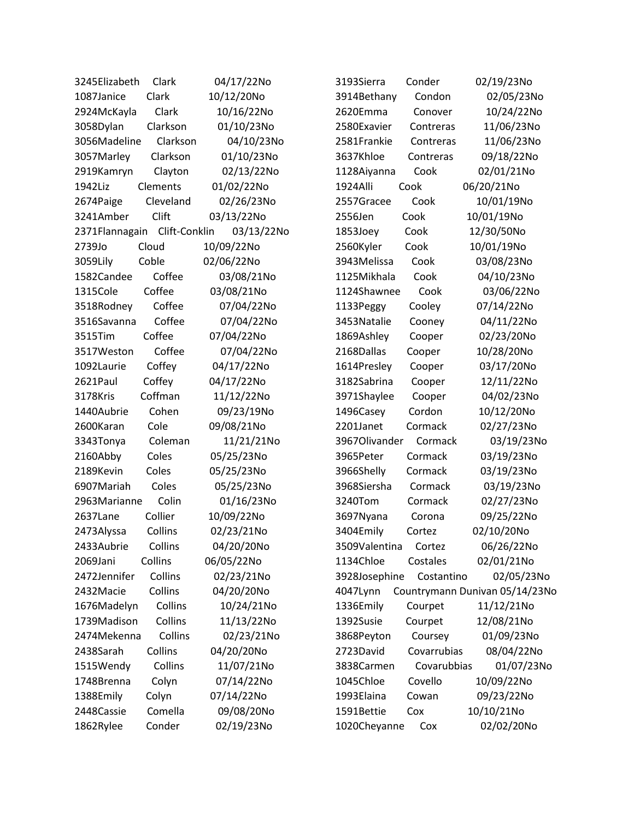| 3245Elizabeth  | Clark         | 04/17/22No | 3193Sierra    | Conder      | 02/19/23No                     |
|----------------|---------------|------------|---------------|-------------|--------------------------------|
| 1087Janice     | Clark         | 10/12/20No | 3914Bethany   | Condon      | 02/05/23No                     |
| 2924McKayla    | Clark         | 10/16/22No | 2620Emma      | Conover     | 10/24/22No                     |
| 3058Dylan      | Clarkson      | 01/10/23No | 2580Exavier   | Contreras   | 11/06/23No                     |
| 3056Madeline   | Clarkson      | 04/10/23No | 2581Frankie   | Contreras   | 11/06/23No                     |
| 3057Marley     | Clarkson      | 01/10/23No | 3637Khloe     | Contreras   | 09/18/22No                     |
| 2919Kamryn     | Clayton       | 02/13/22No | 1128Aiyanna   | Cook        | 02/01/21No                     |
| 1942Liz        | Clements      | 01/02/22No | 1924Alli      | Cook        | 06/20/21No                     |
| 2674Paige      | Cleveland     | 02/26/23No | 2557Gracee    | Cook        | 10/01/19No                     |
| 3241Amber      | Clift         | 03/13/22No | 2556Jen       | Cook        | 10/01/19No                     |
| 2371Flannagain | Clift-Conklin | 03/13/22No | 1853Joey      | Cook        | 12/30/50No                     |
| 2739Jo         | Cloud         | 10/09/22No | 2560Kyler     | Cook        | 10/01/19No                     |
| 3059Lily       | Coble         | 02/06/22No | 3943Melissa   | Cook        | 03/08/23No                     |
| 1582Candee     | Coffee        | 03/08/21No | 1125Mikhala   | Cook        | 04/10/23No                     |
| 1315Cole       | Coffee        | 03/08/21No | 1124Shawnee   | Cook        | 03/06/22No                     |
| 3518Rodney     | Coffee        | 07/04/22No | 1133Peggy     | Cooley      | 07/14/22No                     |
| 3516Savanna    | Coffee        | 07/04/22No | 3453Natalie   | Cooney      | 04/11/22No                     |
| 3515Tim        | Coffee        | 07/04/22No | 1869Ashley    | Cooper      | 02/23/20No                     |
| 3517Weston     | Coffee        | 07/04/22No | 2168Dallas    | Cooper      | 10/28/20No                     |
| 1092Laurie     | Coffey        | 04/17/22No | 1614Presley   | Cooper      | 03/17/20No                     |
| 2621Paul       | Coffey        | 04/17/22No | 3182Sabrina   | Cooper      | 12/11/22No                     |
| 3178Kris       | Coffman       | 11/12/22No | 3971Shaylee   | Cooper      | 04/02/23No                     |
| 1440Aubrie     | Cohen         | 09/23/19No | 1496Casey     | Cordon      | 10/12/20No                     |
| 2600Karan      | Cole          | 09/08/21No | 2201Janet     | Cormack     | 02/27/23No                     |
| 3343Tonya      | Coleman       | 11/21/21No | 3967Olivander | Cormack     | 03/19/23No                     |
| 2160Abby       | Coles         | 05/25/23No | 3965Peter     | Cormack     | 03/19/23No                     |
| 2189Kevin      | Coles         | 05/25/23No | 3966Shelly    | Cormack     | 03/19/23No                     |
| 6907Mariah     | Coles         | 05/25/23No | 3968Siersha   | Cormack     | 03/19/23No                     |
| 2963Marianne   | Colin         | 01/16/23No | 3240Tom       | Cormack     | 02/27/23No                     |
| 2637Lane       | Collier       | 10/09/22No | 3697Nyana     | Corona      | 09/25/22No                     |
| 2473Alyssa     | Collins       | 02/23/21No | 3404Emily     | Cortez      | 02/10/20No                     |
| 2433Aubrie     | Collins       | 04/20/20No | 3509Valentina | Cortez      | 06/26/22No                     |
| 2069Jani       | Collins       | 06/05/22No | 1134Chloe     | Costales    | 02/01/21No                     |
| 2472Jennifer   | Collins       | 02/23/21No | 3928Josephine | Costantino  | 02/05/23No                     |
| 2432Macie      | Collins       | 04/20/20No | 4047Lynn      |             | Countrymann Dunivan 05/14/23No |
| 1676Madelyn    | Collins       | 10/24/21No | 1336Emily     | Courpet     | 11/12/21No                     |
| 1739Madison    | Collins       | 11/13/22No | 1392Susie     | Courpet     | 12/08/21No                     |
| 2474Mekenna    | Collins       | 02/23/21No | 3868Peyton    | Coursey     | 01/09/23No                     |
| 2438Sarah      | Collins       | 04/20/20No | 2723David     | Covarrubias | 08/04/22No                     |
| 1515Wendy      | Collins       | 11/07/21No | 3838Carmen    | Covarubbias | 01/07/23No                     |
| 1748Brenna     | Colyn         | 07/14/22No | 1045Chloe     | Covello     | 10/09/22No                     |
| 1388Emily      | Colyn         | 07/14/22No | 1993Elaina    | Cowan       | 09/23/22No                     |
| 2448 Cassie    | Comella       | 09/08/20No | 1591Bettie    | Cox         | 10/10/21No                     |
| 1862Rylee      | Conder        | 02/19/23No | 1020Cheyanne  | Cox         | 02/02/20No                     |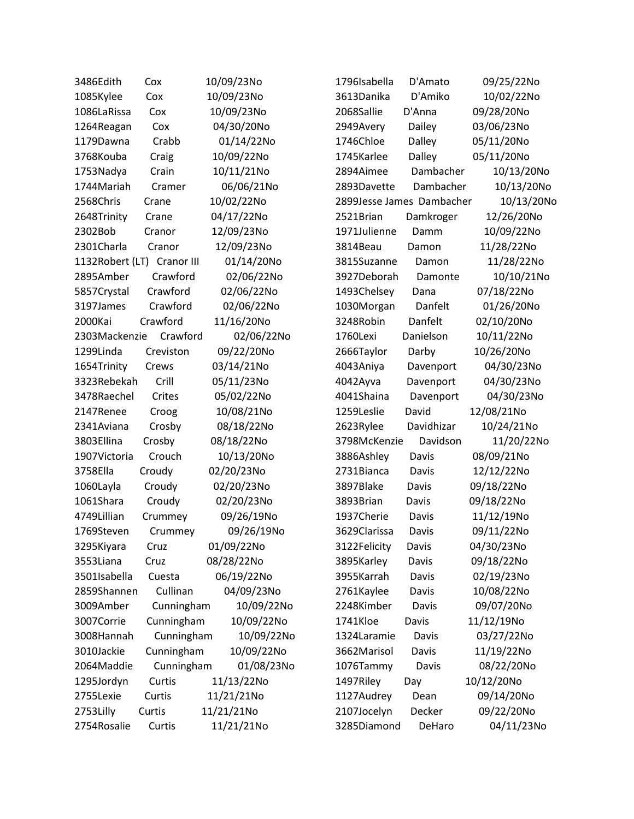| 3486Edith                  | Cox        | 10/09/23No | 1796Isabella              | D'Amato    | 09/25/22No |
|----------------------------|------------|------------|---------------------------|------------|------------|
| 1085Kylee                  | Cox        | 10/09/23No | 3613Danika                | D'Amiko    | 10/02/22No |
| 1086LaRissa                | Cox        | 10/09/23No | 2068Sallie                | D'Anna     | 09/28/20No |
| 1264Reagan                 | Cox        | 04/30/20No | 2949Avery                 | Dailey     | 03/06/23No |
| 1179Dawna                  | Crabb      | 01/14/22No | 1746Chloe                 | Dalley     | 05/11/20No |
| 3768Kouba                  | Craig      | 10/09/22No | 1745Karlee                | Dalley     | 05/11/20No |
| 1753Nadya                  | Crain      | 10/11/21No | 2894Aimee                 | Dambacher  | 10/13/20No |
| 1744Mariah                 | Cramer     | 06/06/21No | 2893Davette               | Dambacher  | 10/13/20No |
| 2568Chris                  | Crane      | 10/02/22No | 2899Jesse James Dambacher |            | 10/13/20No |
| 2648Trinity                | Crane      | 04/17/22No | 2521Brian                 | Damkroger  | 12/26/20No |
| 2302Bob                    | Cranor     | 12/09/23No | 1971Julienne              | Damm       | 10/09/22No |
| 2301Charla                 | Cranor     | 12/09/23No | 3814Beau                  | Damon      | 11/28/22No |
| 1132Robert (LT) Cranor III |            | 01/14/20No | 3815Suzanne               | Damon      | 11/28/22No |
| 2895Amber                  | Crawford   | 02/06/22No | 3927Deborah               | Damonte    | 10/10/21No |
| 5857Crystal                | Crawford   | 02/06/22No | 1493Chelsey               | Dana       | 07/18/22No |
| 3197James                  | Crawford   | 02/06/22No | 1030Morgan                | Danfelt    | 01/26/20No |
| 2000Kai                    | Crawford   | 11/16/20No | 3248Robin                 | Danfelt    | 02/10/20No |
| 2303Mackenzie              | Crawford   | 02/06/22No | 1760Lexi                  | Danielson  | 10/11/22No |
| 1299Linda                  | Creviston  | 09/22/20No | 2666Taylor                | Darby      | 10/26/20No |
| 1654Trinity                | Crews      | 03/14/21No | 4043Aniya                 | Davenport  | 04/30/23No |
| 3323Rebekah                | Crill      | 05/11/23No | 4042Ayva                  | Davenport  | 04/30/23No |
| 3478Raechel                | Crites     | 05/02/22No | 4041Shaina                | Davenport  | 04/30/23No |
| 2147Renee                  | Croog      | 10/08/21No | 1259Leslie                | David      | 12/08/21No |
| 2341Aviana                 | Crosby     | 08/18/22No | 2623Rylee                 | Davidhizar | 10/24/21No |
| 3803Ellina                 | Crosby     | 08/18/22No | 3798McKenzie              | Davidson   | 11/20/22No |
| 1907Victoria               | Crouch     | 10/13/20No | 3886Ashley                | Davis      | 08/09/21No |
| 3758Ella                   | Croudy     | 02/20/23No | 2731Bianca                | Davis      | 12/12/22No |
| 1060Layla                  | Croudy     | 02/20/23No | 3897Blake                 | Davis      | 09/18/22No |
| 1061Shara                  | Croudy     | 02/20/23No | 3893Brian                 | Davis      | 09/18/22No |
| 4749Lillian                | Crummey    | 09/26/19No | 1937Cherie                | Davis      | 11/12/19No |
| 1769Steven                 | Crummey    | 09/26/19No | 3629Clarissa              | Davis      | 09/11/22No |
| 3295Kiyara                 | Cruz       | 01/09/22No | 3122Felicity              | Davis      | 04/30/23No |
| 3553Liana                  | Cruz       | 08/28/22No | 3895Karley                | Davis      | 09/18/22No |
| 3501Isabella               | Cuesta     | 06/19/22No | 3955Karrah                | Davis      | 02/19/23No |
| 2859Shannen                | Cullinan   | 04/09/23No | 2761Kaylee                | Davis      | 10/08/22No |
| 3009Amber                  | Cunningham | 10/09/22No | 2248Kimber                | Davis      | 09/07/20No |
| 3007Corrie                 | Cunningham | 10/09/22No | 1741Kloe                  | Davis      | 11/12/19No |
| 3008Hannah                 | Cunningham | 10/09/22No | 1324Laramie               | Davis      | 03/27/22No |
| 3010Jackie                 | Cunningham | 10/09/22No | 3662Marisol               | Davis      | 11/19/22No |
| 2064Maddie                 | Cunningham | 01/08/23No | 1076Tammy                 | Davis      | 08/22/20No |
| 1295Jordyn                 | Curtis     | 11/13/22No | 1497Riley                 | Day        | 10/12/20No |
| 2755Lexie                  | Curtis     | 11/21/21No | 1127Audrey                | Dean       | 09/14/20No |
| 2753Lilly                  | Curtis     | 11/21/21No | 2107Jocelyn               | Decker     | 09/22/20No |
| 2754Rosalie                | Curtis     | 11/21/21No | 3285Diamond               | DeHaro     | 04/11/23No |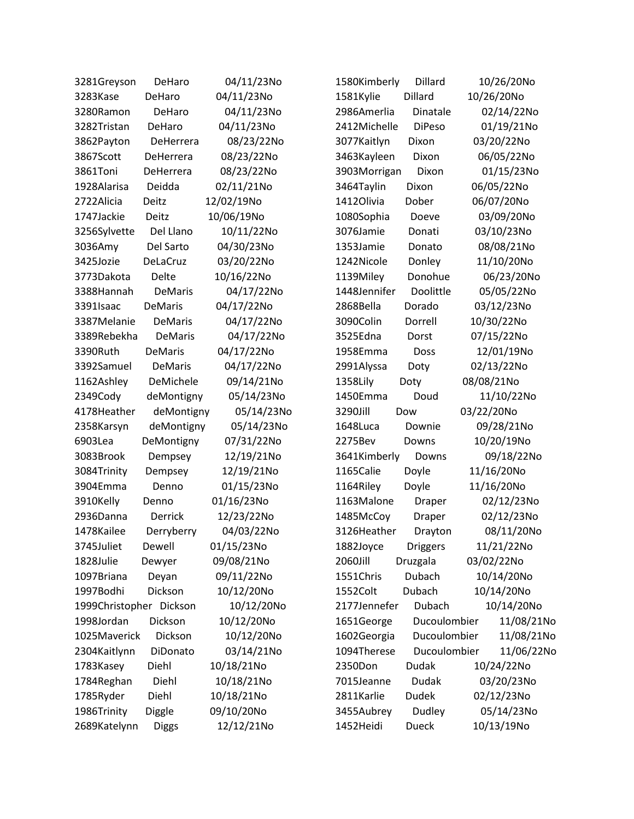| 3281Greyson             | DeHaro         | 04/11/23No | 1580Kimberly | Dillard         | 10/26/20No |
|-------------------------|----------------|------------|--------------|-----------------|------------|
| 3283Kase                | DeHaro         | 04/11/23No | 1581Kylie    | Dillard         | 10/26/20No |
| 3280Ramon               | DeHaro         | 04/11/23No | 2986Amerlia  | Dinatale        | 02/14/22No |
| 3282Tristan             | DeHaro         | 04/11/23No | 2412Michelle | <b>DiPeso</b>   | 01/19/21No |
| 3862Payton              | DeHerrera      | 08/23/22No | 3077Kaitlyn  | Dixon           | 03/20/22No |
| 3867Scott               | DeHerrera      | 08/23/22No | 3463Kayleen  | Dixon           | 06/05/22No |
| 3861Toni                | DeHerrera      | 08/23/22No | 3903Morrigan | Dixon           | 01/15/23No |
| 1928Alarisa             | Deidda         | 02/11/21No | 3464Taylin   | Dixon           | 06/05/22No |
| 2722Alicia              | Deitz          | 12/02/19No | 1412Olivia   | Dober           | 06/07/20No |
| 1747Jackie              | Deitz          | 10/06/19No | 1080Sophia   | Doeve           | 03/09/20No |
| 3256Sylvette            | Del Llano      | 10/11/22No | 3076Jamie    | Donati          | 03/10/23No |
| 3036Amy                 | Del Sarto      | 04/30/23No | 1353Jamie    | Donato          | 08/08/21No |
| 3425Jozie               | DeLaCruz       | 03/20/22No | 1242Nicole   | Donley          | 11/10/20No |
| 3773Dakota              | Delte          | 10/16/22No | 1139Miley    | Donohue         | 06/23/20No |
| 3388Hannah              | <b>DeMaris</b> | 04/17/22No | 1448Jennifer | Doolittle       | 05/05/22No |
| 3391Isaac               | <b>DeMaris</b> | 04/17/22No | 2868Bella    | Dorado          | 03/12/23No |
| 3387Melanie             | <b>DeMaris</b> | 04/17/22No | 3090Colin    | Dorrell         | 10/30/22No |
| 3389Rebekha             | DeMaris        | 04/17/22No | 3525Edna     | Dorst           | 07/15/22No |
| 3390Ruth                | <b>DeMaris</b> | 04/17/22No | 1958Emma     | <b>Doss</b>     | 12/01/19No |
| 3392Samuel              | <b>DeMaris</b> | 04/17/22No | 2991Alyssa   | Doty            | 02/13/22No |
| 1162Ashley              | DeMichele      | 09/14/21No | 1358Lily     | Doty            | 08/08/21No |
| 2349Cody                | deMontigny     | 05/14/23No | 1450Emma     | Doud            | 11/10/22No |
| 4178Heather             | deMontigny     | 05/14/23No | 3290Jill     | Dow             | 03/22/20No |
| 2358Karsyn              | deMontigny     | 05/14/23No | 1648Luca     | Downie          | 09/28/21No |
| 6903Lea                 | DeMontigny     | 07/31/22No | 2275Bev      | Downs           | 10/20/19No |
| 3083Brook               | Dempsey        | 12/19/21No | 3641Kimberly | Downs           | 09/18/22No |
| 3084Trinity             | Dempsey        | 12/19/21No | 1165Calie    | Doyle           | 11/16/20No |
| 3904Emma                | Denno          | 01/15/23No | 1164Riley    | Doyle           | 11/16/20No |
| 3910Kelly               | Denno          | 01/16/23No | 1163Malone   | Draper          | 02/12/23No |
| 2936Danna               | <b>Derrick</b> | 12/23/22No | 1485McCoy    | Draper          | 02/12/23No |
| 1478Kailee              | Derryberry     | 04/03/22No | 3126Heather  | Drayton         | 08/11/20No |
| 3745Juliet              | Dewell         | 01/15/23No | 1882Joyce    | <b>Driggers</b> | 11/21/22No |
| 1828Julie               | Dewyer         |            | 2060Jill     | Druzgala        | 03/02/22No |
| 1097Briana              |                | 09/08/21No |              |                 |            |
|                         | Deyan          | 09/11/22No | 1551Chris    | Dubach          | 10/14/20No |
| 1997Bodhi               | Dickson        | 10/12/20No | 1552Colt     | Dubach          | 10/14/20No |
| 1999Christopher Dickson |                | 10/12/20No | 2177Jennefer | Dubach          | 10/14/20No |
| 1998Jordan              | Dickson        | 10/12/20No | 1651George   | Ducoulombier    | 11/08/21No |
| 1025Maverick            | Dickson        | 10/12/20No | 1602Georgia  | Ducoulombier    | 11/08/21No |
| 2304Kaitlynn            | DiDonato       | 03/14/21No | 1094Therese  | Ducoulombier    | 11/06/22No |
| 1783Kasey               | Diehl          | 10/18/21No | 2350Don      | Dudak           | 10/24/22No |
| 1784Reghan              | Diehl          | 10/18/21No | 7015Jeanne   | Dudak           | 03/20/23No |
| 1785Ryder               | Diehl          | 10/18/21No | 2811Karlie   | <b>Dudek</b>    | 02/12/23No |
| 1986Trinity             | Diggle         | 09/10/20No | 3455Aubrey   | Dudley          | 05/14/23No |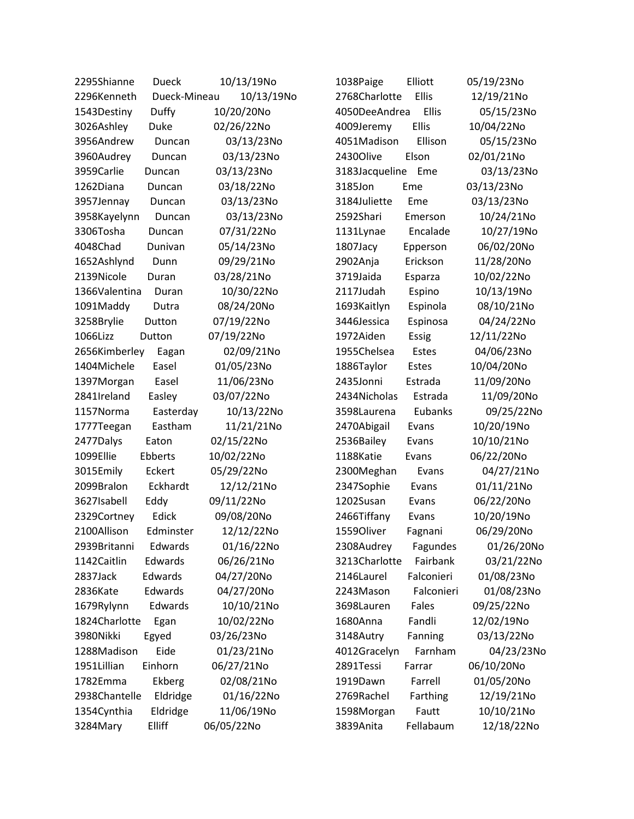| 2295Shianne<br>Dueck        | 10/13/19No | Elliott<br>1038Paige      | 05/19/23No |
|-----------------------------|------------|---------------------------|------------|
| 2296Kenneth<br>Dueck-Mineau | 10/13/19No | Ellis<br>2768Charlotte    | 12/19/21No |
| Duffy<br>1543Destiny        | 10/20/20No | 4050DeeAndrea<br>Ellis    | 05/15/23No |
| 3026Ashley<br>Duke          | 02/26/22No | Ellis<br>4009Jeremy       | 10/04/22No |
| 3956Andrew<br>Duncan        | 03/13/23No | Ellison<br>4051Madison    | 05/15/23No |
| 3960Audrey<br>Duncan        | 03/13/23No | 2430Olive<br>Elson        | 02/01/21No |
| 3959Carlie<br>Duncan        | 03/13/23No | 3183Jacqueline<br>Eme     | 03/13/23No |
| 1262Diana<br>Duncan         | 03/18/22No | 3185Jon<br>Eme            | 03/13/23No |
| 3957Jennay<br>Duncan        | 03/13/23No | 3184Juliette<br>Eme       | 03/13/23No |
| 3958Kayelynn<br>Duncan      | 03/13/23No | 2592Shari<br>Emerson      | 10/24/21No |
| 3306Tosha<br>Duncan         | 07/31/22No | Encalade<br>1131Lynae     | 10/27/19No |
| 4048Chad<br>Dunivan         | 05/14/23No | 1807Jacy<br>Epperson      | 06/02/20No |
| 1652Ashlynd<br>Dunn         | 09/29/21No | 2902Anja<br>Erickson      | 11/28/20No |
| 2139Nicole<br>Duran         | 03/28/21No | 3719Jaida<br>Esparza      | 10/02/22No |
| 1366Valentina<br>Duran      | 10/30/22No | 2117Judah<br>Espino       | 10/13/19No |
| 1091Maddy<br>Dutra          | 08/24/20No | 1693Kaitlyn<br>Espinola   | 08/10/21No |
| 3258Brylie<br>Dutton        | 07/19/22No | 3446Jessica<br>Espinosa   | 04/24/22No |
| 1066Lizz<br>Dutton          | 07/19/22No | 1972Aiden<br><b>Essig</b> | 12/11/22No |
| 2656Kimberley<br>Eagan      | 02/09/21No | 1955Chelsea<br>Estes      | 04/06/23No |
| 1404Michele<br>Easel        | 01/05/23No | 1886Taylor<br>Estes       | 10/04/20No |
| 1397Morgan<br>Easel         | 11/06/23No | 2435Jonni<br>Estrada      | 11/09/20No |
| 2841Ireland<br>Easley       | 03/07/22No | 2434Nicholas<br>Estrada   | 11/09/20No |
| 1157Norma<br>Easterday      | 10/13/22No | 3598Laurena<br>Eubanks    | 09/25/22No |
| Eastham<br>1777Teegan       | 11/21/21No | 2470Abigail<br>Evans      | 10/20/19No |
| 2477Dalys<br>Eaton          | 02/15/22No | 2536Bailey<br>Evans       | 10/10/21No |
| 1099Ellie<br>Ebberts        | 10/02/22No | 1188Katie<br>Evans        | 06/22/20No |
| 3015Emily<br>Eckert         | 05/29/22No | 2300Meghan<br>Evans       | 04/27/21No |
| 2099Bralon<br>Eckhardt      | 12/12/21No | 2347Sophie<br>Evans       | 01/11/21No |
| 3627Isabell<br>Eddy         | 09/11/22No | 1202Susan<br>Evans        | 06/22/20No |
| Edick<br>2329Cortney        | 09/08/20No | 2466Tiffany<br>Evans      | 10/20/19No |
| 2100Allison<br>Edminster    | 12/12/22No | 1559Oliver<br>Fagnani     | 06/29/20No |
| 2939Britanni<br>Edwards     | 01/16/22No | 2308Audrey<br>Fagundes    | 01/26/20No |
| 1142Caitlin<br>Edwards      | 06/26/21No | 3213Charlotte<br>Fairbank | 03/21/22No |
| Edwards<br>2837Jack         | 04/27/20No | Falconieri<br>2146Laurel  | 01/08/23No |
| 2836Kate<br>Edwards         | 04/27/20No | Falconieri<br>2243Mason   | 01/08/23No |
| Edwards<br>1679Rylynn       | 10/10/21No | Fales<br>3698Lauren       | 09/25/22No |
| 1824Charlotte<br>Egan       | 10/02/22No | Fandli<br>1680Anna        | 12/02/19No |
| 3980Nikki<br>Egyed          | 03/26/23No | 3148Autry<br>Fanning      | 03/13/22No |
| Eide<br>1288Madison         | 01/23/21No | Farnham<br>4012Gracelyn   | 04/23/23No |
| 1951Lillian<br>Einhorn      | 06/27/21No | 2891Tessi<br>Farrar       | 06/10/20No |
| 1782Emma<br>Ekberg          | 02/08/21No | Farrell<br>1919Dawn       | 01/05/20No |
| 2938Chantelle<br>Eldridge   | 01/16/22No | 2769Rachel<br>Farthing    | 12/19/21No |
| 1354Cynthia<br>Eldridge     | 11/06/19No | Fautt<br>1598Morgan       | 10/10/21No |
| 3284Mary<br>Elliff          | 06/05/22No | Fellabaum<br>3839Anita    | 12/18/22No |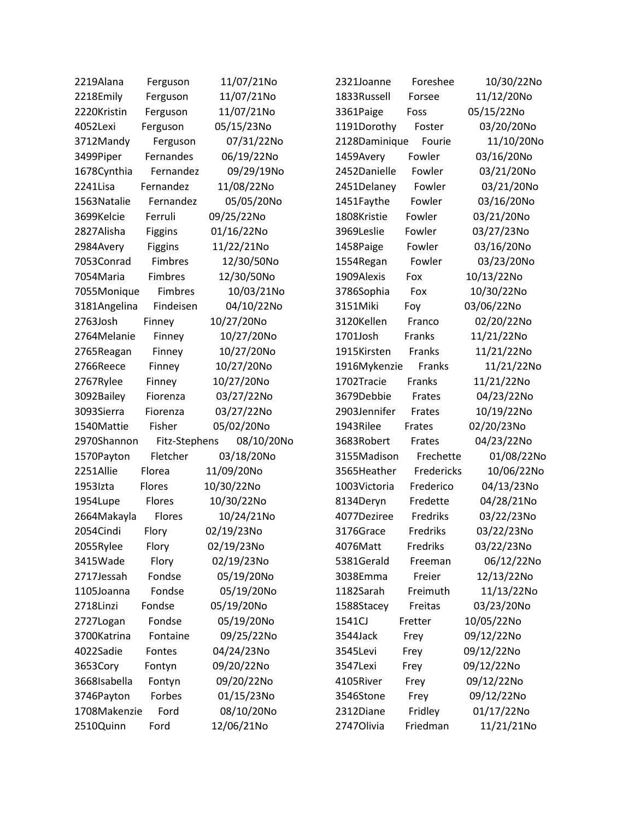| 2219Alana    | Ferguson      | 11/07/21No | 2321Joanne    | Foreshee      | 10/30/22No |
|--------------|---------------|------------|---------------|---------------|------------|
| 2218Emily    | Ferguson      | 11/07/21No | 1833Russell   | Forsee        | 11/12/20No |
| 2220Kristin  | Ferguson      | 11/07/21No | 3361Paige     | Foss          | 05/15/22No |
| 4052Lexi     | Ferguson      | 05/15/23No | 1191Dorothy   | Foster        | 03/20/20No |
| 3712Mandy    | Ferguson      | 07/31/22No | 2128Daminique | Fourie        | 11/10/20No |
| 3499Piper    | Fernandes     | 06/19/22No | 1459Avery     | Fowler        | 03/16/20No |
| 1678Cynthia  | Fernandez     | 09/29/19No | 2452Danielle  | Fowler        | 03/21/20No |
| 2241Lisa     | Fernandez     | 11/08/22No | 2451Delaney   | Fowler        | 03/21/20No |
| 1563Natalie  | Fernandez     | 05/05/20No | 1451Faythe    | Fowler        | 03/16/20No |
| 3699Kelcie   | Ferruli       | 09/25/22No | 1808Kristie   | Fowler        | 03/21/20No |
| 2827Alisha   | Figgins       | 01/16/22No | 3969Leslie    | Fowler        | 03/27/23No |
| 2984Avery    | Figgins       | 11/22/21No | 1458Paige     | Fowler        | 03/16/20No |
| 7053Conrad   | Fimbres       | 12/30/50No | 1554Regan     | Fowler        | 03/23/20No |
| 7054Maria    | Fimbres       | 12/30/50No | 1909Alexis    | Fox           | 10/13/22No |
| 7055Monique  | Fimbres       | 10/03/21No | 3786Sophia    | Fox           | 10/30/22No |
| 3181Angelina | Findeisen     | 04/10/22No | 3151Miki      | Foy           | 03/06/22No |
| 2763Josh     | Finney        | 10/27/20No | 3120Kellen    | Franco        | 02/20/22No |
| 2764Melanie  | Finney        | 10/27/20No | 1701Josh      | Franks        | 11/21/22No |
| 2765Reagan   | Finney        | 10/27/20No | 1915Kirsten   | Franks        | 11/21/22No |
| 2766Reece    | Finney        | 10/27/20No | 1916Mykenzie  | <b>Franks</b> | 11/21/22No |
| 2767Rylee    | Finney        | 10/27/20No | 1702Tracie    | Franks        | 11/21/22No |
| 3092Bailey   | Fiorenza      | 03/27/22No | 3679Debbie    | Frates        | 04/23/22No |
| 3093Sierra   | Fiorenza      | 03/27/22No | 2903Jennifer  | Frates        | 10/19/22No |
| 1540Mattie   | Fisher        | 05/02/20No | 1943Rilee     | Frates        | 02/20/23No |
| 2970Shannon  | Fitz-Stephens | 08/10/20No | 3683Robert    | Frates        | 04/23/22No |
| 1570Payton   | Fletcher      | 03/18/20No | 3155Madison   | Frechette     | 01/08/22No |
| 2251Allie    | Florea        | 11/09/20No | 3565Heather   | Fredericks    | 10/06/22No |
| 1953Izta     | Flores        | 10/30/22No | 1003Victoria  | Frederico     | 04/13/23No |
| 1954Lupe     | Flores        | 10/30/22No | 8134Deryn     | Fredette      | 04/28/21No |
| 2664Makayla  | Flores        | 10/24/21No | 4077Deziree   | Fredriks      | 03/22/23No |
| 2054Cindi    | Flory         | 02/19/23No | 3176Grace     | Fredriks      | 03/22/23No |
| 2055Rylee    | Flory         | 02/19/23No | 4076Matt      | Fredriks      | 03/22/23No |
| 3415Wade     | Flory         | 02/19/23No | 5381Gerald    | Freeman       | 06/12/22No |
| 2717Jessah   | Fondse        | 05/19/20No | 3038Emma      | Freier        | 12/13/22No |
| 1105Joanna   | Fondse        | 05/19/20No | 1182Sarah     | Freimuth      | 11/13/22No |
| 2718Linzi    | Fondse        | 05/19/20No | 1588Stacey    | Freitas       | 03/23/20No |
| 2727Logan    | Fondse        | 05/19/20No | 1541CJ        | Fretter       | 10/05/22No |
| 3700Katrina  | Fontaine      | 09/25/22No | 3544Jack      | Frey          | 09/12/22No |
| 4022Sadie    | Fontes        | 04/24/23No | 3545Levi      | Frey          | 09/12/22No |
| 3653Cory     | Fontyn        | 09/20/22No | 3547Lexi      | Frey          | 09/12/22No |
| 3668Isabella | Fontyn        | 09/20/22No | 4105River     | Frey          | 09/12/22No |
| 3746Payton   | Forbes        | 01/15/23No | 3546Stone     | Frey          | 09/12/22No |
| 1708Makenzie | Ford          | 08/10/20No | 2312Diane     | Fridley       | 01/17/22No |
| 2510Quinn    | Ford          | 12/06/21No | 2747Olivia    | Friedman      | 11/21/21No |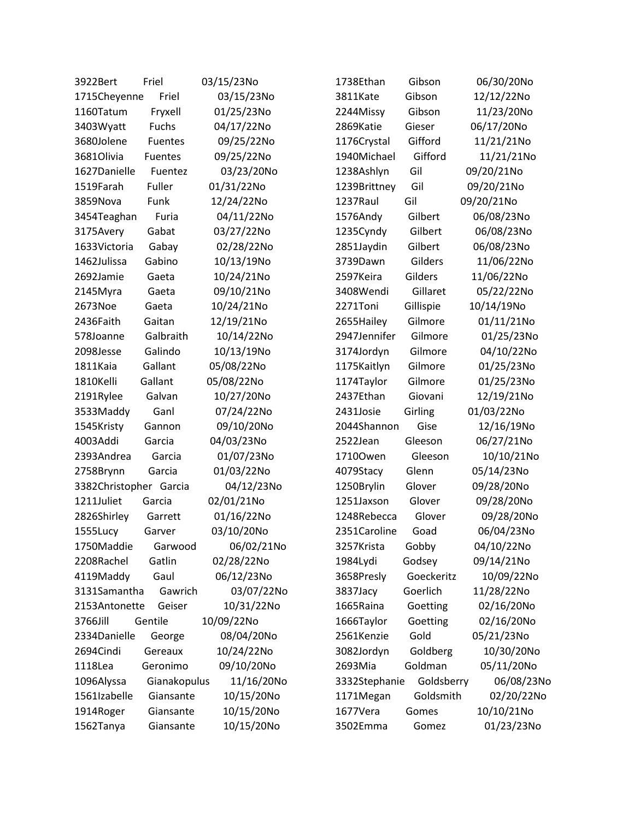| 3922Bert               | Friel        | 03/15/23No | 1738Ethan     | Gibson     | 06/30/20No |
|------------------------|--------------|------------|---------------|------------|------------|
| 1715Cheyenne           | Friel        | 03/15/23No | 3811Kate      | Gibson     | 12/12/22No |
| 1160Tatum              | Fryxell      | 01/25/23No | 2244Missy     | Gibson     | 11/23/20No |
| 3403Wyatt              | Fuchs        | 04/17/22No | 2869Katie     | Gieser     | 06/17/20No |
| 3680Jolene             | Fuentes      | 09/25/22No | 1176Crystal   | Gifford    | 11/21/21No |
| 3681Olivia             | Fuentes      | 09/25/22No | 1940Michael   | Gifford    | 11/21/21No |
| 1627Danielle           | Fuentez      | 03/23/20No | 1238Ashlyn    | Gil        | 09/20/21No |
| 1519Farah              | Fuller       | 01/31/22No | 1239Brittney  | Gil        | 09/20/21No |
| 3859Nova               | Funk         | 12/24/22No | 1237Raul      | Gil        | 09/20/21No |
| 3454Teaghan            | Furia        | 04/11/22No | 1576Andy      | Gilbert    | 06/08/23No |
| 3175Avery              | Gabat        | 03/27/22No | 1235Cyndy     | Gilbert    | 06/08/23No |
| 1633Victoria           | Gabay        | 02/28/22No | 2851Jaydin    | Gilbert    | 06/08/23No |
| 1462Julissa            | Gabino       | 10/13/19No | 3739Dawn      | Gilders    | 11/06/22No |
| 2692Jamie              | Gaeta        | 10/24/21No | 2597Keira     | Gilders    | 11/06/22No |
| 2145Myra               | Gaeta        | 09/10/21No | 3408Wendi     | Gillaret   | 05/22/22No |
| 2673Noe                | Gaeta        | 10/24/21No | 2271Toni      | Gillispie  | 10/14/19No |
| 2436Faith              | Gaitan       | 12/19/21No | 2655Hailey    | Gilmore    | 01/11/21No |
| 578Joanne              | Galbraith    | 10/14/22No | 2947Jennifer  | Gilmore    | 01/25/23No |
| 2098Jesse              | Galindo      | 10/13/19No | 3174Jordyn    | Gilmore    | 04/10/22No |
| 1811Kaia               | Gallant      | 05/08/22No | 1175Kaitlyn   | Gilmore    | 01/25/23No |
| 1810Kelli              | Gallant      | 05/08/22No | 1174Taylor    | Gilmore    | 01/25/23No |
| 2191Rylee              | Galvan       | 10/27/20No | 2437Ethan     | Giovani    | 12/19/21No |
| 3533Maddy              | Ganl         | 07/24/22No | 2431Josie     | Girling    | 01/03/22No |
| 1545Kristy             | Gannon       | 09/10/20No | 2044Shannon   | Gise       | 12/16/19No |
| 4003Addi               | Garcia       | 04/03/23No | 2522Jean      | Gleeson    | 06/27/21No |
| 2393Andrea             | Garcia       | 01/07/23No | 17100wen      | Gleeson    | 10/10/21No |
| 2758Brynn              | Garcia       | 01/03/22No | 4079Stacy     | Glenn      | 05/14/23No |
| 3382Christopher Garcia |              | 04/12/23No | 1250Brylin    | Glover     | 09/28/20No |
| 1211Juliet             | Garcia       | 02/01/21No | 1251Jaxson    | Glover     | 09/28/20No |
| 2826Shirley            | Garrett      | 01/16/22No | 1248Rebecca   | Glover     | 09/28/20No |
| 1555Lucy               | Garver       | 03/10/20No | 2351Caroline  | Goad       | 06/04/23No |
| 1750Maddie             | Garwood      | 06/02/21No | 3257Krista    | Gobby      | 04/10/22No |
| 2208Rachel             | Gatlin       | 02/28/22No | 1984Lydi      | Godsey     | 09/14/21No |
| 4119Maddy              | Gaul         | 06/12/23No | 3658Presly    | Goeckeritz | 10/09/22No |
| 3131Samantha           | Gawrich      | 03/07/22No | 3837Jacy      | Goerlich   | 11/28/22No |
| 2153Antonette          | Geiser       | 10/31/22No | 1665Raina     | Goetting   | 02/16/20No |
| 3766Jill               | Gentile      | 10/09/22No | 1666Taylor    | Goetting   | 02/16/20No |
| 2334Danielle           | George       | 08/04/20No | 2561Kenzie    | Gold       | 05/21/23No |
| 2694Cindi              | Gereaux      | 10/24/22No | 3082Jordyn    | Goldberg   | 10/30/20No |
| 1118Lea                | Geronimo     | 09/10/20No | 2693Mia       | Goldman    | 05/11/20No |
| 1096Alyssa             | Gianakopulus | 11/16/20No | 3332Stephanie | Goldsberry | 06/08/23No |
| 1561Izabelle           | Giansante    | 10/15/20No | 1171Megan     | Goldsmith  | 02/20/22No |
| 1914Roger              | Giansante    | 10/15/20No | 1677Vera      | Gomes      | 10/10/21No |
| 1562Tanya              | Giansante    | 10/15/20No | 3502Emma      | Gomez      | 01/23/23No |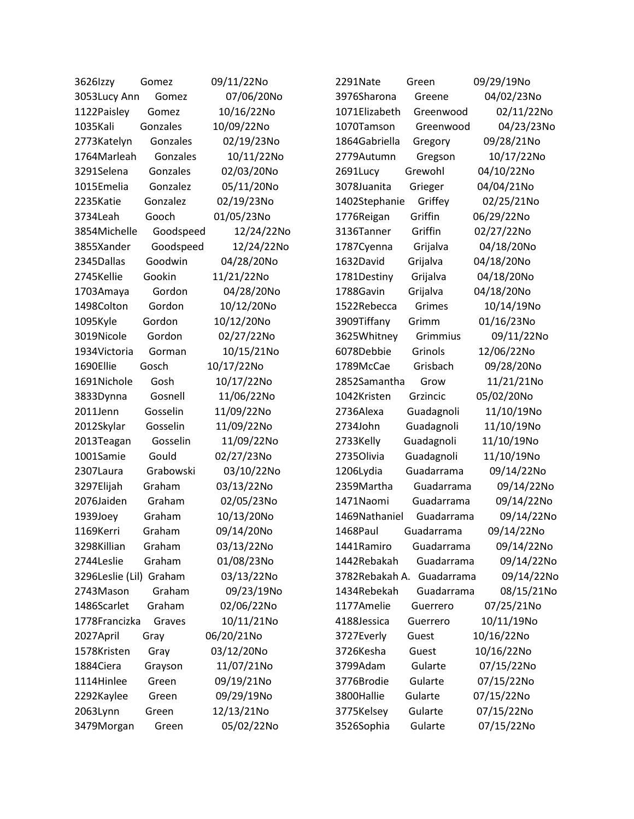| 3626 zzy                | Gomez     | 09/11/22No | 2291Nate       | Green      | 09/29/19No |
|-------------------------|-----------|------------|----------------|------------|------------|
| 3053Lucy Ann            | Gomez     | 07/06/20No | 3976Sharona    | Greene     | 04/02/23No |
| 1122Paisley             | Gomez     | 10/16/22No | 1071Elizabeth  | Greenwood  | 02/11/22No |
| 1035Kali                | Gonzales  | 10/09/22No | 1070Tamson     | Greenwood  | 04/23/23No |
| 2773Katelyn             | Gonzales  | 02/19/23No | 1864Gabriella  | Gregory    | 09/28/21No |
| 1764Marleah             | Gonzales  | 10/11/22No | 2779Autumn     | Gregson    | 10/17/22No |
| 3291Selena              | Gonzales  | 02/03/20No | 2691Lucy       | Grewohl    | 04/10/22No |
| 1015Emelia              | Gonzalez  | 05/11/20No | 3078Juanita    | Grieger    | 04/04/21No |
| 2235Katie               | Gonzalez  | 02/19/23No | 1402Stephanie  | Griffey    | 02/25/21No |
| 3734Leah                | Gooch     | 01/05/23No | 1776Reigan     | Griffin    | 06/29/22No |
| 3854Michelle            | Goodspeed | 12/24/22No | 3136Tanner     | Griffin    | 02/27/22No |
| 3855Xander              | Goodspeed | 12/24/22No | 1787Cyenna     | Grijalva   | 04/18/20No |
| 2345Dallas              | Goodwin   | 04/28/20No | 1632David      | Grijalva   | 04/18/20No |
| 2745Kellie              | Gookin    | 11/21/22No | 1781Destiny    | Grijalva   | 04/18/20No |
| 1703Amaya               | Gordon    | 04/28/20No | 1788Gavin      | Grijalva   | 04/18/20No |
| 1498Colton              | Gordon    | 10/12/20No | 1522Rebecca    | Grimes     | 10/14/19No |
| 1095Kyle                | Gordon    | 10/12/20No | 3909Tiffany    | Grimm      | 01/16/23No |
| 3019Nicole              | Gordon    | 02/27/22No | 3625Whitney    | Grimmius   | 09/11/22No |
| 1934Victoria            | Gorman    | 10/15/21No | 6078Debbie     | Grinols    | 12/06/22No |
| 1690Ellie               | Gosch     | 10/17/22No | 1789McCae      | Grisbach   | 09/28/20No |
| 1691Nichole             | Gosh      | 10/17/22No | 2852Samantha   | Grow       | 11/21/21No |
| 3833Dynna               | Gosnell   | 11/06/22No | 1042Kristen    | Grzincic   | 05/02/20No |
| 2011Jenn                | Gosselin  | 11/09/22No | 2736Alexa      | Guadagnoli | 11/10/19No |
| 2012Skylar              | Gosselin  | 11/09/22No | 2734John       | Guadagnoli | 11/10/19No |
| 2013Teagan              | Gosselin  | 11/09/22No | 2733Kelly      | Guadagnoli | 11/10/19No |
| 1001Samie               | Gould     | 02/27/23No | 2735Olivia     | Guadagnoli | 11/10/19No |
| 2307Laura               | Grabowski | 03/10/22No | 1206Lydia      | Guadarrama | 09/14/22No |
| 3297Elijah              | Graham    | 03/13/22No | 2359Martha     | Guadarrama | 09/14/22No |
| 2076Jaiden              | Graham    | 02/05/23No | 1471Naomi      | Guadarrama | 09/14/22No |
| 1939Joey                | Graham    | 10/13/20No | 1469Nathaniel  | Guadarrama | 09/14/22No |
| 1169Kerri               | Graham    | 09/14/20No | 1468Paul       | Guadarrama | 09/14/22No |
| 3298Killian             | Graham    | 03/13/22No | 1441Ramiro     | Guadarrama | 09/14/22No |
| 2744Leslie              | Graham    | 01/08/23No | 1442Rebakah    | Guadarrama | 09/14/22No |
| 3296Leslie (Lil) Graham |           | 03/13/22No | 3782Rebakah A. | Guadarrama | 09/14/22No |
| 2743Mason               | Graham    | 09/23/19No | 1434Rebekah    | Guadarrama | 08/15/21No |
| 1486Scarlet             | Graham    | 02/06/22No | 1177Amelie     | Guerrero   | 07/25/21No |
| 1778Francizka           | Graves    | 10/11/21No | 4188Jessica    | Guerrero   | 10/11/19No |
| 2027April               | Gray      | 06/20/21No | 3727Everly     | Guest      | 10/16/22No |
| 1578Kristen             | Gray      | 03/12/20No | 3726Kesha      | Guest      | 10/16/22No |
| 1884Ciera               | Grayson   | 11/07/21No | 3799Adam       | Gularte    | 07/15/22No |
| 1114Hinlee              | Green     | 09/19/21No | 3776Brodie     | Gularte    | 07/15/22No |
| 2292Kaylee              | Green     | 09/29/19No | 3800Hallie     | Gularte    | 07/15/22No |
| 2063Lynn                | Green     | 12/13/21No | 3775Kelsey     | Gularte    | 07/15/22No |
| 3479Morgan              | Green     | 05/02/22No | 3526Sophia     | Gularte    | 07/15/22No |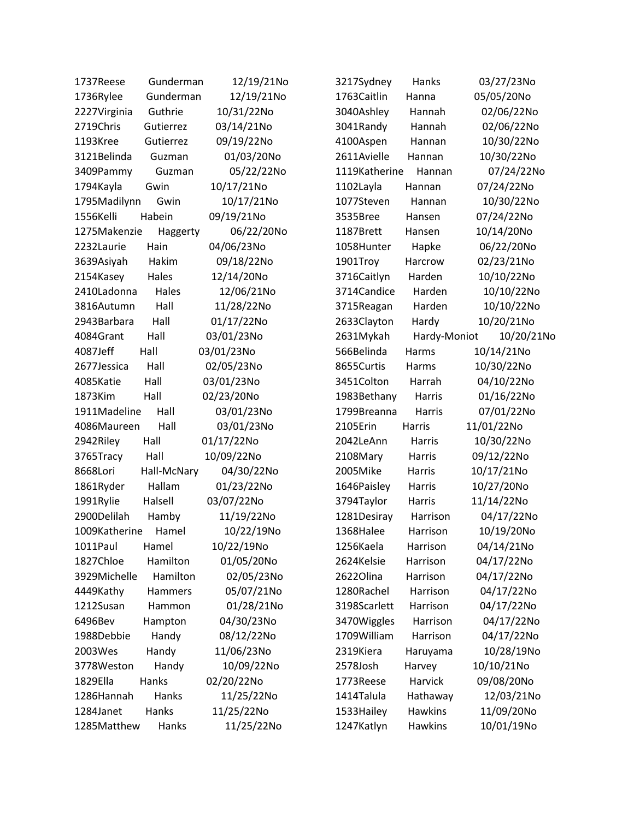| 1737Reese     | Gunderman      | 12/19/21No | 3217Sydney    | Hanks          | 03/27/23No |
|---------------|----------------|------------|---------------|----------------|------------|
| 1736Rylee     | Gunderman      | 12/19/21No | 1763Caitlin   | Hanna          | 05/05/20No |
| 2227Virginia  | Guthrie        | 10/31/22No | 3040Ashley    | Hannah         | 02/06/22No |
| 2719Chris     | Gutierrez      | 03/14/21No | 3041Randy     | Hannah         | 02/06/22No |
| 1193Kree      | Gutierrez      | 09/19/22No | 4100Aspen     | Hannan         | 10/30/22No |
| 3121Belinda   | Guzman         | 01/03/20No | 2611Avielle   | Hannan         | 10/30/22No |
| 3409Pammy     | Guzman         | 05/22/22No | 1119Katherine | Hannan         | 07/24/22No |
| 1794Kayla     | Gwin           | 10/17/21No | 1102Layla     | Hannan         | 07/24/22No |
| 1795Madilynn  | Gwin           | 10/17/21No | 1077Steven    | Hannan         | 10/30/22No |
| 1556Kelli     | Habein         | 09/19/21No | 3535Bree      | Hansen         | 07/24/22No |
| 1275Makenzie  | Haggerty       | 06/22/20No | 1187Brett     | Hansen         | 10/14/20No |
| 2232Laurie    | Hain           | 04/06/23No | 1058Hunter    | Hapke          | 06/22/20No |
| 3639Asiyah    | Hakim          | 09/18/22No | 1901Troy      | Harcrow        | 02/23/21No |
| 2154Kasey     | Hales          | 12/14/20No | 3716Caitlyn   | Harden         | 10/10/22No |
| 2410Ladonna   | Hales          | 12/06/21No | 3714Candice   | Harden         | 10/10/22No |
| 3816Autumn    | Hall           | 11/28/22No | 3715Reagan    | Harden         | 10/10/22No |
| 2943Barbara   | Hall           | 01/17/22No | 2633Clayton   | Hardy          | 10/20/21No |
| 4084Grant     | Hall           | 03/01/23No | 2631Mykah     | Hardy-Moniot   | 10/20/21No |
| 4087Jeff      | Hall           | 03/01/23No | 566Belinda    | Harms          | 10/14/21No |
| 2677Jessica   | Hall           | 02/05/23No | 8655Curtis    | Harms          | 10/30/22No |
| 4085Katie     | Hall           | 03/01/23No | 3451Colton    | Harrah         | 04/10/22No |
| 1873Kim       | Hall           | 02/23/20No | 1983Bethany   | Harris         | 01/16/22No |
| 1911Madeline  | Hall           | 03/01/23No | 1799Breanna   | Harris         | 07/01/22No |
| 4086Maureen   | Hall           | 03/01/23No | 2105Erin      | Harris         | 11/01/22No |
| 2942Riley     | Hall           | 01/17/22No | 2042LeAnn     | Harris         | 10/30/22No |
| 3765Tracy     | Hall           | 10/09/22No | 2108Mary      | Harris         | 09/12/22No |
| 8668Lori      | Hall-McNary    | 04/30/22No | 2005Mike      | Harris         | 10/17/21No |
| 1861Ryder     | Hallam         | 01/23/22No | 1646Paisley   | Harris         | 10/27/20No |
| 1991Rylie     | Halsell        | 03/07/22No | 3794Taylor    | Harris         | 11/14/22No |
| 2900Delilah   | Hamby          | 11/19/22No | 1281Desiray   | Harrison       | 04/17/22No |
| 1009Katherine | Hamel          | 10/22/19No | 1368Halee     | Harrison       | 10/19/20No |
| 1011Paul      | Hamel          | 10/22/19No | 1256Kaela     | Harrison       | 04/14/21No |
| 1827Chloe     | Hamilton       | 01/05/20No | 2624Kelsie    | Harrison       | 04/17/22No |
| 3929Michelle  | Hamilton       | 02/05/23No | 2622Olina     | Harrison       | 04/17/22No |
| 4449Kathy     | <b>Hammers</b> | 05/07/21No | 1280Rachel    | Harrison       | 04/17/22No |
| 1212Susan     | Hammon         | 01/28/21No | 3198Scarlett  | Harrison       | 04/17/22No |
| 6496Bev       | Hampton        | 04/30/23No | 3470Wiggles   | Harrison       | 04/17/22No |
| 1988Debbie    | Handy          | 08/12/22No | 1709William   | Harrison       | 04/17/22No |
| 2003Wes       | Handy          | 11/06/23No | 2319Kiera     | Haruyama       | 10/28/19No |
| 3778Weston    | Handy          | 10/09/22No | 2578Josh      | Harvey         | 10/10/21No |
| 1829Ella      | Hanks          | 02/20/22No | 1773Reese     | Harvick        | 09/08/20No |
| 1286Hannah    | Hanks          | 11/25/22No | 1414Talula    | Hathaway       | 12/03/21No |
| 1284Janet     | Hanks          | 11/25/22No | 1533 Hailey   | <b>Hawkins</b> | 11/09/20No |
| 1285Matthew   | Hanks          | 11/25/22No | 1247Katlyn    | <b>Hawkins</b> | 10/01/19No |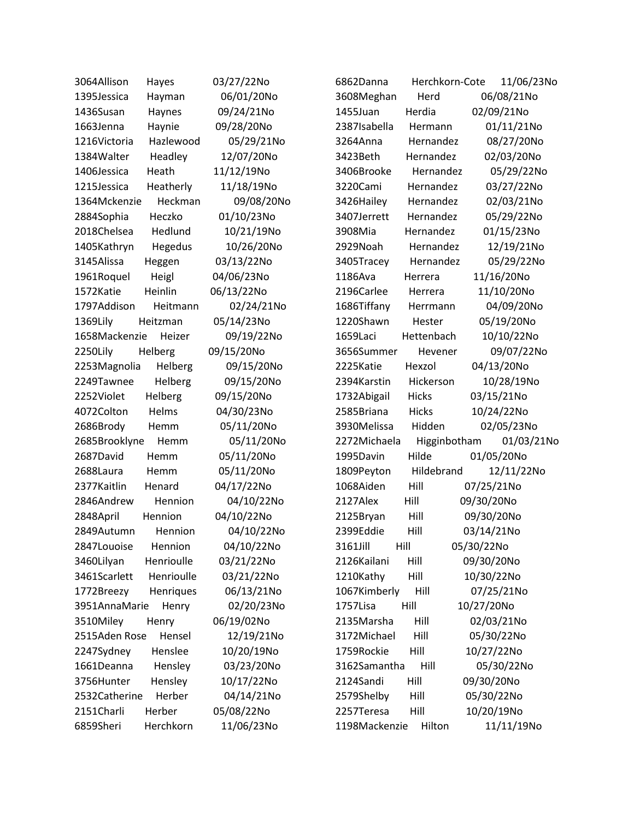| 3064Allison   | Hayes      | 03/27/22No | 6862Danna     | Herchkorn-Cote | 11/06/23No |
|---------------|------------|------------|---------------|----------------|------------|
| 1395Jessica   | Hayman     | 06/01/20No | 3608Meghan    | Herd           | 06/08/21No |
| 1436Susan     | Haynes     | 09/24/21No | 1455Juan      | Herdia         | 02/09/21No |
| 1663Jenna     | Haynie     | 09/28/20No | 2387Isabella  | Hermann        | 01/11/21No |
| 1216Victoria  | Hazlewood  | 05/29/21No | 3264Anna      | Hernandez      | 08/27/20No |
| 1384Walter    | Headley    | 12/07/20No | 3423Beth      | Hernandez      | 02/03/20No |
| 1406Jessica   | Heath      | 11/12/19No | 3406Brooke    | Hernandez      | 05/29/22No |
| 1215Jessica   | Heatherly  | 11/18/19No | 3220Cami      | Hernandez      | 03/27/22No |
| 1364Mckenzie  | Heckman    | 09/08/20No | 3426Hailey    | Hernandez      | 02/03/21No |
| 2884Sophia    | Heczko     | 01/10/23No | 3407Jerrett   | Hernandez      | 05/29/22No |
| 2018Chelsea   | Hedlund    | 10/21/19No | 3908Mia       | Hernandez      | 01/15/23No |
| 1405Kathryn   | Hegedus    | 10/26/20No | 2929Noah      | Hernandez      | 12/19/21No |
| 3145Alissa    | Heggen     | 03/13/22No | 3405Tracey    | Hernandez      | 05/29/22No |
| 1961Roquel    | Heigl      | 04/06/23No | 1186Ava       | Herrera        | 11/16/20No |
| 1572Katie     | Heinlin    | 06/13/22No | 2196Carlee    | Herrera        | 11/10/20No |
| 1797Addison   | Heitmann   | 02/24/21No | 1686Tiffany   | Herrmann       | 04/09/20No |
| 1369Lily      | Heitzman   | 05/14/23No | 1220Shawn     | Hester         | 05/19/20No |
| 1658Mackenzie | Heizer     | 09/19/22No | 1659Laci      | Hettenbach     | 10/10/22No |
| 2250Lily      | Helberg    | 09/15/20No | 3656Summer    | Hevener        | 09/07/22No |
| 2253Magnolia  | Helberg    | 09/15/20No | 2225Katie     | Hexzol         | 04/13/20No |
| 2249Tawnee    | Helberg    | 09/15/20No | 2394Karstin   | Hickerson      | 10/28/19No |
| 2252Violet    | Helberg    | 09/15/20No | 1732Abigail   | <b>Hicks</b>   | 03/15/21No |
| 4072Colton    | Helms      | 04/30/23No | 2585Briana    | Hicks          | 10/24/22No |
| 2686Brody     | Hemm       | 05/11/20No | 3930Melissa   | Hidden         | 02/05/23No |
| 2685Brooklyne | Hemm       | 05/11/20No | 2272Michaela  | Higginbotham   | 01/03/21No |
| 2687David     | Hemm       | 05/11/20No | 1995Davin     | Hilde          | 01/05/20No |
| 2688Laura     | Hemm       | 05/11/20No | 1809Peyton    | Hildebrand     | 12/11/22No |
| 2377Kaitlin   | Henard     | 04/17/22No | 1068Aiden     | Hill           | 07/25/21No |
| 2846Andrew    | Hennion    | 04/10/22No | 2127Alex      | Hill           | 09/30/20No |
| 2848April     | Hennion    | 04/10/22No | 2125Bryan     | Hill           | 09/30/20No |
| 2849Autumn    | Hennion    | 04/10/22No | 2399Eddie     | Hill           | 03/14/21No |
| 2847Louoise   | Hennion    | 04/10/22No | 3161Jill      | Hill           | 05/30/22No |
| 3460Lilyan    | Henrioulle | 03/21/22No | 2126Kailani   | Hill           | 09/30/20No |
| 3461Scarlett  | Henrioulle | 03/21/22No | 1210Kathy     | Hill           | 10/30/22No |
| 1772Breezy    | Henriques  | 06/13/21No | 1067Kimberly  | Hill           | 07/25/21No |
| 3951AnnaMarie | Henry      | 02/20/23No | 1757Lisa      | Hill           | 10/27/20No |
| 3510Miley     | Henry      | 06/19/02No | 2135Marsha    | Hill           | 02/03/21No |
| 2515Aden Rose | Hensel     | 12/19/21No | 3172Michael   | Hill           | 05/30/22No |
| 2247Sydney    | Henslee    | 10/20/19No | 1759Rockie    | Hill           | 10/27/22No |
| 1661Deanna    | Hensley    | 03/23/20No | 3162Samantha  | Hill           | 05/30/22No |
| 3756Hunter    | Hensley    | 10/17/22No | 2124Sandi     | Hill           | 09/30/20No |
| 2532Catherine | Herber     | 04/14/21No | 2579Shelby    | Hill           | 05/30/22No |
| 2151Charli    | Herber     | 05/08/22No | 2257Teresa    | Hill           | 10/20/19No |
| 6859Sheri     | Herchkorn  | 11/06/23No | 1198Mackenzie | Hilton         | 11/11/19No |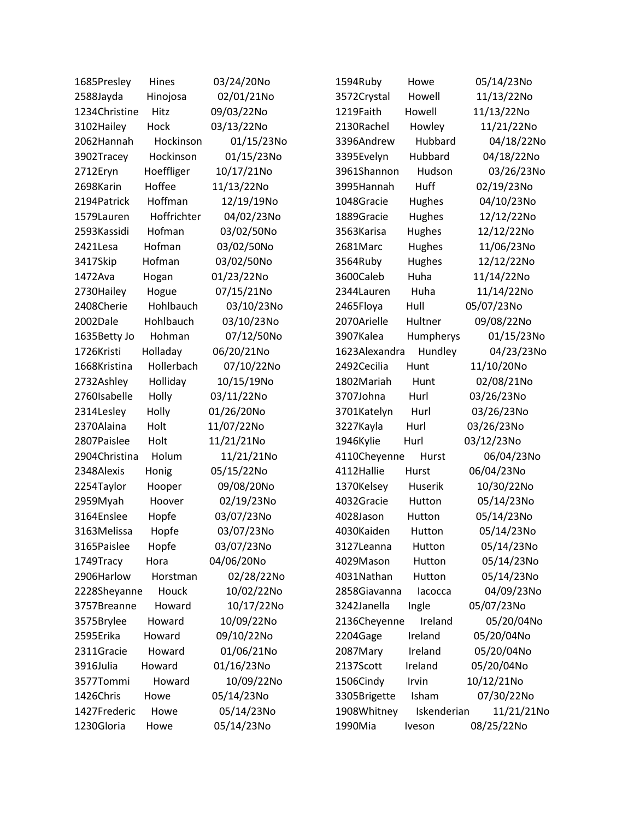| 1685Presley   | Hines       | 03/24/20No | 1594Ruby      | Howe        | 05/14/23No |
|---------------|-------------|------------|---------------|-------------|------------|
| 2588Jayda     | Hinojosa    | 02/01/21No | 3572Crystal   | Howell      | 11/13/22No |
| 1234Christine | Hitz        | 09/03/22No | 1219Faith     | Howell      | 11/13/22No |
| 3102Hailey    | Hock        | 03/13/22No | 2130Rachel    | Howley      | 11/21/22No |
| 2062Hannah    | Hockinson   | 01/15/23No | 3396Andrew    | Hubbard     | 04/18/22No |
| 3902Tracey    | Hockinson   | 01/15/23No | 3395Evelyn    | Hubbard     | 04/18/22No |
| 2712Eryn      | Hoeffliger  | 10/17/21No | 3961Shannon   | Hudson      | 03/26/23No |
| 2698Karin     | Hoffee      | 11/13/22No | 3995Hannah    | Huff        | 02/19/23No |
| 2194Patrick   | Hoffman     | 12/19/19No | 1048Gracie    | Hughes      | 04/10/23No |
| 1579Lauren    | Hoffrichter | 04/02/23No | 1889Gracie    | Hughes      | 12/12/22No |
| 2593Kassidi   | Hofman      | 03/02/50No | 3563Karisa    | Hughes      | 12/12/22No |
| 2421Lesa      | Hofman      | 03/02/50No | 2681Marc      | Hughes      | 11/06/23No |
| 3417Skip      | Hofman      | 03/02/50No | 3564Ruby      | Hughes      | 12/12/22No |
| 1472Ava       | Hogan       | 01/23/22No | 3600Caleb     | Huha        | 11/14/22No |
| 2730Hailey    | Hogue       | 07/15/21No | 2344Lauren    | Huha        | 11/14/22No |
| 2408Cherie    | Hohlbauch   | 03/10/23No | 2465Floya     | Hull        | 05/07/23No |
| 2002Dale      | Hohlbauch   | 03/10/23No | 2070Arielle   | Hultner     | 09/08/22No |
| 1635Betty Jo  | Hohman      | 07/12/50No | 3907Kalea     | Humpherys   | 01/15/23No |
| 1726Kristi    | Holladay    | 06/20/21No | 1623Alexandra | Hundley     | 04/23/23No |
| 1668Kristina  | Hollerbach  | 07/10/22No | 2492Cecilia   | Hunt        | 11/10/20No |
| 2732Ashley    | Holliday    | 10/15/19No | 1802Mariah    | Hunt        | 02/08/21No |
| 2760Isabelle  | Holly       | 03/11/22No | 3707Johna     | Hurl        | 03/26/23No |
| 2314Lesley    | Holly       | 01/26/20No | 3701Katelyn   | Hurl        | 03/26/23No |
| 2370Alaina    | Holt        | 11/07/22No | 3227Kayla     | Hurl        | 03/26/23No |
| 2807Paislee   | Holt        | 11/21/21No | 1946Kylie     | Hurl        | 03/12/23No |
| 2904Christina | Holum       | 11/21/21No | 4110Cheyenne  | Hurst       | 06/04/23No |
| 2348Alexis    | Honig       | 05/15/22No | 4112Hallie    | Hurst       | 06/04/23No |
| 2254Taylor    | Hooper      | 09/08/20No | 1370Kelsey    | Huserik     | 10/30/22No |
| 2959Myah      | Hoover      | 02/19/23No | 4032Gracie    | Hutton      | 05/14/23No |
| 3164Enslee    | Hopfe       | 03/07/23No | 4028Jason     | Hutton      | 05/14/23No |
| 3163Melissa   | Hopfe       | 03/07/23No | 4030Kaiden    | Hutton      | 05/14/23No |
| 3165Paislee   | Hopfe       | 03/07/23No | 3127Leanna    | Hutton      | 05/14/23No |
| 1749Tracy     | Hora        | 04/06/20No | 4029Mason     | Hutton      | 05/14/23No |
| 2906Harlow    | Horstman    | 02/28/22No | 4031Nathan    | Hutton      | 05/14/23No |
| 2228Sheyanne  | Houck       | 10/02/22No | 2858Giavanna  | lacocca     | 04/09/23No |
| 3757Breanne   | Howard      | 10/17/22No | 3242Janella   | Ingle       | 05/07/23No |
| 3575Brylee    | Howard      | 10/09/22No | 2136Cheyenne  | Ireland     | 05/20/04No |
| 2595Erika     | Howard      | 09/10/22No | 2204Gage      | Ireland     | 05/20/04No |
| 2311Gracie    | Howard      | 01/06/21No | 2087Mary      | Ireland     | 05/20/04No |
| 3916Julia     | Howard      | 01/16/23No | 2137Scott     | Ireland     | 05/20/04No |
| 3577Tommi     | Howard      | 10/09/22No | 1506Cindy     | Irvin       | 10/12/21No |
| 1426Chris     | Howe        | 05/14/23No | 3305Brigette  | Isham       | 07/30/22No |
| 1427Frederic  | Howe        | 05/14/23No | 1908Whitney   | Iskenderian | 11/21/21No |
| 1230Gloria    | Howe        | 05/14/23No | 1990Mia       | Iveson      | 08/25/22No |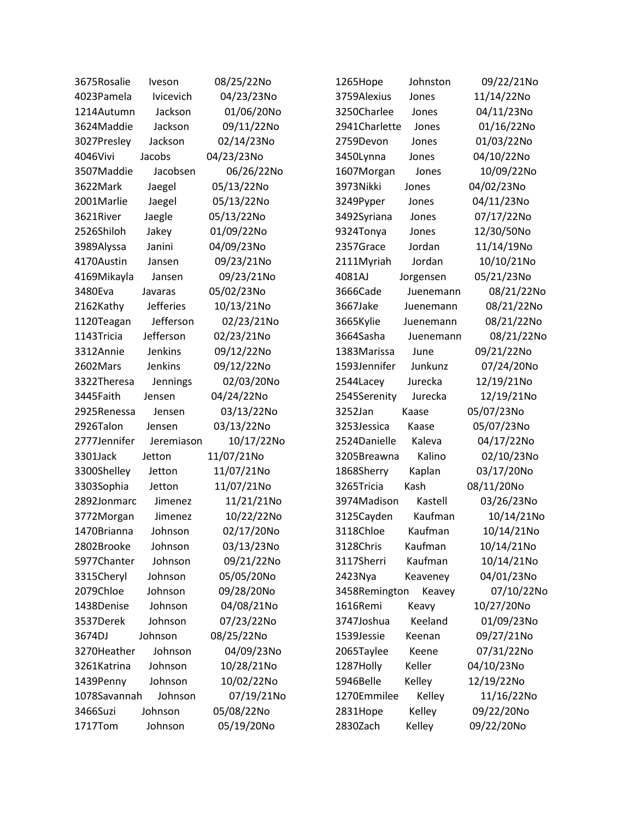| 3675Rosalie  | Iveson           | 08/25/22No | 1265Hope      | Johnston  | 09/22/21No |
|--------------|------------------|------------|---------------|-----------|------------|
| 4023Pamela   | Ivicevich        | 04/23/23No | 3759Alexius   | Jones     | 11/14/22No |
| 1214Autumn   | Jackson          | 01/06/20No | 3250Charlee   | Jones     | 04/11/23No |
| 3624Maddie   | Jackson          | 09/11/22No | 2941Charlette | Jones     | 01/16/22No |
| 3027Presley  | Jackson          | 02/14/23No | 2759Devon     | Jones     | 01/03/22No |
| 4046Vivi     | Jacobs           | 04/23/23No | 3450Lynna     | Jones     | 04/10/22No |
| 3507Maddie   | Jacobsen         | 06/26/22No | 1607Morgan    | Jones     | 10/09/22No |
| 3622Mark     | Jaegel           | 05/13/22No | 3973Nikki     | Jones     | 04/02/23No |
| 2001Marlie   | Jaegel           | 05/13/22No | 3249Pyper     | Jones     | 04/11/23No |
| 3621River    | Jaegle           | 05/13/22No | 3492Syriana   | Jones     | 07/17/22No |
| 2526Shiloh   | Jakey            | 01/09/22No | 9324Tonya     | Jones     | 12/30/50No |
| 3989Alyssa   | Janini           | 04/09/23No | 2357Grace     | Jordan    | 11/14/19No |
| 4170Austin   | Jansen           | 09/23/21No | 2111Myriah    | Jordan    | 10/10/21No |
| 4169Mikayla  | Jansen           | 09/23/21No | 4081AJ        | Jorgensen | 05/21/23No |
| 3480Eva      | Javaras          | 05/02/23No | 3666Cade      | Juenemann | 08/21/22No |
| 2162Kathy    | <b>Jefferies</b> | 10/13/21No | 3667Jake      | Juenemann | 08/21/22No |
| 1120Teagan   | Jefferson        | 02/23/21No | 3665Kylie     | Juenemann | 08/21/22No |
| 1143Tricia   | Jefferson        | 02/23/21No | 3664Sasha     | Juenemann | 08/21/22No |
| 3312Annie    | Jenkins          | 09/12/22No | 1383Marissa   | June      | 09/21/22No |
| 2602Mars     | Jenkins          | 09/12/22No | 1593Jennifer  | Junkunz   | 07/24/20No |
| 3322Theresa  | Jennings         | 02/03/20No | 2544Lacey     | Jurecka   | 12/19/21No |
| 3445Faith    | Jensen           | 04/24/22No | 2545Serenity  | Jurecka   | 12/19/21No |
| 2925Renessa  | Jensen           | 03/13/22No | 3252Jan       | Kaase     | 05/07/23No |
| 2926Talon    | Jensen           | 03/13/22No | 3253Jessica   | Kaase     | 05/07/23No |
| 2777Jennifer | Jeremiason       | 10/17/22No | 2524Danielle  | Kaleva    | 04/17/22No |
| 3301Jack     | Jetton           | 11/07/21No | 3205Breawna   | Kalino    | 02/10/23No |
| 3300Shelley  | Jetton           | 11/07/21No | 1868Sherry    | Kaplan    | 03/17/20No |
| 3303Sophia   | Jetton           | 11/07/21No | 3265Tricia    | Kash      | 08/11/20No |
| 2892Jonmarc  | Jimenez          | 11/21/21No | 3974Madison   | Kastell   | 03/26/23No |
| 3772Morgan   | Jimenez          | 10/22/22No | 3125Cayden    | Kaufman   | 10/14/21No |
| 1470Brianna  | Johnson          | 02/17/20No | 3118Chloe     | Kaufman   | 10/14/21No |
| 2802Brooke   | Johnson          | 03/13/23No | 3128Chris     | Kaufman   | 10/14/21No |
| 5977Chanter  | Johnson          | 09/21/22No | 3117Sherri    | Kaufman   | 10/14/21No |
| 3315Cheryl   | Johnson          | 05/05/20No | 2423Nya       | Keaveney  | 04/01/23No |
| 2079Chloe    | Johnson          | 09/28/20No | 3458Remington | Keavey    | 07/10/22No |
| 1438Denise   | Johnson          | 04/08/21No | 1616Remi      | Keavy     | 10/27/20No |
| 3537Derek    | Johnson          | 07/23/22No | 3747Joshua    | Keeland   | 01/09/23No |
| 3674DJ       | Johnson          | 08/25/22No | 1539Jessie    | Keenan    | 09/27/21No |
| 3270Heather  | Johnson          | 04/09/23No | 2065Taylee    | Keene     | 07/31/22No |
| 3261Katrina  | Johnson          | 10/28/21No | 1287Holly     | Keller    | 04/10/23No |
| 1439Penny    | Johnson          | 10/02/22No | 5946Belle     | Kelley    | 12/19/22No |
| 1078Savannah | Johnson          | 07/19/21No | 1270Emmilee   | Kelley    | 11/16/22No |
| 3466Suzi     | Johnson          | 05/08/22No | 2831Hope      | Kelley    | 09/22/20No |
| 1717Tom      | Johnson          | 05/19/20No | 2830Zach      | Kelley    | 09/22/20No |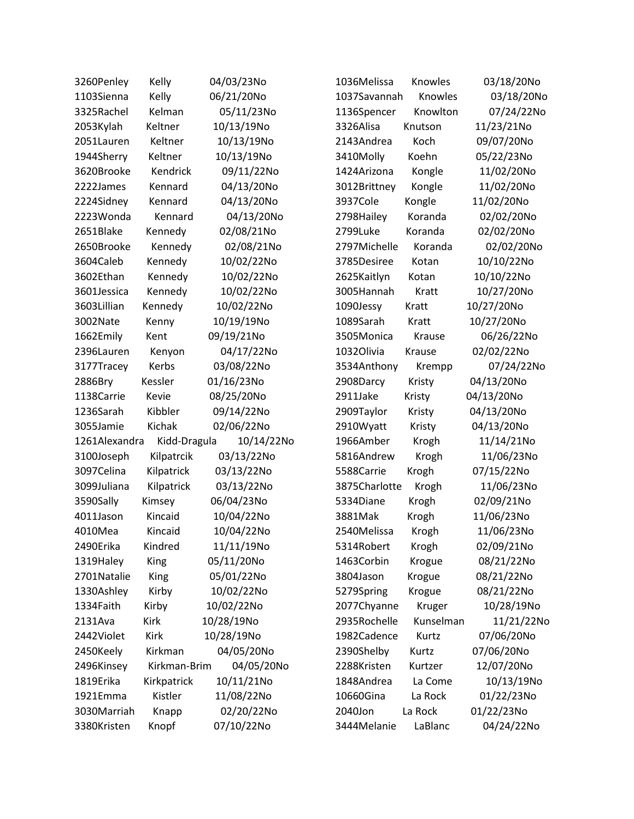| 3260Penley    | Kelly        | 04/03/23No | 1036Melissa   | Knowles   | 03/18/20No |
|---------------|--------------|------------|---------------|-----------|------------|
| 1103Sienna    | Kelly        | 06/21/20No | 1037Savannah  | Knowles   | 03/18/20No |
| 3325Rachel    | Kelman       | 05/11/23No | 1136Spencer   | Knowlton  | 07/24/22No |
| 2053Kylah     | Keltner      | 10/13/19No | 3326Alisa     | Knutson   | 11/23/21No |
| 2051Lauren    | Keltner      | 10/13/19No | 2143Andrea    | Koch      | 09/07/20No |
| 1944Sherry    | Keltner      | 10/13/19No | 3410Molly     | Koehn     | 05/22/23No |
| 3620Brooke    | Kendrick     | 09/11/22No | 1424Arizona   | Kongle    | 11/02/20No |
| 2222James     | Kennard      | 04/13/20No | 3012Brittney  | Kongle    | 11/02/20No |
| 2224Sidney    | Kennard      | 04/13/20No | 3937Cole      | Kongle    | 11/02/20No |
| 2223Wonda     | Kennard      | 04/13/20No | 2798Hailey    | Koranda   | 02/02/20No |
| 2651Blake     | Kennedy      | 02/08/21No | 2799Luke      | Koranda   | 02/02/20No |
| 2650Brooke    | Kennedy      | 02/08/21No | 2797Michelle  | Koranda   | 02/02/20No |
| 3604Caleb     | Kennedy      | 10/02/22No | 3785Desiree   | Kotan     | 10/10/22No |
| 3602Ethan     | Kennedy      | 10/02/22No | 2625Kaitlyn   | Kotan     | 10/10/22No |
| 3601Jessica   | Kennedy      | 10/02/22No | 3005Hannah    | Kratt     | 10/27/20No |
| 3603Lillian   | Kennedy      | 10/02/22No | 1090Jessy     | Kratt     | 10/27/20No |
| 3002Nate      | Kenny        | 10/19/19No | 1089Sarah     | Kratt     | 10/27/20No |
| 1662Emily     | Kent         | 09/19/21No | 3505Monica    | Krause    | 06/26/22No |
| 2396Lauren    | Kenyon       | 04/17/22No | 1032Olivia    | Krause    | 02/02/22No |
| 3177Tracey    | Kerbs        | 03/08/22No | 3534Anthony   | Krempp    | 07/24/22No |
| 2886Bry       | Kessler      | 01/16/23No | 2908Darcy     | Kristy    | 04/13/20No |
| 1138Carrie    | Kevie        | 08/25/20No | 2911Jake      | Kristy    | 04/13/20No |
| 1236Sarah     | Kibbler      | 09/14/22No | 2909Taylor    | Kristy    | 04/13/20No |
| 3055Jamie     | Kichak       | 02/06/22No | 2910Wyatt     | Kristy    | 04/13/20No |
| 1261Alexandra | Kidd-Dragula | 10/14/22No | 1966Amber     | Krogh     | 11/14/21No |
| 3100Joseph    | Kilpatrcik   | 03/13/22No | 5816Andrew    | Krogh     | 11/06/23No |
| 3097Celina    | Kilpatrick   | 03/13/22No | 5588Carrie    | Krogh     | 07/15/22No |
| 3099Juliana   | Kilpatrick   | 03/13/22No | 3875Charlotte | Krogh     | 11/06/23No |
| 3590Sally     | Kimsey       | 06/04/23No | 5334Diane     | Krogh     | 02/09/21No |
| 4011Jason     | Kincaid      | 10/04/22No | 3881Mak       | Krogh     | 11/06/23No |
| 4010Mea       | Kincaid      | 10/04/22No | 2540Melissa   | Krogh     | 11/06/23No |
| 2490Erika     | Kindred      | 11/11/19No | 5314Robert    | Krogh     | 02/09/21No |
| 1319Haley     | King         | 05/11/20No | 1463Corbin    | Krogue    | 08/21/22No |
| 2701Natalie   | King         | 05/01/22No | 3804Jason     | Krogue    | 08/21/22No |
| 1330Ashley    | Kirby        | 10/02/22No | 5279Spring    | Krogue    | 08/21/22No |
| 1334Faith     | Kirby        | 10/02/22No | 2077Chyanne   | Kruger    | 10/28/19No |
| 2131Ava       | <b>Kirk</b>  | 10/28/19No | 2935Rochelle  | Kunselman | 11/21/22No |
| 2442Violet    | Kirk         | 10/28/19No | 1982Cadence   | Kurtz     | 07/06/20No |
| 2450Keely     | Kirkman      | 04/05/20No | 2390Shelby    | Kurtz     | 07/06/20No |
| 2496Kinsey    | Kirkman-Brim | 04/05/20No | 2288Kristen   | Kurtzer   | 12/07/20No |
| 1819Erika     | Kirkpatrick  | 10/11/21No | 1848Andrea    | La Come   | 10/13/19No |
| 1921Emma      | Kistler      | 11/08/22No | 10660Gina     | La Rock   | 01/22/23No |
| 3030Marriah   | Knapp        | 02/20/22No | 2040Jon       | La Rock   | 01/22/23No |
| 3380Kristen   | Knopf        | 07/10/22No | 3444Melanie   | LaBlanc   | 04/24/22No |
|               |              |            |               |           |            |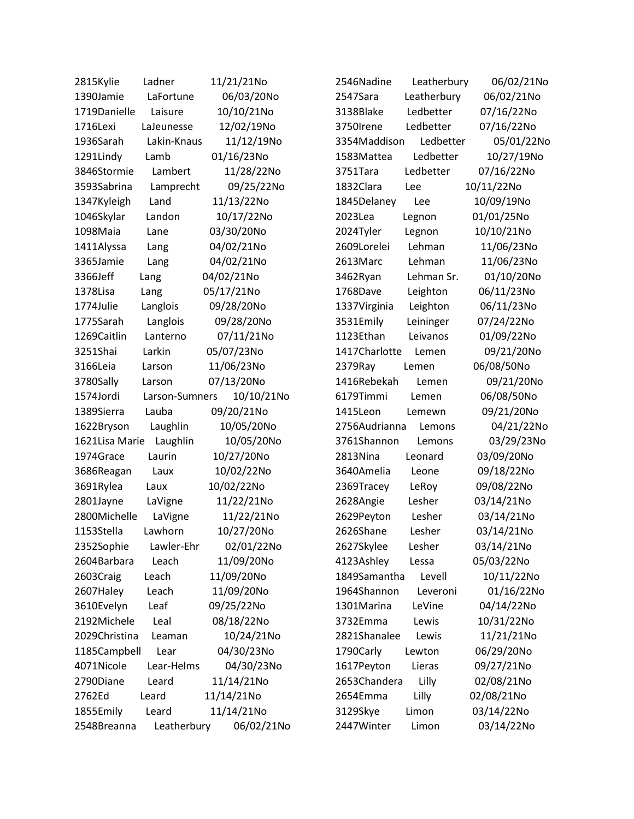| 2815Kylie      | Ladner         | 11/21/21No | 2546Nadine    | Leatherbury | 06/02/21No |
|----------------|----------------|------------|---------------|-------------|------------|
| 1390Jamie      | LaFortune      | 06/03/20No | 2547Sara      | Leatherbury | 06/02/21No |
| 1719Danielle   | Laisure        | 10/10/21No | 3138Blake     | Ledbetter   | 07/16/22No |
| 1716Lexi       | LaJeunesse     | 12/02/19No | 3750Irene     | Ledbetter   | 07/16/22No |
| 1936Sarah      | Lakin-Knaus    | 11/12/19No | 3354Maddison  | Ledbetter   | 05/01/22No |
| 1291Lindy      | Lamb           | 01/16/23No | 1583Mattea    | Ledbetter   | 10/27/19No |
| 3846Stormie    | Lambert        | 11/28/22No | 3751Tara      | Ledbetter   | 07/16/22No |
| 3593Sabrina    | Lamprecht      | 09/25/22No | 1832Clara     | Lee         | 10/11/22No |
| 1347Kyleigh    | Land           | 11/13/22No | 1845Delaney   | Lee         | 10/09/19No |
| 1046Skylar     | Landon         | 10/17/22No | 2023Lea       | Legnon      | 01/01/25No |
| 1098Maia       | Lane           | 03/30/20No | 2024Tyler     | Legnon      | 10/10/21No |
| 1411Alyssa     | Lang           | 04/02/21No | 2609Lorelei   | Lehman      | 11/06/23No |
| 3365Jamie      | Lang           | 04/02/21No | 2613Marc      | Lehman      | 11/06/23No |
| 3366Jeff       | Lang           | 04/02/21No | 3462Ryan      | Lehman Sr.  | 01/10/20No |
| 1378Lisa       | Lang           | 05/17/21No | 1768Dave      | Leighton    | 06/11/23No |
| 1774Julie      | Langlois       | 09/28/20No | 1337Virginia  | Leighton    | 06/11/23No |
| 1775Sarah      | Langlois       | 09/28/20No | 3531Emily     | Leininger   | 07/24/22No |
| 1269Caitlin    | Lanterno       | 07/11/21No | 1123Ethan     | Leivanos    | 01/09/22No |
| 3251Shai       | Larkin         | 05/07/23No | 1417Charlotte | Lemen       | 09/21/20No |
| 3166Leia       | Larson         | 11/06/23No | 2379Ray       | Lemen       | 06/08/50No |
| 3780Sally      | Larson         | 07/13/20No | 1416Rebekah   | Lemen       | 09/21/20No |
| 1574Jordi      | Larson-Sumners | 10/10/21No | 6179Timmi     | Lemen       | 06/08/50No |
| 1389Sierra     | Lauba          | 09/20/21No | 1415Leon      | Lemewn      | 09/21/20No |
| 1622Bryson     | Laughlin       | 10/05/20No | 2756Audrianna | Lemons      | 04/21/22No |
| 1621Lisa Marie | Laughlin       | 10/05/20No | 3761Shannon   | Lemons      | 03/29/23No |
| 1974Grace      | Laurin         | 10/27/20No | 2813Nina      | Leonard     | 03/09/20No |
| 3686Reagan     | Laux           | 10/02/22No | 3640Amelia    | Leone       | 09/18/22No |
| 3691Rylea      | Laux           | 10/02/22No | 2369Tracey    | LeRoy       | 09/08/22No |
| 2801Jayne      | LaVigne        | 11/22/21No | 2628Angie     | Lesher      | 03/14/21No |
| 2800Michelle   | LaVigne        | 11/22/21No | 2629Peyton    | Lesher      | 03/14/21No |
| 1153Stella     | Lawhorn        | 10/27/20No | 2626Shane     | Lesher      | 03/14/21No |
| 2352Sophie     | Lawler-Ehr     | 02/01/22No | 2627Skylee    | Lesher      | 03/14/21No |
| 2604Barbara    | Leach          | 11/09/20No | 4123Ashley    | Lessa       | 05/03/22No |
| 2603Craig      | Leach          | 11/09/20No | 1849Samantha  | Levell      | 10/11/22No |
| 2607Haley      | Leach          | 11/09/20No | 1964Shannon   | Leveroni    | 01/16/22No |
| 3610Evelyn     | Leaf           | 09/25/22No | 1301Marina    | LeVine      | 04/14/22No |
| 2192Michele    | Leal           | 08/18/22No | 3732Emma      | Lewis       | 10/31/22No |
| 2029Christina  | Leaman         | 10/24/21No | 2821Shanalee  | Lewis       | 11/21/21No |
| 1185Campbell   | Lear           | 04/30/23No | 1790Carly     | Lewton      | 06/29/20No |
| 4071Nicole     | Lear-Helms     | 04/30/23No | 1617Peyton    | Lieras      | 09/27/21No |
| 2790Diane      | Leard          | 11/14/21No | 2653Chandera  | Lilly       | 02/08/21No |
| 2762Ed         | Leard          | 11/14/21No | 2654Emma      | Lilly       | 02/08/21No |
| 1855Emily      | Leard          | 11/14/21No | 3129Skye      | Limon       | 03/14/22No |
| 2548Breanna    | Leatherbury    | 06/02/21No | 2447Winter    | Limon       | 03/14/22No |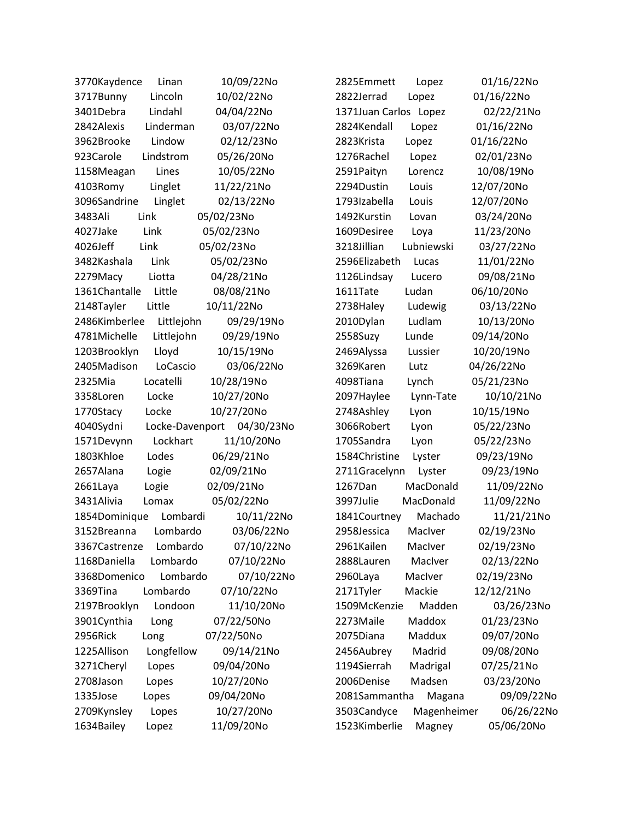| 10/09/22No                         | 01/16/22No                          |
|------------------------------------|-------------------------------------|
| 3770Kaydence                       | 2825Emmett                          |
| Linan                              | Lopez                               |
| 3717Bunny                          | 2822Jerrad                          |
| Lincoln                            | 01/16/22No                          |
| 10/02/22No                         | Lopez                               |
| Lindahl<br>04/04/22No<br>3401Debra | 02/22/21No<br>1371Juan Carlos Lopez |
| 2842Alexis                         | 2824Kendall                         |
| Linderman                          | 01/16/22No                          |
| 03/07/22No                         | Lopez                               |
| 3962Brooke                         | 01/16/22No                          |
| Lindow                             | 2823Krista                          |
| 02/12/23No                         | Lopez                               |
| 923Carole                          | 1276Rachel                          |
| Lindstrom                          | 02/01/23No                          |
| 05/26/20No                         | Lopez                               |
| 10/05/22No                         | 10/08/19No                          |
| 1158Meagan                         | 2591Paityn                          |
| Lines                              | Lorencz                             |
| 4103Romy                           | 2294Dustin                          |
| Linglet                            | 12/07/20No                          |
| 11/22/21No                         | Louis                               |
| 3096Sandrine                       | 1793Izabella                        |
| Linglet                            | 12/07/20No                          |
| 02/13/22No                         | Louis                               |
| 05/02/23No                         | 03/24/20No                          |
| Link                               | 1492Kurstin                         |
| 3483Ali                            | Lovan                               |
| Link                               | 1609Desiree                         |
| 4027Jake                           | 11/23/20No                          |
| 05/02/23No                         | Loya                                |
| 4026Jeff                           | 3218Jillian                         |
| Link                               | Lubniewski                          |
| 05/02/23No                         | 03/27/22No                          |
| 3482Kashala                        | 2596Elizabeth                       |
| 05/02/23No                         | 11/01/22No                          |
| Link                               | Lucas                               |
| 04/28/21No                         | 1126Lindsay                         |
| 2279Macy                           | 09/08/21No                          |
| Liotta                             | Lucero                              |
| 08/08/21No                         | Ludan                               |
| 1361Chantalle                      | 06/10/20No                          |
| Little                             | 1611Tate                            |
| 2148Tayler                         | 2738Haley                           |
| 10/11/22No                         | Ludewig                             |
| Little                             | 03/13/22No                          |
| 2486Kimberlee                      | 2010Dylan                           |
| 09/29/19No                         | Ludlam                              |
| Littlejohn                         | 10/13/20No                          |
| 4781Michelle                       | 2558Suzy                            |
| Littlejohn                         | Lunde                               |
| 09/29/19No                         | 09/14/20No                          |
| 10/15/19No                         | 2469Alyssa                          |
| 1203Brooklyn                       | 10/20/19No                          |
| Lloyd                              | Lussier                             |
| 03/06/22No                         | 3269Karen                           |
| 2405Madison                        | 04/26/22No                          |
| LoCascio                           | Lutz                                |
| 2325Mia                            | 4098Tiana                           |
| Locatelli                          | Lynch                               |
| 10/28/19No                         | 05/21/23No                          |
| 10/27/20No                         | 2097Haylee                          |
| 3358Loren                          | 10/10/21No                          |
| Locke                              | Lynn-Tate                           |
| Locke                              | 2748Ashley                          |
| 10/27/20No                         | 10/15/19No                          |
| 1770Stacy                          | Lyon                                |
| 4040Sydni                          | 05/22/23No                          |
| 04/30/23No                         | 3066Robert                          |
| Locke-Davenport                    | Lyon                                |
| 1571Devynn                         | 05/22/23No                          |
| Lockhart                           | 1705Sandra                          |
| 11/10/20No                         | Lyon                                |
| 1803Khloe                          | 1584Christine                       |
| Lodes                              | 09/23/19No                          |
| 06/29/21No                         | Lyster                              |
| 2657Alana                          | 2711Gracelynn                       |
| 02/09/21No                         | 09/23/19No                          |
| Logie                              | Lyster                              |
| 02/09/21No                         | 1267Dan                             |
| 2661Laya                           | MacDonald                           |
| Logie                              | 11/09/22No                          |
| 3431Alivia                         | 11/09/22No                          |
| 05/02/22No                         | 3997Julie                           |
| Lomax                              | MacDonald                           |
| 1854Dominique                      | 11/21/21No                          |
| 10/11/22No                         | 1841Courtney                        |
| Lombardi                           | Machado                             |
| 03/06/22No                         | 02/19/23No                          |
| 3152Breanna                        | 2958Jessica                         |
| Lombardo                           | MacIver                             |
| Lombardo                           | 2961Kailen                          |
| 07/10/22No                         | MacIver                             |
| 3367Castrenze                      | 02/19/23No                          |
| Lombardo                           | 2888Lauren                          |
| 1168Daniella                       | MacIver                             |
| 07/10/22No                         | 02/13/22No                          |
| 3368Domenico                       | 02/19/23No                          |
| Lombardo                           | 2960Laya                            |
| 07/10/22No                         | MacIver                             |
| 3369Tina                           | 2171Tyler                           |
| Lombardo                           | Mackie                              |
| 07/10/22No                         | 12/12/21No                          |
| 11/10/20No                         | Madden                              |
| 2197Brooklyn                       | 03/26/23No                          |
| Londoon                            | 1509McKenzie                        |
| 07/22/50No                         | Maddox                              |
| 3901Cynthia                        | 2273Maile                           |
| Long                               | 01/23/23No                          |
| <b>2956Rick</b>                    | 2075Diana                           |
| 07/22/50No                         | Maddux                              |
| Long                               | 09/07/20No                          |
| 1225Allison                        | 2456Aubrey                          |
| Longfellow                         | Madrid                              |
| 09/14/21No                         | 09/08/20No                          |
| 09/04/20No                         | 1194Sierrah                         |
| 3271Cheryl                         | Madrigal                            |
| Lopes                              | 07/25/21No                          |
| 10/27/20No                         | 2006Denise                          |
| 2708Jason                          | Madsen                              |
| Lopes                              | 03/23/20No                          |
| 1335Jose                           | 2081Sammantha                       |
| 09/04/20No                         | 09/09/22No                          |
| Lopes                              | Magana                              |
| 10/27/20No                         | 3503Candyce                         |
| 2709Kynsley                        | 06/26/22No                          |
| Lopes                              | Magenheimer                         |
| 1634Bailey                         | 1523Kimberlie                       |
| 11/09/20No                         | 05/06/20No                          |
| Lopez                              | Magney                              |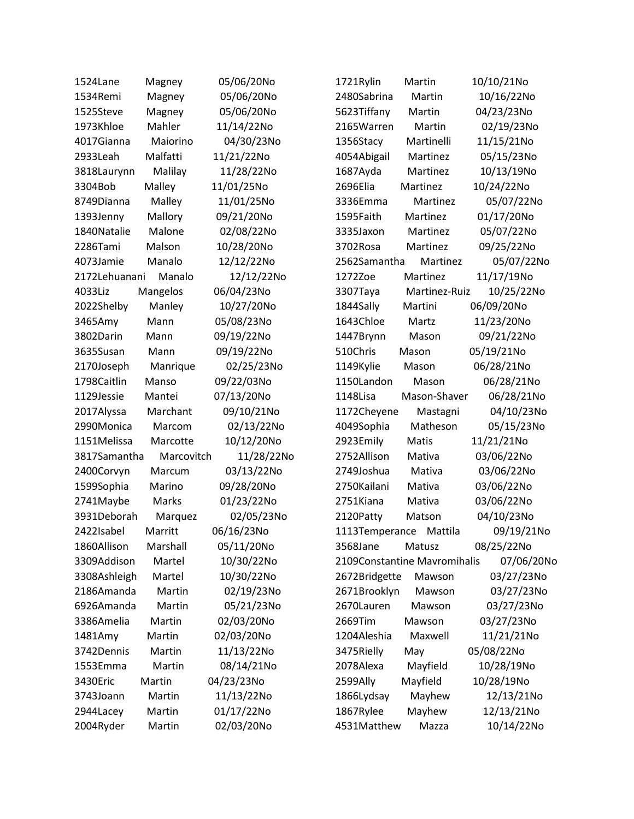| 1524Lane      | Magney     | 05/06/20No | 1721Rylin      | Martin                       | 10/10/21No |
|---------------|------------|------------|----------------|------------------------------|------------|
| 1534Remi      | Magney     | 05/06/20No | 2480Sabrina    | Martin                       | 10/16/22No |
| 1525Steve     | Magney     | 05/06/20No | 5623Tiffany    | Martin                       | 04/23/23No |
| 1973Khloe     | Mahler     | 11/14/22No | 2165Warren     | Martin                       | 02/19/23No |
| 4017Gianna    | Maiorino   | 04/30/23No | 1356Stacy      | Martinelli                   | 11/15/21No |
| 2933Leah      | Malfatti   | 11/21/22No | 4054Abigail    | Martinez                     | 05/15/23No |
| 3818Laurynn   | Malilay    | 11/28/22No | 1687Ayda       | Martinez                     | 10/13/19No |
| 3304Bob       | Malley     | 11/01/25No | 2696Elia       | Martinez                     | 10/24/22No |
| 8749Dianna    | Malley     | 11/01/25No | 3336Emma       | Martinez                     | 05/07/22No |
| 1393Jenny     | Mallory    | 09/21/20No | 1595Faith      | Martinez                     | 01/17/20No |
| 1840Natalie   | Malone     | 02/08/22No | 3335Jaxon      | Martinez                     | 05/07/22No |
| 2286Tami      | Malson     | 10/28/20No | 3702Rosa       | Martinez                     | 09/25/22No |
| 4073Jamie     | Manalo     | 12/12/22No | 2562Samantha   | Martinez                     | 05/07/22No |
| 2172Lehuanani | Manalo     | 12/12/22No | 1272Zoe        | Martinez                     | 11/17/19No |
| 4033Liz       | Mangelos   | 06/04/23No | 3307Taya       | Martinez-Ruiz                | 10/25/22No |
| 2022Shelby    | Manley     | 10/27/20No | 1844Sally      | Martini                      | 06/09/20No |
| 3465Amy       | Mann       | 05/08/23No | 1643Chloe      | Martz                        | 11/23/20No |
| 3802Darin     | Mann       | 09/19/22No | 1447Brynn      | Mason                        | 09/21/22No |
| 3635Susan     | Mann       | 09/19/22No | 510Chris       | Mason                        | 05/19/21No |
| 2170Joseph    | Manrique   | 02/25/23No | 1149Kylie      | Mason                        | 06/28/21No |
| 1798Caitlin   | Manso      | 09/22/03No | 1150Landon     | Mason                        | 06/28/21No |
| 1129Jessie    | Mantei     | 07/13/20No | 1148Lisa       | Mason-Shaver                 | 06/28/21No |
| 2017Alyssa    | Marchant   | 09/10/21No | 1172Cheyene    | Mastagni                     | 04/10/23No |
| 2990Monica    | Marcom     | 02/13/22No | 4049Sophia     | Matheson                     | 05/15/23No |
| 1151Melissa   | Marcotte   | 10/12/20No | 2923Emily      | Matis                        | 11/21/21No |
| 3817Samantha  | Marcovitch | 11/28/22No | 2752Allison    | Mativa                       | 03/06/22No |
| 2400Corvyn    | Marcum     | 03/13/22No | 2749Joshua     | Mativa                       | 03/06/22No |
| 1599Sophia    | Marino     | 09/28/20No | 2750Kailani    | Mativa                       | 03/06/22No |
| 2741Maybe     | Marks      | 01/23/22No | 2751Kiana      | Mativa                       | 03/06/22No |
| 3931Deborah   | Marquez    | 02/05/23No | 2120Patty      | Matson                       | 04/10/23No |
| 2422Isabel    | Marritt    | 06/16/23No | 1113Temperance | Mattila                      | 09/19/21No |
| 1860Allison   | Marshall   | 05/11/20No | 3568Jane       | Matusz                       | 08/25/22No |
| 3309Addison   | Martel     | 10/30/22No |                | 2109Constantine Mavromihalis | 07/06/20No |
| 3308Ashleigh  | Martel     | 10/30/22No | 2672Bridgette  | Mawson                       | 03/27/23No |
| 2186Amanda    | Martin     | 02/19/23No | 2671Brooklyn   | Mawson                       | 03/27/23No |
| 6926Amanda    | Martin     | 05/21/23No | 2670Lauren     | Mawson                       | 03/27/23No |
| 3386Amelia    | Martin     | 02/03/20No | 2669Tim        | Mawson                       | 03/27/23No |
| 1481Amy       | Martin     | 02/03/20No | 1204Aleshia    | Maxwell                      | 11/21/21No |
| 3742Dennis    | Martin     | 11/13/22No | 3475Rielly     | May                          | 05/08/22No |
| 1553Emma      | Martin     | 08/14/21No | 2078Alexa      | Mayfield                     | 10/28/19No |
| 3430Eric      | Martin     | 04/23/23No | 2599Ally       | Mayfield                     | 10/28/19No |
| 3743Joann     | Martin     | 11/13/22No | 1866Lydsay     | Mayhew                       | 12/13/21No |
| 2944Lacey     | Martin     | 01/17/22No | 1867Rylee      | Mayhew                       | 12/13/21No |
| 2004Ryder     | Martin     | 02/03/20No | 4531Matthew    | Mazza                        | 10/14/22No |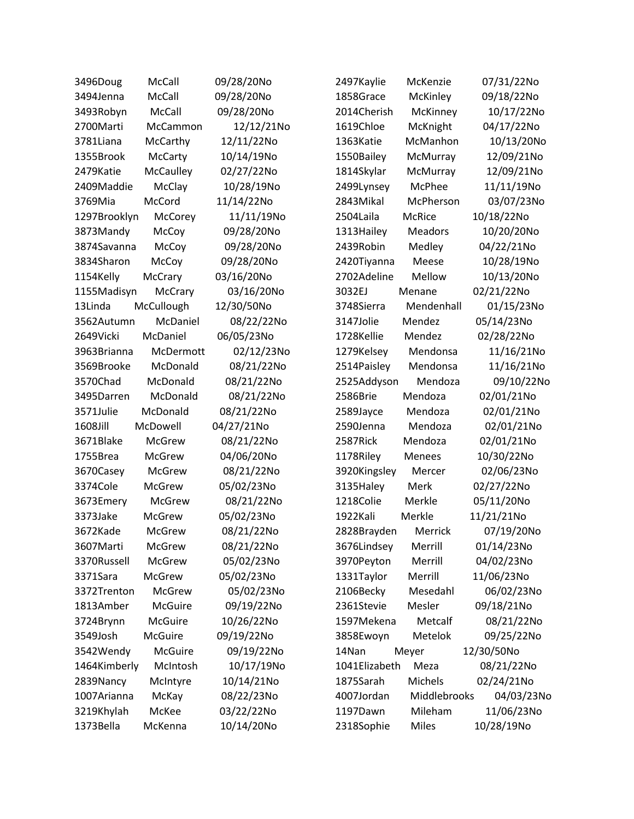| 3496Doug     | McCall         | 09/28/20No | 2497Kaylie    | McKenzie     | 07/31/22No |
|--------------|----------------|------------|---------------|--------------|------------|
| 3494Jenna    | McCall         | 09/28/20No | 1858Grace     | McKinley     | 09/18/22No |
| 3493Robyn    | McCall         | 09/28/20No | 2014Cherish   | McKinney     | 10/17/22No |
| 2700Marti    | McCammon       | 12/12/21No | 1619Chloe     | McKnight     | 04/17/22No |
| 3781Liana    | McCarthy       | 12/11/22No | 1363Katie     | McManhon     | 10/13/20No |
| 1355Brook    | <b>McCarty</b> | 10/14/19No | 1550Bailey    | McMurray     | 12/09/21No |
| 2479Katie    | McCaulley      | 02/27/22No | 1814Skylar    | McMurray     | 12/09/21No |
| 2409Maddie   | McClay         | 10/28/19No | 2499Lynsey    | McPhee       | 11/11/19No |
| 3769Mia      | McCord         | 11/14/22No | 2843Mikal     | McPherson    | 03/07/23No |
| 1297Brooklyn | McCorey        | 11/11/19No | 2504Laila     | McRice       | 10/18/22No |
| 3873Mandy    | McCoy          | 09/28/20No | 1313 Hailey   | Meadors      | 10/20/20No |
| 3874Savanna  | McCoy          | 09/28/20No | 2439Robin     | Medley       | 04/22/21No |
| 3834Sharon   | McCoy          | 09/28/20No | 2420Tiyanna   | Meese        | 10/28/19No |
| 1154Kelly    | McCrary        | 03/16/20No | 2702Adeline   | Mellow       | 10/13/20No |
| 1155Madisyn  | McCrary        | 03/16/20No | 3032EJ        | Menane       | 02/21/22No |
| 13Linda      | McCullough     | 12/30/50No | 3748Sierra    | Mendenhall   | 01/15/23No |
| 3562Autumn   | McDaniel       | 08/22/22No | 3147Jolie     | Mendez       | 05/14/23No |
| 2649Vicki    | McDaniel       | 06/05/23No | 1728Kellie    | Mendez       | 02/28/22No |
| 3963Brianna  | McDermott      | 02/12/23No | 1279Kelsey    | Mendonsa     | 11/16/21No |
| 3569Brooke   | McDonald       | 08/21/22No | 2514Paisley   | Mendonsa     | 11/16/21No |
| 3570Chad     | McDonald       | 08/21/22No | 2525Addyson   | Mendoza      | 09/10/22No |
| 3495Darren   | McDonald       | 08/21/22No | 2586Brie      | Mendoza      | 02/01/21No |
| 3571Julie    | McDonald       | 08/21/22No | 2589Jayce     | Mendoza      | 02/01/21No |
| 1608Jill     | McDowell       | 04/27/21No | 2590Jenna     | Mendoza      | 02/01/21No |
| 3671Blake    | <b>McGrew</b>  | 08/21/22No | 2587Rick      | Mendoza      | 02/01/21No |
| 1755Brea     | McGrew         | 04/06/20No | 1178Riley     | Menees       | 10/30/22No |
| 3670Casey    | <b>McGrew</b>  | 08/21/22No | 3920Kingsley  | Mercer       | 02/06/23No |
| 3374Cole     | <b>McGrew</b>  | 05/02/23No | 3135Haley     | Merk         | 02/27/22No |
| 3673Emery    | McGrew         | 08/21/22No | 1218Colie     | Merkle       | 05/11/20No |
| 3373Jake     | <b>McGrew</b>  | 05/02/23No | 1922Kali      | Merkle       | 11/21/21No |
| 3672Kade     | <b>McGrew</b>  | 08/21/22No | 2828Brayden   | Merrick      | 07/19/20No |
| 3607Marti    | <b>McGrew</b>  | 08/21/22No | 3676Lindsey   | Merrill      | 01/14/23No |
| 3370Russell  | <b>McGrew</b>  | 05/02/23No | 3970Peyton    | Merrill      | 04/02/23No |
| 3371Sara     | McGrew         | 05/02/23No | 1331Taylor    | Merrill      | 11/06/23No |
| 3372Trenton  | McGrew         | 05/02/23No | 2106Becky     | Mesedahl     | 06/02/23No |
| 1813Amber    | McGuire        | 09/19/22No | 2361Stevie    | Mesler       | 09/18/21No |
| 3724Brynn    | McGuire        | 10/26/22No | 1597Mekena    | Metcalf      | 08/21/22No |
| 3549Josh     | McGuire        | 09/19/22No | 3858Ewoyn     | Metelok      | 09/25/22No |
| 3542Wendy    | <b>McGuire</b> | 09/19/22No | 14Nan         | Meyer        | 12/30/50No |
| 1464Kimberly | McIntosh       | 10/17/19No | 1041Elizabeth | Meza         | 08/21/22No |
| 2839Nancy    | McIntyre       | 10/14/21No | 1875Sarah     | Michels      | 02/24/21No |
| 1007 Arianna | McKay          | 08/22/23No | 4007Jordan    | Middlebrooks | 04/03/23No |
| 3219Khylah   | McKee          | 03/22/22No | 1197Dawn      | Mileham      | 11/06/23No |
| 1373Bella    | McKenna        | 10/14/20No | 2318Sophie    | Miles        | 10/28/19No |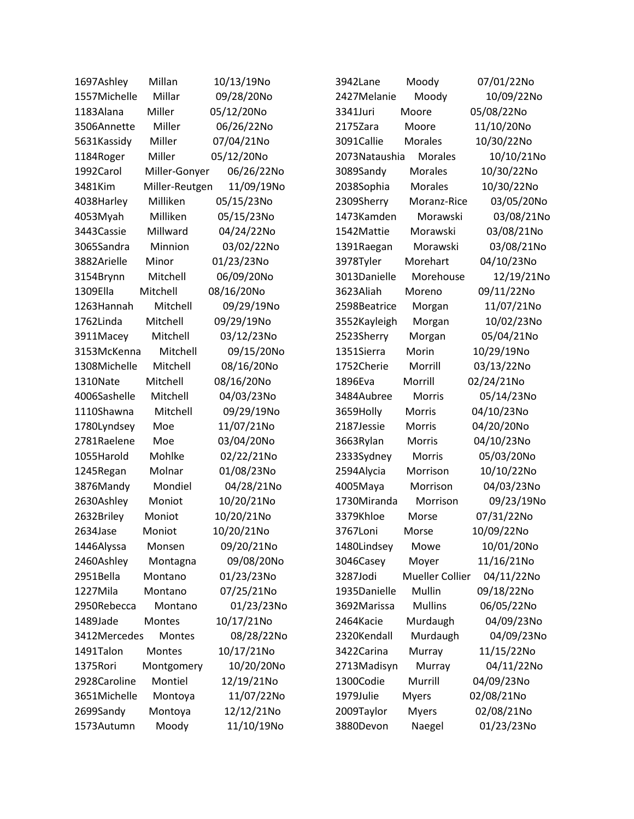| 1697Ashley   | Millan         | 10/13/19No | 3942Lane       | Moody                  | 07/01/22No |
|--------------|----------------|------------|----------------|------------------------|------------|
| 1557Michelle | Millar         | 09/28/20No | 2427Melanie    | Moody                  | 10/09/22No |
| 1183Alana    | Miller         | 05/12/20No | 3341Juri       | Moore                  | 05/08/22No |
| 3506Annette  | Miller         | 06/26/22No | 2175Zara       | Moore                  | 11/10/20No |
| 5631Kassidy  | Miller         | 07/04/21No | 3091Callie     | <b>Morales</b>         | 10/30/22No |
| 1184Roger    | Miller         | 05/12/20No | 2073 Nataushia | <b>Morales</b>         | 10/10/21No |
| 1992Carol    | Miller-Gonyer  | 06/26/22No | 3089Sandy      | <b>Morales</b>         | 10/30/22No |
| 3481Kim      | Miller-Reutgen | 11/09/19No | 2038Sophia     | <b>Morales</b>         | 10/30/22No |
| 4038Harley   | Milliken       | 05/15/23No | 2309Sherry     | Moranz-Rice            | 03/05/20No |
| 4053Myah     | Milliken       | 05/15/23No | 1473Kamden     | Morawski               | 03/08/21No |
| 3443 Cassie  | Millward       | 04/24/22No | 1542Mattie     | Morawski               | 03/08/21No |
| 3065Sandra   | Minnion        | 03/02/22No | 1391Raegan     | Morawski               | 03/08/21No |
| 3882Arielle  | Minor          | 01/23/23No | 3978Tyler      | Morehart               | 04/10/23No |
| 3154Brynn    | Mitchell       | 06/09/20No | 3013Danielle   | Morehouse              | 12/19/21No |
| 1309Ella     | Mitchell       | 08/16/20No | 3623Aliah      | Moreno                 | 09/11/22No |
| 1263Hannah   | Mitchell       | 09/29/19No | 2598Beatrice   | Morgan                 | 11/07/21No |
| 1762Linda    | Mitchell       | 09/29/19No | 3552Kayleigh   | Morgan                 | 10/02/23No |
| 3911Macey    | Mitchell       | 03/12/23No | 2523Sherry     | Morgan                 | 05/04/21No |
| 3153McKenna  | Mitchell       | 09/15/20No | 1351Sierra     | Morin                  | 10/29/19No |
| 1308Michelle | Mitchell       | 08/16/20No | 1752Cherie     | Morrill                | 03/13/22No |
| 1310Nate     | Mitchell       | 08/16/20No | 1896Eva        | Morrill                | 02/24/21No |
| 4006Sashelle | Mitchell       | 04/03/23No | 3484Aubree     | <b>Morris</b>          | 05/14/23No |
| 1110Shawna   | Mitchell       | 09/29/19No | 3659Holly      | Morris                 | 04/10/23No |
| 1780Lyndsey  | Moe            | 11/07/21No | 2187Jessie     | Morris                 | 04/20/20No |
| 2781Raelene  | Moe            | 03/04/20No | 3663Rylan      | Morris                 | 04/10/23No |
| 1055Harold   | Mohlke         | 02/22/21No | 2333Sydney     | Morris                 | 05/03/20No |
| 1245Regan    | Molnar         | 01/08/23No | 2594Alycia     | Morrison               | 10/10/22No |
| 3876Mandy    | Mondiel        | 04/28/21No | 4005Maya       | Morrison               | 04/03/23No |
| 2630Ashley   | Moniot         | 10/20/21No | 1730Miranda    | Morrison               | 09/23/19No |
| 2632Briley   | Moniot         | 10/20/21No | 3379Khloe      | Morse                  | 07/31/22No |
| 2634Jase     | Moniot         | 10/20/21No | 3767Loni       | Morse                  | 10/09/22No |
| 1446Alyssa   | Monsen         | 09/20/21No | 1480Lindsey    | Mowe                   | 10/01/20No |
| 2460Ashley   | Montagna       | 09/08/20No | 3046Casey      | Moyer                  | 11/16/21No |
| 2951Bella    | Montano        | 01/23/23No | 3287Jodi       | <b>Mueller Collier</b> | 04/11/22No |
| 1227Mila     | Montano        | 07/25/21No | 1935Danielle   | Mullin                 | 09/18/22No |
| 2950Rebecca  | Montano        | 01/23/23No | 3692Marissa    | <b>Mullins</b>         | 06/05/22No |
| 1489Jade     | Montes         | 10/17/21No | 2464Kacie      | Murdaugh               | 04/09/23No |
| 3412Mercedes | Montes         | 08/28/22No | 2320Kendall    | Murdaugh               | 04/09/23No |
| 1491Talon    | Montes         | 10/17/21No | 3422Carina     | Murray                 | 11/15/22No |
| 1375Rori     | Montgomery     | 10/20/20No | 2713Madisyn    | Murray                 | 04/11/22No |
| 2928Caroline | Montiel        | 12/19/21No | 1300Codie      | Murrill                | 04/09/23No |
| 3651Michelle | Montoya        | 11/07/22No | 1979Julie      | <b>Myers</b>           | 02/08/21No |
| 2699Sandy    | Montoya        | 12/12/21No | 2009Taylor     | <b>Myers</b>           | 02/08/21No |
| 1573Autumn   | Moody          | 11/10/19No | 3880Devon      | Naegel                 | 01/23/23No |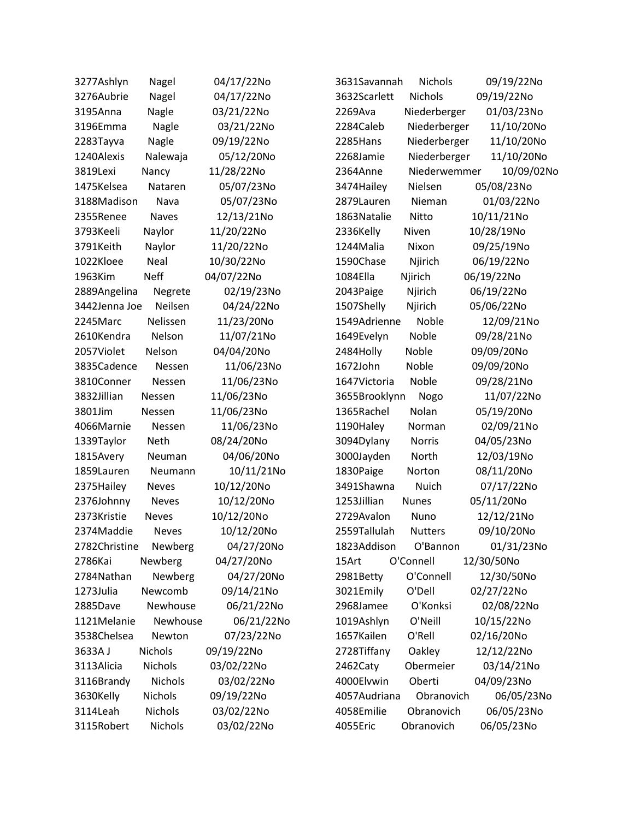| 3277Ashlyn    | Nagel          | 04/17/22No | 3631Savannah  | <b>Nichols</b> | 09/19/22No |
|---------------|----------------|------------|---------------|----------------|------------|
| 3276Aubrie    | Nagel          | 04/17/22No | 3632Scarlett  | Nichols        | 09/19/22No |
| 3195Anna      | Nagle          | 03/21/22No | 2269Ava       | Niederberger   | 01/03/23No |
| 3196Emma      | Nagle          | 03/21/22No | 2284Caleb     | Niederberger   | 11/10/20No |
| 2283Tayva     | Nagle          | 09/19/22No | 2285Hans      | Niederberger   | 11/10/20No |
| 1240Alexis    | Nalewaja       | 05/12/20No | 2268Jamie     | Niederberger   | 11/10/20No |
| 3819Lexi      | Nancy          | 11/28/22No | 2364Anne      | Niederwemmer   | 10/09/02No |
| 1475Kelsea    | Nataren        | 05/07/23No | 3474Hailey    | Nielsen        | 05/08/23No |
| 3188Madison   | Nava           | 05/07/23No | 2879Lauren    | Nieman         | 01/03/22No |
| 2355Renee     | <b>Naves</b>   | 12/13/21No | 1863 Natalie  | Nitto          | 10/11/21No |
| 3793Keeli     | Naylor         | 11/20/22No | 2336Kelly     | Niven          | 10/28/19No |
| 3791Keith     | Naylor         | 11/20/22No | 1244Malia     | Nixon          | 09/25/19No |
| 1022Kloee     | Neal           | 10/30/22No | 1590Chase     | Njirich        | 06/19/22No |
| 1963Kim       | <b>Neff</b>    | 04/07/22No | 1084Ella      | Njirich        | 06/19/22No |
| 2889Angelina  | Negrete        | 02/19/23No | 2043Paige     | Njirich        | 06/19/22No |
| 3442Jenna Joe | Neilsen        | 04/24/22No | 1507Shelly    | Njirich        | 05/06/22No |
| 2245Marc      | Nelissen       | 11/23/20No | 1549Adrienne  | Noble          | 12/09/21No |
| 2610Kendra    | Nelson         | 11/07/21No | 1649Evelyn    | Noble          | 09/28/21No |
| 2057Violet    | Nelson         | 04/04/20No | 2484Holly     | Noble          | 09/09/20No |
| 3835Cadence   | Nessen         | 11/06/23No | 1672John      | Noble          | 09/09/20No |
| 3810Conner    | Nessen         | 11/06/23No | 1647Victoria  | Noble          | 09/28/21No |
| 3832Jillian   | Nessen         | 11/06/23No | 3655Brooklynn | Nogo           | 11/07/22No |
| 3801Jim       | Nessen         | 11/06/23No | 1365Rachel    | Nolan          | 05/19/20No |
| 4066Marnie    | Nessen         | 11/06/23No | 1190Haley     | Norman         | 02/09/21No |
| 1339Taylor    | Neth           | 08/24/20No | 3094Dylany    | Norris         | 04/05/23No |
| 1815Avery     | Neuman         | 04/06/20No | 3000Jayden    | North          | 12/03/19No |
| 1859Lauren    | Neumann        | 10/11/21No | 1830Paige     | Norton         | 08/11/20No |
| 2375Hailey    | <b>Neves</b>   | 10/12/20No | 3491Shawna    | Nuich          | 07/17/22No |
| 2376Johnny    | <b>Neves</b>   | 10/12/20No | 1253Jillian   | <b>Nunes</b>   | 05/11/20No |
| 2373Kristie   | <b>Neves</b>   | 10/12/20No | 2729Avalon    | Nuno           | 12/12/21No |
| 2374Maddie    | <b>Neves</b>   | 10/12/20No | 2559Tallulah  | <b>Nutters</b> | 09/10/20No |
| 2782Christine | Newberg        | 04/27/20No | 1823Addison   | O'Bannon       | 01/31/23No |
| 2786Kai       | Newberg        | 04/27/20No | 15Art         | O'Connell      | 12/30/50No |
| 2784Nathan    | Newberg        | 04/27/20No | 2981Betty     | O'Connell      | 12/30/50No |
| 1273Julia     | Newcomb        | 09/14/21No | 3021Emily     | O'Dell         | 02/27/22No |
| 2885Dave      | Newhouse       | 06/21/22No | 2968Jamee     | O'Konksi       | 02/08/22No |
| 1121Melanie   | Newhouse       | 06/21/22No | 1019Ashlyn    | O'Neill        | 10/15/22No |
| 3538Chelsea   | Newton         | 07/23/22No | 1657Kailen    | O'Rell         | 02/16/20No |
| 3633AJ        | <b>Nichols</b> | 09/19/22No | 2728Tiffany   | Oakley         | 12/12/22No |
| 3113Alicia    | Nichols        | 03/02/22No | 2462Caty      | Obermeier      | 03/14/21No |
| 3116Brandy    | <b>Nichols</b> | 03/02/22No | 4000Elvwin    | Oberti         | 04/09/23No |
| 3630Kelly     | Nichols        | 09/19/22No | 4057Audriana  | Obranovich     | 06/05/23No |
| 3114Leah      | Nichols        | 03/02/22No | 4058Emilie    | Obranovich     | 06/05/23No |
| 3115Robert    | Nichols        | 03/02/22No | 4055Eric      | Obranovich     | 06/05/23No |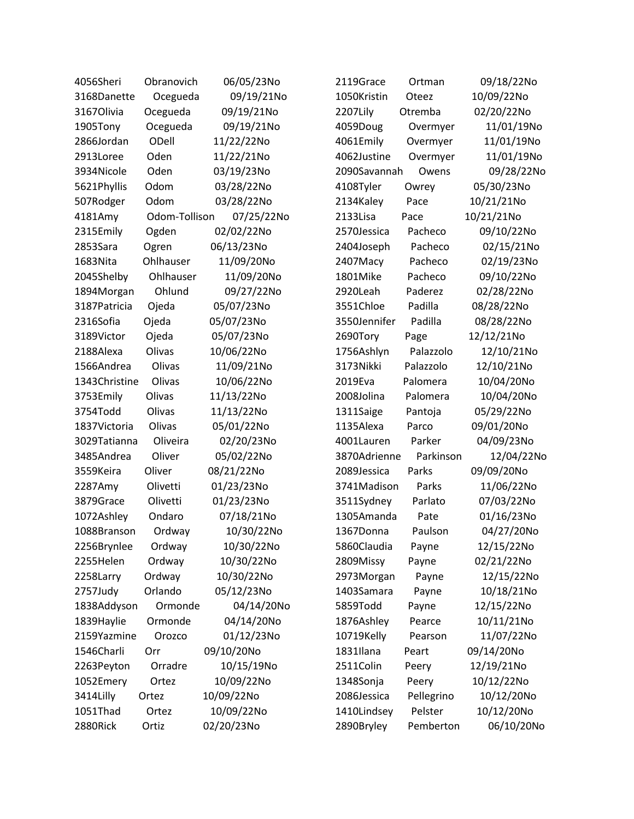| 4056Sheri     | Obranovich    | 06/05/23No | 2119Grace    | Ortman     | 09/18/22No |
|---------------|---------------|------------|--------------|------------|------------|
| 3168Danette   | Ocegueda      | 09/19/21No | 1050Kristin  | Oteez      | 10/09/22No |
| 3167Olivia    | Ocegueda      | 09/19/21No | 2207Lily     | Otremba    | 02/20/22No |
| 1905Tony      | Ocegueda      | 09/19/21No | 4059Doug     | Overmyer   | 11/01/19No |
| 2866Jordan    | ODell         | 11/22/22No | 4061Emily    | Overmyer   | 11/01/19No |
| 2913Loree     | Oden          | 11/22/21No | 4062Justine  | Overmyer   | 11/01/19No |
| 3934Nicole    | Oden          | 03/19/23No | 2090Savannah | Owens      | 09/28/22No |
| 5621Phyllis   | Odom          | 03/28/22No | 4108Tyler    | Owrey      | 05/30/23No |
| 507Rodger     | Odom          | 03/28/22No | 2134Kaley    | Pace       | 10/21/21No |
| 4181Amy       | Odom-Tollison | 07/25/22No | 2133Lisa     | Pace       | 10/21/21No |
| 2315Emily     | Ogden         | 02/02/22No | 2570Jessica  | Pacheco    | 09/10/22No |
| 2853Sara      | Ogren         | 06/13/23No | 2404Joseph   | Pacheco    | 02/15/21No |
| 1683Nita      | Ohlhauser     | 11/09/20No | 2407Macy     | Pacheco    | 02/19/23No |
| 2045Shelby    | Ohlhauser     | 11/09/20No | 1801Mike     | Pacheco    | 09/10/22No |
| 1894Morgan    | Ohlund        | 09/27/22No | 2920Leah     | Paderez    | 02/28/22No |
| 3187Patricia  | Ojeda         | 05/07/23No | 3551Chloe    | Padilla    | 08/28/22No |
| 2316Sofia     | Ojeda         | 05/07/23No | 3550Jennifer | Padilla    | 08/28/22No |
| 3189Victor    | Ojeda         | 05/07/23No | 2690Tory     | Page       | 12/12/21No |
| 2188Alexa     | Olivas        | 10/06/22No | 1756Ashlyn   | Palazzolo  | 12/10/21No |
| 1566Andrea    | Olivas        | 11/09/21No | 3173Nikki    | Palazzolo  | 12/10/21No |
| 1343Christine | Olivas        | 10/06/22No | 2019Eva      | Palomera   | 10/04/20No |
| 3753Emily     | Olivas        | 11/13/22No | 2008Jolina   | Palomera   | 10/04/20No |
| 3754Todd      | Olivas        | 11/13/22No | 1311Saige    | Pantoja    | 05/29/22No |
| 1837Victoria  | Olivas        | 05/01/22No | 1135Alexa    | Parco      | 09/01/20No |
| 3029Tatianna  | Oliveira      | 02/20/23No | 4001Lauren   | Parker     | 04/09/23No |
| 3485Andrea    | Oliver        | 05/02/22No | 3870Adrienne | Parkinson  | 12/04/22No |
| 3559Keira     | Oliver        | 08/21/22No | 2089Jessica  | Parks      | 09/09/20No |
| 2287Amy       | Olivetti      | 01/23/23No | 3741Madison  | Parks      | 11/06/22No |
| 3879Grace     | Olivetti      | 01/23/23No | 3511Sydney   | Parlato    | 07/03/22No |
| 1072Ashley    | Ondaro        | 07/18/21No | 1305Amanda   | Pate       | 01/16/23No |
| 1088Branson   | Ordway        | 10/30/22No | 1367Donna    | Paulson    | 04/27/20No |
| 2256Brynlee   | Ordway        | 10/30/22No | 5860Claudia  | Payne      | 12/15/22No |
| 2255Helen     | Ordway        | 10/30/22No | 2809Missy    | Payne      | 02/21/22No |
| 2258Larry     | Ordway        | 10/30/22No | 2973Morgan   | Payne      | 12/15/22No |
| 2757Judy      | Orlando       | 05/12/23No | 1403Samara   | Payne      | 10/18/21No |
| 1838Addyson   | Ormonde       | 04/14/20No | 5859Todd     | Payne      | 12/15/22No |
| 1839Haylie    | Ormonde       | 04/14/20No | 1876Ashley   | Pearce     | 10/11/21No |
| 2159Yazmine   | Orozco        | 01/12/23No | 10719Kelly   | Pearson    | 11/07/22No |
| 1546Charli    | Orr           | 09/10/20No | 1831Ilana    | Peart      | 09/14/20No |
| 2263Peyton    | Orradre       | 10/15/19No | 2511Colin    | Peery      | 12/19/21No |
| 1052Emery     | Ortez         | 10/09/22No | 1348Sonja    | Peery      | 10/12/22No |
| 3414Lilly     | Ortez         | 10/09/22No | 2086Jessica  | Pellegrino | 10/12/20No |
| 1051Thad      | Ortez         | 10/09/22No | 1410Lindsey  | Pelster    | 10/12/20No |
| 2880Rick      | Ortiz         | 02/20/23No | 2890Bryley   | Pemberton  | 06/10/20No |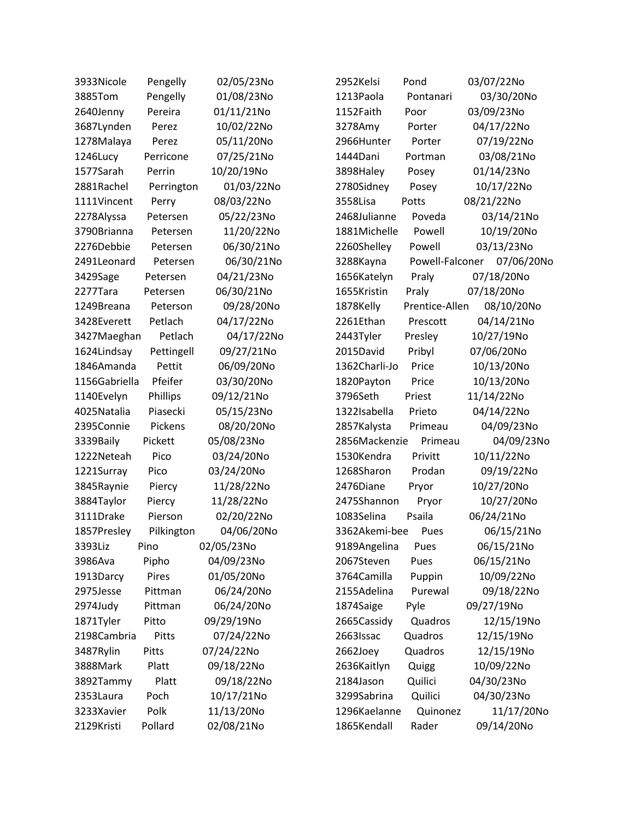| 3933Nicole    | Pengelly   | 02/05/23No | 2952Kelsi     | Pond            | 03/07/22No |
|---------------|------------|------------|---------------|-----------------|------------|
| 3885Tom       | Pengelly   | 01/08/23No | 1213Paola     | Pontanari       | 03/30/20No |
| 2640Jenny     | Pereira    | 01/11/21No | 1152Faith     | Poor            | 03/09/23No |
| 3687Lynden    | Perez      | 10/02/22No | 3278Amy       | Porter          | 04/17/22No |
| 1278Malaya    | Perez      | 05/11/20No | 2966Hunter    | Porter          | 07/19/22No |
| 1246Lucy      | Perricone  | 07/25/21No | 1444Dani      | Portman         | 03/08/21No |
| 1577Sarah     | Perrin     | 10/20/19No | 3898Haley     | Posey           | 01/14/23No |
| 2881Rachel    | Perrington | 01/03/22No | 2780Sidney    | Posey           | 10/17/22No |
| 1111Vincent   | Perry      | 08/03/22No | 3558Lisa      | Potts           | 08/21/22No |
| 2278Alyssa    | Petersen   | 05/22/23No | 2468Julianne  | Poveda          | 03/14/21No |
| 3790Brianna   | Petersen   | 11/20/22No | 1881Michelle  | Powell          | 10/19/20No |
| 2276Debbie    | Petersen   | 06/30/21No | 2260Shelley   | Powell          | 03/13/23No |
| 2491Leonard   | Petersen   | 06/30/21No | 3288Kayna     | Powell-Falconer | 07/06/20No |
| 3429Sage      | Petersen   | 04/21/23No | 1656Katelyn   | Praly           | 07/18/20No |
| 2277Tara      | Petersen   | 06/30/21No | 1655Kristin   | Praly           | 07/18/20No |
| 1249Breana    | Peterson   | 09/28/20No | 1878Kelly     | Prentice-Allen  | 08/10/20No |
| 3428Everett   | Petlach    | 04/17/22No | 2261Ethan     | Prescott        | 04/14/21No |
| 3427Maeghan   | Petlach    | 04/17/22No | 2443Tyler     | Presley         | 10/27/19No |
| 1624Lindsay   | Pettingell | 09/27/21No | 2015David     | Pribyl          | 07/06/20No |
| 1846Amanda    | Pettit     | 06/09/20No | 1362Charli-Jo | Price           | 10/13/20No |
| 1156Gabriella | Pfeifer    | 03/30/20No | 1820Payton    | Price           | 10/13/20No |
| 1140Evelyn    | Phillips   | 09/12/21No | 3796Seth      | Priest          | 11/14/22No |
| 4025Natalia   | Piasecki   | 05/15/23No | 1322Isabella  | Prieto          | 04/14/22No |
| 2395Connie    | Pickens    | 08/20/20No | 2857Kalysta   | Primeau         | 04/09/23No |
| 3339Baily     | Pickett    | 05/08/23No | 2856Mackenzie | Primeau         | 04/09/23No |
| 1222Neteah    | Pico       | 03/24/20No | 1530Kendra    | Privitt         | 10/11/22No |
| 1221Surray    | Pico       | 03/24/20No | 1268Sharon    | Prodan          | 09/19/22No |
| 3845Raynie    | Piercy     | 11/28/22No | 2476Diane     | Pryor           | 10/27/20No |
| 3884Taylor    | Piercy     | 11/28/22No | 2475Shannon   | Pryor           | 10/27/20No |
| 3111Drake     | Pierson    | 02/20/22No | 1083Selina    | Psaila          | 06/24/21No |
| 1857Presley   | Pilkington | 04/06/20No | 3362Akemi-bee | Pues            | 06/15/21No |
| 3393Liz       | Pino       | 02/05/23No | 9189Angelina  | Pues            | 06/15/21No |
| 3986Ava       | Pipho      | 04/09/23No | 2067Steven    | Pues            | 06/15/21No |
| 1913Darcy     | Pires      | 01/05/20No | 3764Camilla   | Puppin          | 10/09/22No |
| 2975Jesse     | Pittman    | 06/24/20No | 2155Adelina   | Purewal         | 09/18/22No |
| 2974Judy      | Pittman    | 06/24/20No | 1874Saige     | Pyle            | 09/27/19No |
| 1871Tyler     | Pitto      | 09/29/19No | 2665Cassidy   | Quadros         | 12/15/19No |
| 2198Cambria   | Pitts      | 07/24/22No | 2663Issac     | Quadros         | 12/15/19No |
| 3487Rylin     | Pitts      | 07/24/22No | 2662Joey      | Quadros         | 12/15/19No |
| 3888Mark      | Platt      | 09/18/22No | 2636Kaitlyn   | Quigg           | 10/09/22No |
| 3892Tammy     | Platt      | 09/18/22No | 2184Jason     | Quilici         | 04/30/23No |
| 2353Laura     | Poch       | 10/17/21No | 3299Sabrina   | Quilici         | 04/30/23No |
| 3233Xavier    | Polk       | 11/13/20No | 1296Kaelanne  | Quinonez        | 11/17/20No |
| 2129Kristi    | Pollard    | 02/08/21No | 1865Kendall   | Rader           | 09/14/20No |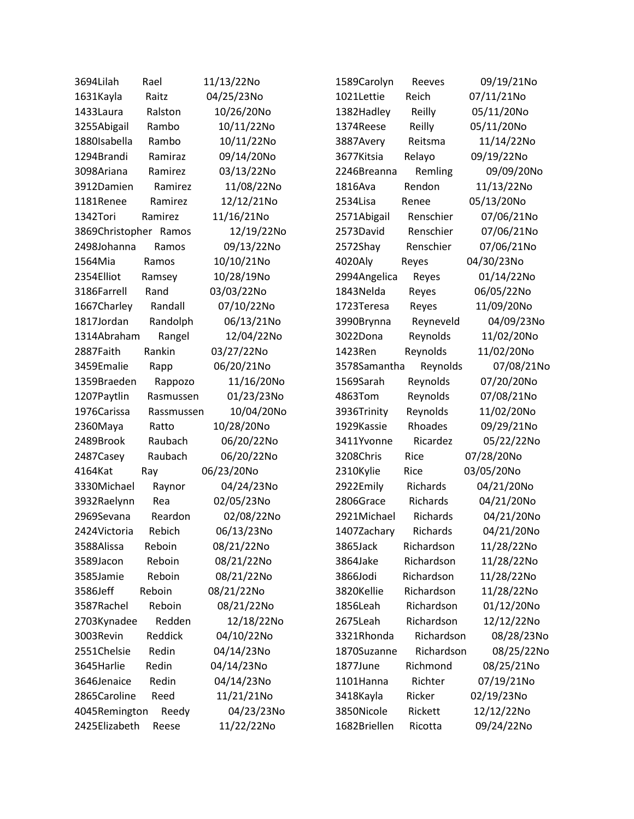| 3694Lilah             | Rael       | 11/13/22No | 1589Carolyn  | Reeves     | 09/19/21No |
|-----------------------|------------|------------|--------------|------------|------------|
| 1631Kayla             | Raitz      | 04/25/23No | 1021Lettie   | Reich      | 07/11/21No |
| 1433Laura             | Ralston    | 10/26/20No | 1382Hadley   | Reilly     | 05/11/20No |
| 3255Abigail           | Rambo      | 10/11/22No | 1374Reese    | Reilly     | 05/11/20No |
| 1880Isabella          | Rambo      | 10/11/22No | 3887Avery    | Reitsma    | 11/14/22No |
| 1294Brandi            | Ramiraz    | 09/14/20No | 3677Kitsia   | Relayo     | 09/19/22No |
| 3098Ariana            | Ramirez    | 03/13/22No | 2246Breanna  | Remling    | 09/09/20No |
| 3912Damien            | Ramirez    | 11/08/22No | 1816Ava      | Rendon     | 11/13/22No |
| 1181Renee             | Ramirez    | 12/12/21No | 2534Lisa     | Renee      | 05/13/20No |
| 1342Tori              | Ramirez    | 11/16/21No | 2571Abigail  | Renschier  | 07/06/21No |
| 3869Christopher Ramos |            | 12/19/22No | 2573David    | Renschier  | 07/06/21No |
| 2498Johanna           | Ramos      | 09/13/22No | 2572Shay     | Renschier  | 07/06/21No |
| 1564Mia               | Ramos      | 10/10/21No | 4020Aly      | Reyes      | 04/30/23No |
| 2354Elliot            | Ramsey     | 10/28/19No | 2994Angelica | Reyes      | 01/14/22No |
| 3186Farrell           | Rand       | 03/03/22No | 1843Nelda    | Reyes      | 06/05/22No |
| 1667Charley           | Randall    | 07/10/22No | 1723Teresa   | Reyes      | 11/09/20No |
| 1817Jordan            | Randolph   | 06/13/21No | 3990Brynna   | Reyneveld  | 04/09/23No |
| 1314Abraham           | Rangel     | 12/04/22No | 3022Dona     | Reynolds   | 11/02/20No |
| 2887Faith             | Rankin     | 03/27/22No | 1423Ren      | Reynolds   | 11/02/20No |
| 3459Emalie            | Rapp       | 06/20/21No | 3578Samantha | Reynolds   | 07/08/21No |
| 1359Braeden           | Rappozo    | 11/16/20No | 1569Sarah    | Reynolds   | 07/20/20No |
| 1207Paytlin           | Rasmussen  | 01/23/23No | 4863Tom      | Reynolds   | 07/08/21No |
| 1976Carissa           | Rassmussen | 10/04/20No | 3936Trinity  | Reynolds   | 11/02/20No |
| 2360Maya              | Ratto      | 10/28/20No | 1929Kassie   | Rhoades    | 09/29/21No |
| 2489Brook             | Raubach    | 06/20/22No | 3411Yvonne   | Ricardez   | 05/22/22No |
| 2487Casey             | Raubach    | 06/20/22No | 3208Chris    | Rice       | 07/28/20No |
| 4164Kat               | Ray        | 06/23/20No | 2310Kylie    | Rice       | 03/05/20No |
| 3330Michael           | Raynor     | 04/24/23No | 2922Emily    | Richards   | 04/21/20No |
| 3932Raelynn           | Rea        | 02/05/23No | 2806Grace    | Richards   | 04/21/20No |
| 2969Sevana            | Reardon    | 02/08/22No | 2921Michael  | Richards   | 04/21/20No |
| 2424Victoria          | Rebich     | 06/13/23No | 1407Zachary  | Richards   | 04/21/20No |
| 3588Alissa            | Reboin     | 08/21/22No | 3865Jack     | Richardson | 11/28/22No |
| 3589Jacon             | Reboin     | 08/21/22No | 3864Jake     | Richardson | 11/28/22No |
| 3585Jamie             | Reboin     | 08/21/22No | 3866Jodi     | Richardson | 11/28/22No |
| 3586Jeff              | Reboin     | 08/21/22No | 3820Kellie   | Richardson | 11/28/22No |
| 3587Rachel            | Reboin     | 08/21/22No | 1856Leah     | Richardson | 01/12/20No |
| 2703Kynadee           | Redden     | 12/18/22No | 2675Leah     | Richardson | 12/12/22No |
| 3003Revin             | Reddick    | 04/10/22No | 3321Rhonda   | Richardson | 08/28/23No |
| 2551Chelsie           | Redin      | 04/14/23No | 1870Suzanne  | Richardson | 08/25/22No |
| 3645Harlie            | Redin      | 04/14/23No | 1877June     | Richmond   | 08/25/21No |
| 3646Jenaice           | Redin      | 04/14/23No | 1101Hanna    | Richter    | 07/19/21No |
| 2865Caroline          | Reed       | 11/21/21No | 3418Kayla    | Ricker     | 02/19/23No |
| 4045Remington         | Reedy      | 04/23/23No | 3850Nicole   | Rickett    | 12/12/22No |
| 2425Elizabeth         | Reese      | 11/22/22No | 1682Briellen | Ricotta    | 09/24/22No |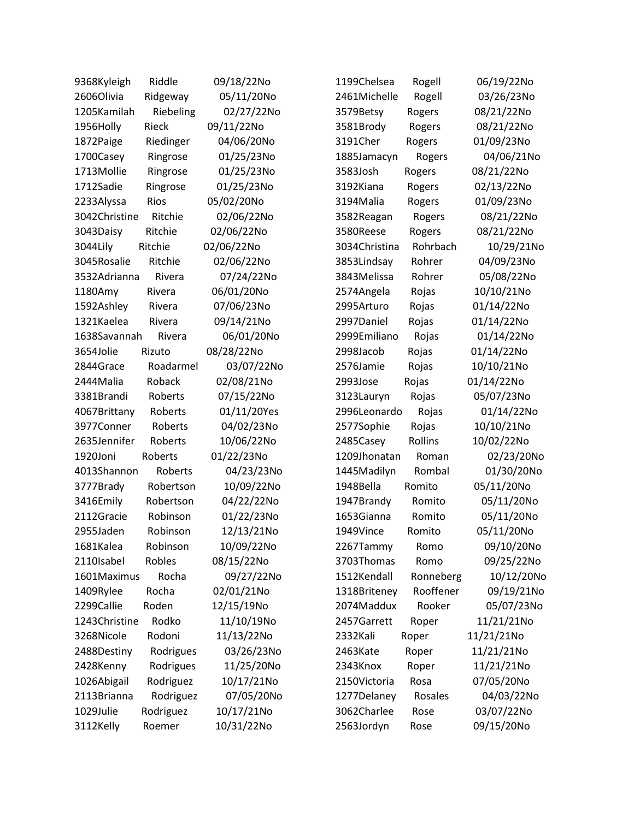| 9368Kyleigh   | Riddle    | 09/18/22No  | 1199Chelsea   | Rogell    | 06/19/22No |
|---------------|-----------|-------------|---------------|-----------|------------|
| 2606Olivia    | Ridgeway  | 05/11/20No  | 2461Michelle  | Rogell    | 03/26/23No |
| 1205Kamilah   | Riebeling | 02/27/22No  | 3579Betsy     | Rogers    | 08/21/22No |
| 1956Holly     | Rieck     | 09/11/22No  | 3581Brody     | Rogers    | 08/21/22No |
| 1872Paige     | Riedinger | 04/06/20No  | 3191Cher      | Rogers    | 01/09/23No |
| 1700Casey     | Ringrose  | 01/25/23No  | 1885Jamacyn   | Rogers    | 04/06/21No |
| 1713Mollie    | Ringrose  | 01/25/23No  | 3583Josh      | Rogers    | 08/21/22No |
| 1712Sadie     | Ringrose  | 01/25/23No  | 3192Kiana     | Rogers    | 02/13/22No |
| 2233Alyssa    | Rios      | 05/02/20No  | 3194Malia     | Rogers    | 01/09/23No |
| 3042Christine | Ritchie   | 02/06/22No  | 3582Reagan    | Rogers    | 08/21/22No |
| 3043Daisy     | Ritchie   | 02/06/22No  | 3580Reese     | Rogers    | 08/21/22No |
| 3044Lily      | Ritchie   | 02/06/22No  | 3034Christina | Rohrbach  | 10/29/21No |
| 3045Rosalie   | Ritchie   | 02/06/22No  | 3853Lindsay   | Rohrer    | 04/09/23No |
| 3532Adrianna  | Rivera    | 07/24/22No  | 3843Melissa   | Rohrer    | 05/08/22No |
| 1180Amy       | Rivera    | 06/01/20No  | 2574Angela    | Rojas     | 10/10/21No |
| 1592Ashley    | Rivera    | 07/06/23No  | 2995Arturo    | Rojas     | 01/14/22No |
| 1321Kaelea    | Rivera    | 09/14/21No  | 2997Daniel    | Rojas     | 01/14/22No |
| 1638Savannah  | Rivera    | 06/01/20No  | 2999Emiliano  | Rojas     | 01/14/22No |
| 3654Jolie     | Rizuto    | 08/28/22No  | 2998Jacob     | Rojas     | 01/14/22No |
| 2844Grace     | Roadarmel | 03/07/22No  | 2576Jamie     | Rojas     | 10/10/21No |
| 2444Malia     | Roback    | 02/08/21No  | 2993Jose      | Rojas     | 01/14/22No |
| 3381Brandi    | Roberts   | 07/15/22No  | 3123Lauryn    | Rojas     | 05/07/23No |
| 4067Brittany  | Roberts   | 01/11/20Yes | 2996Leonardo  | Rojas     | 01/14/22No |
| 3977Conner    | Roberts   | 04/02/23No  | 2577Sophie    | Rojas     | 10/10/21No |
| 2635Jennifer  | Roberts   | 10/06/22No  | 2485Casey     | Rollins   | 10/02/22No |
| 1920Joni      | Roberts   | 01/22/23No  | 1209Jhonatan  | Roman     | 02/23/20No |
| 4013Shannon   | Roberts   | 04/23/23No  | 1445Madilyn   | Rombal    | 01/30/20No |
| 3777Brady     | Robertson | 10/09/22No  | 1948Bella     | Romito    | 05/11/20No |
| 3416Emily     | Robertson | 04/22/22No  | 1947Brandy    | Romito    | 05/11/20No |
| 2112Gracie    | Robinson  | 01/22/23No  | 1653Gianna    | Romito    | 05/11/20No |
| 2955Jaden     | Robinson  | 12/13/21No  | 1949Vince     | Romito    | 05/11/20No |
| 1681Kalea     | Robinson  | 10/09/22No  | 2267Tammy     | Romo      | 09/10/20No |
| 2110Isabel    | Robles    | 08/15/22No  | 3703Thomas    | Romo      | 09/25/22No |
| 1601Maximus   | Rocha     | 09/27/22No  | 1512Kendall   | Ronneberg | 10/12/20No |
| 1409Rylee     | Rocha     | 02/01/21No  | 1318Briteney  | Rooffener | 09/19/21No |
| 2299Callie    | Roden     | 12/15/19No  | 2074Maddux    | Rooker    | 05/07/23No |
| 1243Christine | Rodko     | 11/10/19No  | 2457Garrett   | Roper     | 11/21/21No |
| 3268Nicole    | Rodoni    | 11/13/22No  | 2332Kali      | Roper     | 11/21/21No |
| 2488Destiny   | Rodrigues | 03/26/23No  | 2463Kate      | Roper     | 11/21/21No |
| 2428Kenny     | Rodrigues | 11/25/20No  | 2343Knox      | Roper     | 11/21/21No |
| 1026Abigail   | Rodriguez | 10/17/21No  | 2150Victoria  | Rosa      | 07/05/20No |
| 2113Brianna   | Rodriguez | 07/05/20No  | 1277Delaney   | Rosales   | 04/03/22No |
| 1029Julie     | Rodriguez | 10/17/21No  | 3062Charlee   | Rose      | 03/07/22No |
| 3112Kelly     | Roemer    | 10/31/22No  | 2563Jordyn    | Rose      | 09/15/20No |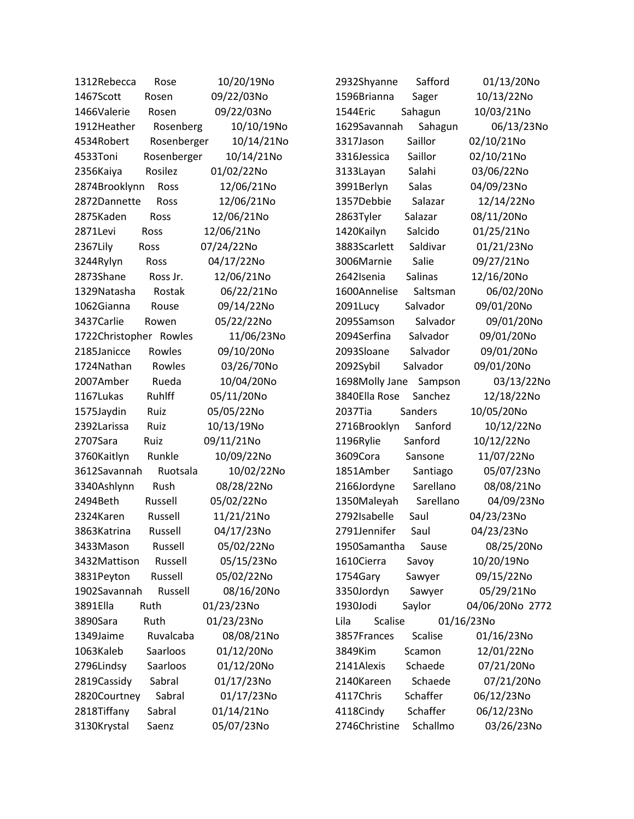| 1312Rebecca            | Rose        | 10/20/19No | 2932Shyanne            | Safford        | 01/13/20No      |
|------------------------|-------------|------------|------------------------|----------------|-----------------|
| 1467Scott              | Rosen       | 09/22/03No | 1596Brianna            | Sager          | 10/13/22No      |
| 1466Valerie            | Rosen       | 09/22/03No | 1544Eric               | Sahagun        | 10/03/21No      |
| 1912Heather            | Rosenberg   | 10/10/19No | 1629Savannah           | Sahagun        | 06/13/23No      |
| 4534Robert             | Rosenberger | 10/14/21No | 3317Jason              | Saillor        | 02/10/21No      |
| 4533Toni               | Rosenberger | 10/14/21No | 3316Jessica            | Saillor        | 02/10/21No      |
| 2356Kaiya              | Rosilez     | 01/02/22No | 3133Layan              | Salahi         | 03/06/22No      |
| 2874Brooklynn          | Ross        | 12/06/21No | 3991Berlyn             | <b>Salas</b>   | 04/09/23No      |
| 2872Dannette           | Ross        | 12/06/21No | 1357Debbie             | Salazar        | 12/14/22No      |
| 2875Kaden              | Ross        | 12/06/21No | 2863Tyler              | Salazar        | 08/11/20No      |
| 2871Levi               | Ross        | 12/06/21No | 1420Kailyn             | Salcido        | 01/25/21No      |
| 2367Lily               | Ross        | 07/24/22No | 3883Scarlett           | Saldivar       | 01/21/23No      |
| 3244Rylyn              | Ross        | 04/17/22No | 3006Marnie             | Salie          | 09/27/21No      |
| 2873Shane              | Ross Jr.    | 12/06/21No | 2642Isenia             | Salinas        | 12/16/20No      |
| 1329Natasha            | Rostak      | 06/22/21No | 1600Annelise           | Saltsman       | 06/02/20No      |
| 1062Gianna             | Rouse       | 09/14/22No | 2091Lucy               | Salvador       | 09/01/20No      |
| 3437Carlie             | Rowen       | 05/22/22No | 2095Samson             | Salvador       | 09/01/20No      |
| 1722Christopher Rowles |             | 11/06/23No | 2094Serfina            | Salvador       | 09/01/20No      |
| 2185Janicce            | Rowles      | 09/10/20No | 2093Sloane             | Salvador       | 09/01/20No      |
| 1724Nathan             | Rowles      | 03/26/70No | 2092Sybil              | Salvador       | 09/01/20No      |
| 2007Amber              | Rueda       | 10/04/20No | 1698Molly Jane         | Sampson        | 03/13/22No      |
| 1167Lukas              | Ruhlff      | 05/11/20No | 3840Ella Rose          | Sanchez        | 12/18/22No      |
| 1575Jaydin             | Ruiz        | 05/05/22No | 2037Tia                | Sanders        | 10/05/20No      |
| 2392Larissa            | Ruiz        | 10/13/19No | 2716Brooklyn           | Sanford        | 10/12/22No      |
| 2707Sara               | Ruiz        | 09/11/21No | 1196Rylie              | Sanford        | 10/12/22No      |
| 3760Kaitlyn            | Runkle      | 10/09/22No | 3609Cora               | Sansone        | 11/07/22No      |
| 3612Savannah           | Ruotsala    | 10/02/22No | 1851Amber              | Santiago       | 05/07/23No      |
| 3340Ashlynn            | Rush        | 08/28/22No | 2166Jordyne            | Sarellano      | 08/08/21No      |
| 2494Beth               | Russell     | 05/02/22No | 1350Maleyah            | Sarellano      | 04/09/23No      |
| 2324Karen              | Russell     | 11/21/21No | 2792Isabelle           | Saul           | 04/23/23No      |
| 3863Katrina            | Russell     | 04/17/23No | 2791Jennifer           | Saul           | 04/23/23No      |
| 3433Mason              | Russell     | 05/02/22No | 1950Samantha           | Sause          | 08/25/20No      |
| 3432Mattison           | Russell     | 05/15/23No | 1610Cierra             | Savoy          | 10/20/19No      |
| 3831Peyton             | Russell     | 05/02/22No | 1754Gary               | Sawyer         | 09/15/22No      |
| 1902Savannah           | Russell     | 08/16/20No | 3350Jordyn             | Sawyer         | 05/29/21No      |
| 3891Ella               | Ruth        | 01/23/23No | 1930Jodi               | Saylor         | 04/06/20No 2772 |
| 3890Sara               | Ruth        | 01/23/23No | <b>Scalise</b><br>Lila |                | 01/16/23No      |
| 1349Jaime              | Ruvalcaba   | 08/08/21No | 3857Frances            | <b>Scalise</b> | 01/16/23No      |
| 1063Kaleb              | Saarloos    | 01/12/20No | 3849Kim                | Scamon         | 12/01/22No      |
| 2796Lindsy             | Saarloos    | 01/12/20No | 2141Alexis             | Schaede        | 07/21/20No      |
| 2819 Cassidy           | Sabral      | 01/17/23No | 2140Kareen             | Schaede        | 07/21/20No      |
| 2820Courtney           | Sabral      | 01/17/23No | 4117Chris              | Schaffer       | 06/12/23No      |
| 2818Tiffany            | Sabral      | 01/14/21No | 4118Cindy              | Schaffer       | 06/12/23No      |
| 3130Krystal            | Saenz       | 05/07/23No | 2746Christine          | Schallmo       | 03/26/23No      |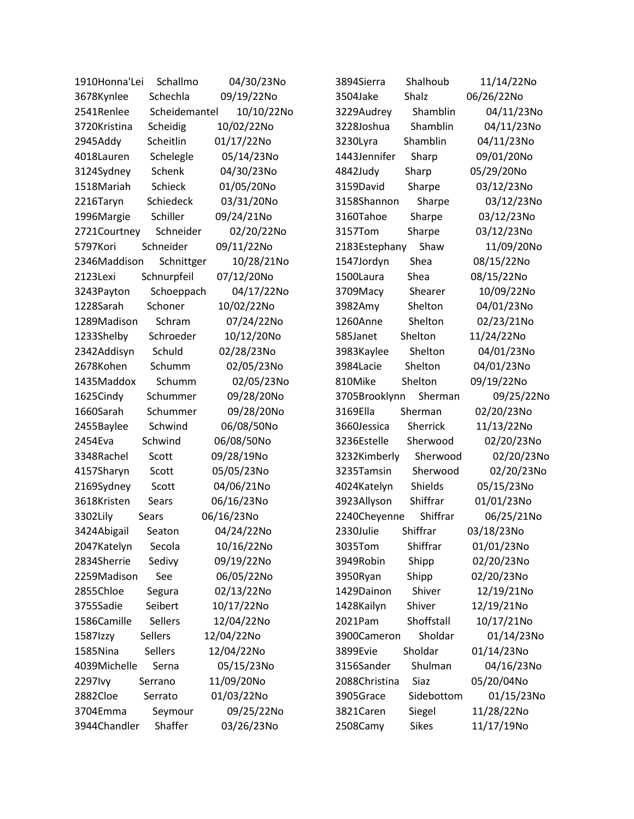| 1910Honna'Lei<br>Schallmo   | 04/30/23No | Shalhoub<br>3894Sierra   | 11/14/22No |
|-----------------------------|------------|--------------------------|------------|
| 3678Kynlee<br>Schechla      | 09/19/22No | Shalz<br>3504Jake        | 06/26/22No |
| Scheidemantel<br>2541Renlee | 10/10/22No | Shamblin<br>3229Audrey   | 04/11/23No |
| 3720Kristina<br>Scheidig    | 10/02/22No | 3228Joshua<br>Shamblin   | 04/11/23No |
| Scheitlin<br>2945Addy       | 01/17/22No | Shamblin<br>3230Lyra     | 04/11/23No |
| 4018Lauren<br>Schelegle     | 05/14/23No | 1443Jennifer<br>Sharp    | 09/01/20No |
| 3124Sydney<br>Schenk        | 04/30/23No | 4842Judy<br>Sharp        | 05/29/20No |
| Schieck<br>1518Mariah       | 01/05/20No | 3159David<br>Sharpe      | 03/12/23No |
| Schiedeck<br>2216Taryn      | 03/31/20No | 3158Shannon<br>Sharpe    | 03/12/23No |
| 1996Margie<br>Schiller      | 09/24/21No | 3160Tahoe<br>Sharpe      | 03/12/23No |
| Schneider<br>2721Courtney   | 02/20/22No | 3157Tom<br>Sharpe        | 03/12/23No |
| 5797Kori<br>Schneider       | 09/11/22No | Shaw<br>2183Estephany    | 11/09/20No |
| 2346Maddison<br>Schnittger  | 10/28/21No | Shea<br>1547Jordyn       | 08/15/22No |
| Schnurpfeil<br>2123Lexi     | 07/12/20No | Shea<br>1500Laura        | 08/15/22No |
| 3243Payton<br>Schoeppach    | 04/17/22No | 3709Macy<br>Shearer      | 10/09/22No |
| 1228Sarah<br>Schoner        | 10/02/22No | 3982Amy<br>Shelton       | 04/01/23No |
| Schram<br>1289Madison       | 07/24/22No | 1260Anne<br>Shelton      | 02/23/21No |
| 1233Shelby<br>Schroeder     | 10/12/20No | 585Janet<br>Shelton      | 11/24/22No |
| 2342Addisyn<br>Schuld       | 02/28/23No | Shelton<br>3983Kaylee    | 04/01/23No |
| 2678Kohen<br>Schumm         | 02/05/23No | Shelton<br>3984Lacie     | 04/01/23No |
| 1435Maddox<br>Schumm        | 02/05/23No | Shelton<br>810Mike       | 09/19/22No |
| 1625Cindy<br>Schummer       | 09/28/20No | Sherman<br>3705Brooklynn | 09/25/22No |
| 1660Sarah<br>Schummer       | 09/28/20No | 3169Ella<br>Sherman      | 02/20/23No |
| Schwind<br>2455Baylee       | 06/08/50No | 3660Jessica<br>Sherrick  | 11/13/22No |
| Schwind<br>2454Eva          | 06/08/50No | 3236Estelle<br>Sherwood  | 02/20/23No |
| 3348Rachel<br>Scott         | 09/28/19No | 3232Kimberly<br>Sherwood | 02/20/23No |
| 4157Sharyn<br>Scott         | 05/05/23No | 3235Tamsin<br>Sherwood   | 02/20/23No |
| 2169Sydney<br>Scott         | 04/06/21No | 4024Katelyn<br>Shields   | 05/15/23No |
| 3618Kristen<br>Sears        | 06/16/23No | 3923Allyson<br>Shiffrar  | 01/01/23No |
| 3302Lily<br>Sears           | 06/16/23No | 2240Cheyenne<br>Shiffrar | 06/25/21No |
| 3424Abigail<br>Seaton       | 04/24/22No | Shiffrar<br>2330Julie    | 03/18/23No |
| Secola<br>2047Katelyn       | 10/16/22No | Shiffrar<br>3035Tom      | 01/01/23No |
| Sedivy<br>2834Sherrie       | 09/19/22No | Shipp<br>3949Robin       | 02/20/23No |
| 2259Madison<br>See          | 06/05/22No | Shipp<br>3950Ryan        | 02/20/23No |
| 2855Chloe<br>Segura         | 02/13/22No | 1429Dainon<br>Shiver     | 12/19/21No |
| Seibert<br>3755Sadie        | 10/17/22No | Shiver<br>1428Kailyn     | 12/19/21No |
| 1586Camille<br>Sellers      | 12/04/22No | Shoffstall<br>2021Pam    | 10/17/21No |
| Sellers<br>1587Izzy         | 12/04/22No | Sholdar<br>3900Cameron   | 01/14/23No |
| 1585Nina<br><b>Sellers</b>  | 12/04/22No | Sholdar<br>3899Evie      | 01/14/23No |
| 4039Michelle<br>Serna       | 05/15/23No | Shulman<br>3156Sander    | 04/16/23No |
| 2297 lvy<br>Serrano         | 11/09/20No | 2088Christina<br>Siaz    | 05/20/04No |
| 2882Cloe<br>Serrato         | 01/03/22No | Sidebottom<br>3905Grace  | 01/15/23No |
| 3704Emma<br>Seymour         | 09/25/22No | 3821Caren<br>Siegel      | 11/28/22No |
| Shaffer<br>3944Chandler     | 03/26/23No | Sikes<br>2508Camy        | 11/17/19No |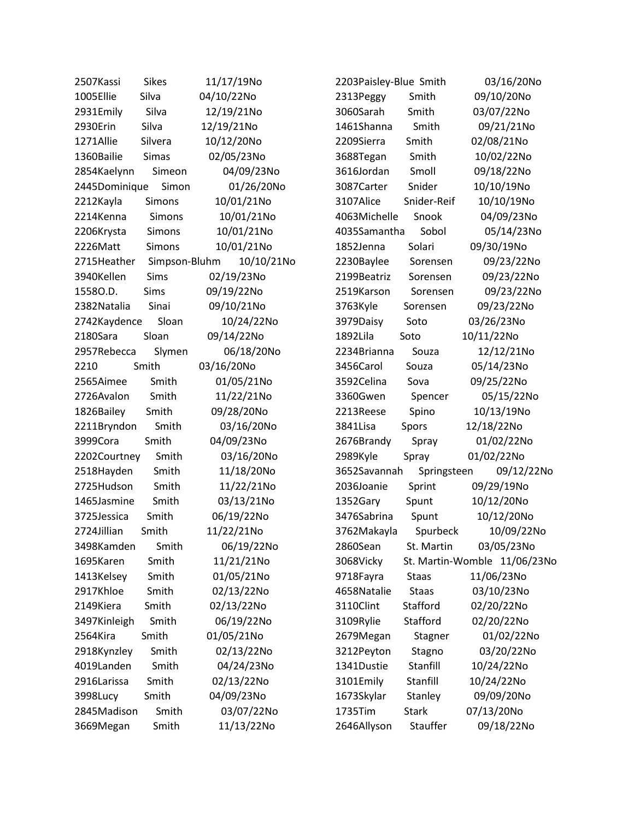| 2507Kassi                 | <b>Sikes</b>  | 11/17/19No |
|---------------------------|---------------|------------|
| 1005Ellie                 | Silva         | 04/10/22No |
| 2931Emily                 | Silva         | 12/19/21No |
| 2930Erin                  | Silva         | 12/19/21No |
| 1271Allie                 | Silvera       | 10/12/20No |
| 1360Bailie                | <b>Simas</b>  | 02/05/23No |
| 2854Kaelynn               | Simeon        | 04/09/23No |
| 2445Dominique             | Simon         | 01/26/20No |
| 2212Kayla                 | Simons        | 10/01/21No |
| 2214Kenna                 | Simons        | 10/01/21No |
| 2206Krysta                | <b>Simons</b> | 10/01/21No |
| 2226Matt                  | Simons        | 10/01/21No |
| 2715Heather Simpson-Bluhm |               | 10/10/21No |
| 3940Kellen                | Sims          | 02/19/23No |
| 15580.D.                  | Sims          | 09/19/22No |
| 2382 Natalia              | Sinai         | 09/10/21No |
| 2742Kaydence              | Sloan         | 10/24/22No |
| 2180Sara                  | Sloan         | 09/14/22No |
| 2957Rebecca               | Slymen        | 06/18/20No |
| 2210                      | Smith         | 03/16/20No |
| 2565Aimee                 | Smith         | 01/05/21No |
| 2726Avalon                | Smith         | 11/22/21No |
| 1826Bailey                | Smith         | 09/28/20No |
| 2211Bryndon               | Smith         | 03/16/20No |
| 3999Cora                  | Smith         | 04/09/23No |
| 2202Courtney              | Smith         | 03/16/20No |
| 2518Hayden                | Smith         | 11/18/20No |
| 2725Hudson                | Smith         | 11/22/21No |
| 1465Jasmine               | Smith         | 03/13/21No |
| 3725Jessica               | Smith         | 06/19/22No |
| 2724Jillian               | Smith         | 11/22/21No |
| 3498Kamden                | Smith         | 06/19/22No |
| 1695Karen                 | Smith         | 11/21/21No |
| 1413Kelsey                | Smith         | 01/05/21No |
| 2917Khloe                 | Smith         | 02/13/22No |
| 2149Kiera                 | Smith         | 02/13/22No |
| 3497Kinleigh              | Smith         | 06/19/22No |
| 2564Kira                  | Smith         | 01/05/21No |
| 2918Kynzley               | Smith         | 02/13/22No |
| 4019Landen                | Smith         | 04/24/23No |
| 2916Larissa               | Smith         | 02/13/22No |
| 3998Lucy                  | Smith         | 04/09/23No |
| 2845Madison               | Smith         | 03/07/22No |
| 3669Megan                 | Smith         | 11/13/22No |

2203Paisley-Blue Smith 03/16/20No 2313Peggy Smith 09/10/20No 3060Sarah Smith 03/07/22No 1461Shanna Smith 09/21/21No 2209Sierra Smith 02/08/21No 3688Tegan Smith 10/02/22No 3616Jordan Smoll 09/18/22No 3087Carter Snider 10/10/19No 3107Alice Snider-Reif 10/10/19No 4063Michelle Snook 04/09/23No 4035Samantha Sobol 05/14/23No 1852Jenna Solari 09/30/19No 2230Baylee Sorensen 09/23/22No 2199Beatriz Sorensen 09/23/22No 2519Karson Sorensen 09/23/22No 3763Kyle Sorensen 09/23/22No 3979Daisy Soto 03/26/23No 1892Lila Soto 10/11/22No 2234Brianna Souza 12/12/21No 3456Carol Souza 05/14/23No 3592Celina Sova 09/25/22No 3360Gwen Spencer 05/15/22No 2213Reese Spino 10/13/19No 3841Lisa Spors 12/18/22No 2676Brandy Spray 01/02/22No 2989Kyle Spray 01/02/22No 3652Savannah Springsteen 09/12/22No 2036Joanie Sprint 09/29/19No 1352Gary Spunt 10/12/20No 3476Sabrina Spunt 10/12/20No 3762Makayla Spurbeck 10/09/22No 2860Sean St. Martin 03/05/23No 3068Vicky St. Martin-Womble 11/06/23No 9718Fayra Staas 11/06/23No 4658Natalie Staas 03/10/23No 3110Clint Stafford 02/20/22No 3109Rylie Stafford 02/20/22No 2679Megan Stagner 01/02/22No 3212Peyton Stagno 03/20/22No 1341Dustie Stanfill 10/24/22No 3101Emily Stanfill 10/24/22No 1673Skylar Stanley 09/09/20No 1735Tim Stark 07/13/20No 2646Allyson Stauffer 09/18/22No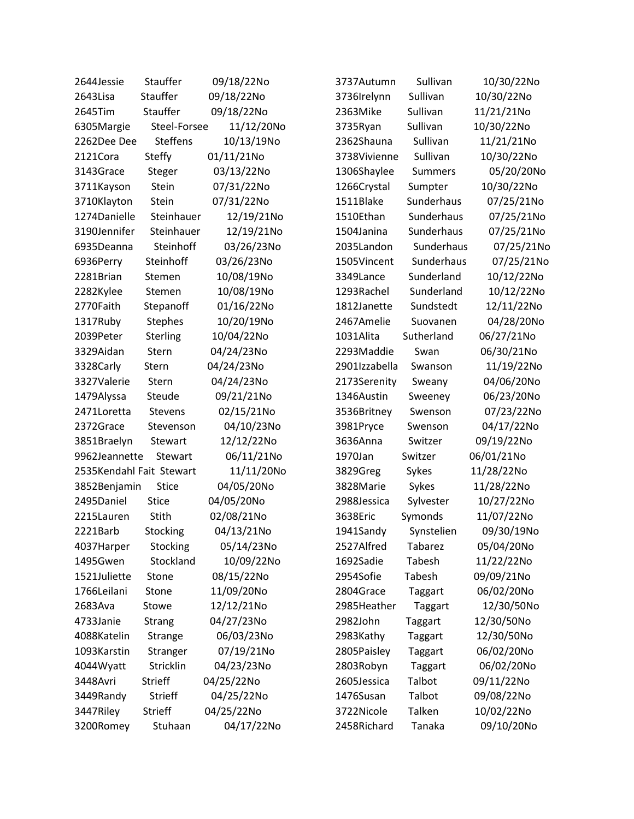| 2644Jessie               | Stauffer        | 09/18/22No | 3737Autumn    | Sullivan       | 10/30/22No |
|--------------------------|-----------------|------------|---------------|----------------|------------|
| 2643Lisa                 | Stauffer        | 09/18/22No | 3736Irelynn   | Sullivan       | 10/30/22No |
| 2645Tim                  | Stauffer        | 09/18/22No | 2363Mike      | Sullivan       | 11/21/21No |
| 6305Margie               | Steel-Forsee    | 11/12/20No | 3735Ryan      | Sullivan       | 10/30/22No |
| 2262Dee Dee              | <b>Steffens</b> | 10/13/19No | 2362Shauna    | Sullivan       | 11/21/21No |
| 2121Cora                 | <b>Steffy</b>   | 01/11/21No | 3738Vivienne  | Sullivan       | 10/30/22No |
| 3143Grace                | Steger          | 03/13/22No | 1306Shaylee   | <b>Summers</b> | 05/20/20No |
| 3711Kayson               | Stein           | 07/31/22No | 1266Crystal   | Sumpter        | 10/30/22No |
| 3710Klayton              | Stein           | 07/31/22No | 1511Blake     | Sunderhaus     | 07/25/21No |
| 1274Danielle             | Steinhauer      | 12/19/21No | 1510Ethan     | Sunderhaus     | 07/25/21No |
| 3190Jennifer             | Steinhauer      | 12/19/21No | 1504Janina    | Sunderhaus     | 07/25/21No |
| 6935Deanna               | Steinhoff       | 03/26/23No | 2035Landon    | Sunderhaus     | 07/25/21No |
| 6936Perry                | Steinhoff       | 03/26/23No | 1505Vincent   | Sunderhaus     | 07/25/21No |
| 2281Brian                | Stemen          | 10/08/19No | 3349Lance     | Sunderland     | 10/12/22No |
| 2282Kylee                | Stemen          | 10/08/19No | 1293Rachel    | Sunderland     | 10/12/22No |
| 2770Faith                | Stepanoff       | 01/16/22No | 1812Janette   | Sundstedt      | 12/11/22No |
| 1317Ruby                 | <b>Stephes</b>  | 10/20/19No | 2467Amelie    | Suovanen       | 04/28/20No |
| 2039Peter                | Sterling        | 10/04/22No | 1031Alita     | Sutherland     | 06/27/21No |
| 3329Aidan                | Stern           | 04/24/23No | 2293Maddie    | Swan           | 06/30/21No |
| 3328Carly                | Stern           | 04/24/23No | 2901Izzabella | Swanson        | 11/19/22No |
| 3327Valerie              | Stern           | 04/24/23No | 2173Serenity  | Sweany         | 04/06/20No |
| 1479Alyssa               | Steude          | 09/21/21No | 1346Austin    | Sweeney        | 06/23/20No |
| 2471Loretta              | <b>Stevens</b>  | 02/15/21No | 3536Britney   | Swenson        | 07/23/22No |
| 2372Grace                | Stevenson       | 04/10/23No | 3981Pryce     | Swenson        | 04/17/22No |
| 3851Braelyn              | Stewart         | 12/12/22No | 3636Anna      | Switzer        | 09/19/22No |
| 9962Jeannette            | Stewart         | 06/11/21No | 1970Jan       | Switzer        | 06/01/21No |
| 2535Kendahl Fait Stewart |                 | 11/11/20No | 3829Greg      | Sykes          | 11/28/22No |
| 3852Benjamin             | <b>Stice</b>    | 04/05/20No | 3828Marie     | Sykes          | 11/28/22No |
| 2495Daniel               | <b>Stice</b>    | 04/05/20No | 2988Jessica   | Sylvester      | 10/27/22No |
| 2215Lauren               | Stith           | 02/08/21No | 3638Eric      | Symonds        | 11/07/22No |
| 2221Barb                 | Stocking        | 04/13/21No | 1941Sandy     | Synstelien     | 09/30/19No |
| 4037Harper               | Stocking        | 05/14/23No | 2527Alfred    | Tabarez        | 05/04/20No |
| 1495Gwen                 | Stockland       | 10/09/22No | 1692Sadie     | Tabesh         | 11/22/22No |
| 1521Juliette             | Stone           | 08/15/22No | 2954Sofie     | Tabesh         | 09/09/21No |
| 1766Leilani              | Stone           | 11/09/20No | 2804Grace     | Taggart        | 06/02/20No |
| 2683Ava                  | Stowe           | 12/12/21No | 2985Heather   | Taggart        | 12/30/50No |
| 4733Janie                | Strang          | 04/27/23No | 2982John      | Taggart        | 12/30/50No |
| 4088Katelin              | Strange         | 06/03/23No | 2983Kathy     | Taggart        | 12/30/50No |
| 1093Karstin              | Stranger        | 07/19/21No | 2805Paisley   | Taggart        | 06/02/20No |
| 4044Wyatt                | Stricklin       | 04/23/23No | 2803Robyn     | Taggart        | 06/02/20No |
| 3448Avri                 | <b>Strieff</b>  | 04/25/22No | 2605Jessica   | Talbot         | 09/11/22No |
| 3449Randy                | Strieff         | 04/25/22No | 1476Susan     | Talbot         | 09/08/22No |
| 3447Riley                | Strieff         | 04/25/22No | 3722Nicole    | Talken         | 10/02/22No |
| 3200Romey                | Stuhaan         | 04/17/22No | 2458Richard   | Tanaka         | 09/10/20No |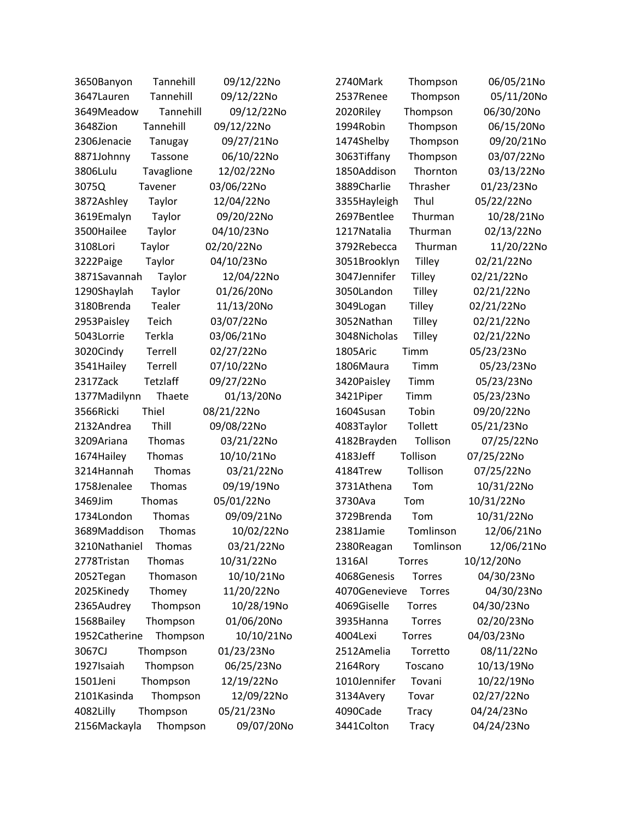| 3650Banyon    | Tannehill     | 09/12/22No | 2740Mark      | Thompson      | 06/05/21No |
|---------------|---------------|------------|---------------|---------------|------------|
| 3647Lauren    | Tannehill     | 09/12/22No | 2537Renee     | Thompson      | 05/11/20No |
| 3649Meadow    | Tannehill     | 09/12/22No | 2020Riley     | Thompson      | 06/30/20No |
| 3648Zion      | Tannehill     | 09/12/22No | 1994Robin     | Thompson      | 06/15/20No |
| 2306Jenacie   | Tanugay       | 09/27/21No | 1474Shelby    | Thompson      | 09/20/21No |
| 8871Johnny    | Tassone       | 06/10/22No | 3063Tiffany   | Thompson      | 03/07/22No |
| 3806Lulu      | Tavaglione    | 12/02/22No | 1850Addison   | Thornton      | 03/13/22No |
| 3075Q         | Tavener       | 03/06/22No | 3889Charlie   | Thrasher      | 01/23/23No |
| 3872Ashley    | Taylor        | 12/04/22No | 3355Hayleigh  | Thul          | 05/22/22No |
| 3619Emalyn    | Taylor        | 09/20/22No | 2697Bentlee   | Thurman       | 10/28/21No |
| 3500Hailee    | Taylor        | 04/10/23No | 1217Natalia   | Thurman       | 02/13/22No |
| 3108Lori      | Taylor        | 02/20/22No | 3792Rebecca   | Thurman       | 11/20/22No |
| 3222Paige     | Taylor        | 04/10/23No | 3051Brooklyn  | <b>Tilley</b> | 02/21/22No |
| 3871Savannah  | Taylor        | 12/04/22No | 3047Jennifer  | Tilley        | 02/21/22No |
| 1290Shaylah   | Taylor        | 01/26/20No | 3050Landon    | Tilley        | 02/21/22No |
| 3180Brenda    | Tealer        | 11/13/20No | 3049Logan     | <b>Tilley</b> | 02/21/22No |
| 2953Paisley   | Teich         | 03/07/22No | 3052Nathan    | Tilley        | 02/21/22No |
| 5043Lorrie    | Terkla        | 03/06/21No | 3048Nicholas  | <b>Tilley</b> | 02/21/22No |
| 3020Cindy     | Terrell       | 02/27/22No | 1805Aric      | Timm          | 05/23/23No |
| 3541Hailey    | Terrell       | 07/10/22No | 1806Maura     | Timm          | 05/23/23No |
| 2317Zack      | Tetzlaff      | 09/27/22No | 3420Paisley   | Timm          | 05/23/23No |
| 1377Madilynn  | Thaete        | 01/13/20No | 3421Piper     | Timm          | 05/23/23No |
| 3566Ricki     | Thiel         | 08/21/22No | 1604Susan     | Tobin         | 09/20/22No |
| 2132Andrea    | Thill         | 09/08/22No | 4083Taylor    | Tollett       | 05/21/23No |
| 3209Ariana    | Thomas        | 03/21/22No | 4182Brayden   | Tollison      | 07/25/22No |
| 1674Hailey    | Thomas        | 10/10/21No | 4183Jeff      | Tollison      | 07/25/22No |
| 3214Hannah    | Thomas        | 03/21/22No | 4184Trew      | Tollison      | 07/25/22No |
| 1758Jenalee   | Thomas        | 09/19/19No | 3731Athena    | Tom           | 10/31/22No |
| 3469Jim       | Thomas        | 05/01/22No | 3730Ava       | Tom           | 10/31/22No |
| 1734London    | Thomas        | 09/09/21No | 3729Brenda    | Tom           | 10/31/22No |
| 3689Maddison  | Thomas        | 10/02/22No | 2381Jamie     | Tomlinson     | 12/06/21No |
| 3210Nathaniel | <b>Thomas</b> | 03/21/22No | 2380Reagan    | Tomlinson     | 12/06/21No |
| 2778Tristan   | Thomas        | 10/31/22No | 1316Al        | <b>Torres</b> | 10/12/20No |
| 2052Tegan     | Thomason      | 10/10/21No | 4068Genesis   | <b>Torres</b> | 04/30/23No |
| 2025Kinedy    | Thomey        | 11/20/22No | 4070Genevieve | <b>Torres</b> | 04/30/23No |
| 2365Audrey    | Thompson      | 10/28/19No | 4069Giselle   | Torres        | 04/30/23No |
| 1568Bailey    | Thompson      | 01/06/20No | 3935Hanna     | <b>Torres</b> | 02/20/23No |
| 1952Catherine | Thompson      | 10/10/21No | 4004Lexi      | <b>Torres</b> | 04/03/23No |
| 3067CJ        | Thompson      | 01/23/23No | 2512Amelia    | Torretto      | 08/11/22No |
| 1927Isaiah    | Thompson      | 06/25/23No | 2164Rory      | Toscano       | 10/13/19No |
| 1501Jeni      | Thompson      | 12/19/22No | 1010Jennifer  | Tovani        | 10/22/19No |
| 2101Kasinda   | Thompson      | 12/09/22No | 3134Avery     | Tovar         | 02/27/22No |
| 4082Lilly     | Thompson      | 05/21/23No | 4090Cade      | Tracy         | 04/24/23No |
| 2156Mackayla  | Thompson      | 09/07/20No | 3441Colton    | <b>Tracy</b>  | 04/24/23No |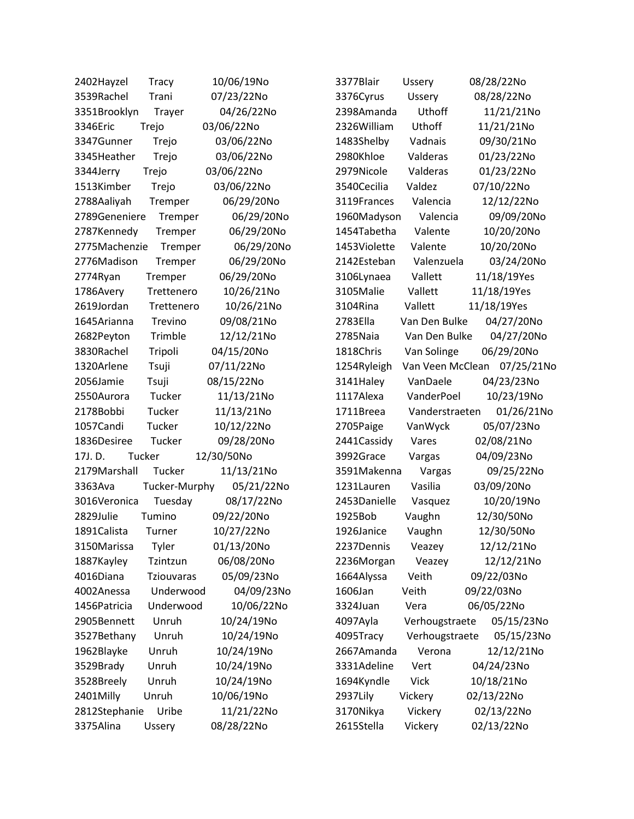| 2402Hayzel    | <b>Tracy</b>  | 10/06/19No | 3377Blair    | <b>Ussery</b>    | 08/28/22No  |
|---------------|---------------|------------|--------------|------------------|-------------|
| 3539Rachel    | Trani         | 07/23/22No | 3376Cyrus    | Ussery           | 08/28/22No  |
| 3351Brooklyn  | Trayer        | 04/26/22No | 2398Amanda   | Uthoff           | 11/21/21No  |
| 3346Eric      | Trejo         | 03/06/22No | 2326William  | Uthoff           | 11/21/21No  |
| 3347Gunner    | Trejo         | 03/06/22No | 1483Shelby   | Vadnais          | 09/30/21No  |
| 3345Heather   | Trejo         | 03/06/22No | 2980Khloe    | Valderas         | 01/23/22No  |
| 3344Jerry     | Trejo         | 03/06/22No | 2979Nicole   | Valderas         | 01/23/22No  |
| 1513Kimber    | Trejo         | 03/06/22No | 3540Cecilia  | Valdez           | 07/10/22No  |
| 2788Aaliyah   | Tremper       | 06/29/20No | 3119Frances  | Valencia         | 12/12/22No  |
| 2789Geneniere | Tremper       | 06/29/20No | 1960Madyson  | Valencia         | 09/09/20No  |
| 2787Kennedy   | Tremper       | 06/29/20No | 1454Tabetha  | Valente          | 10/20/20No  |
| 2775Machenzie | Tremper       | 06/29/20No | 1453Violette | Valente          | 10/20/20No  |
| 2776Madison   | Tremper       | 06/29/20No | 2142Esteban  | Valenzuela       | 03/24/20No  |
| 2774Ryan      | Tremper       | 06/29/20No | 3106Lynaea   | Vallett          | 11/18/19Yes |
| 1786Avery     | Trettenero    | 10/26/21No | 3105Malie    | Vallett          | 11/18/19Yes |
| 2619Jordan    | Trettenero    | 10/26/21No | 3104Rina     | Vallett          | 11/18/19Yes |
| 1645 Arianna  | Trevino       | 09/08/21No | 2783Ella     | Van Den Bulke    | 04/27/20No  |
| 2682Peyton    | Trimble       | 12/12/21No | 2785Naia     | Van Den Bulke    | 04/27/20No  |
| 3830Rachel    | Tripoli       | 04/15/20No | 1818Chris    | Van Solinge      | 06/29/20No  |
| 1320Arlene    | Tsuji         | 07/11/22No | 1254Ryleigh  | Van Veen McClean | 07/25/21No  |
| 2056Jamie     | Tsuji         | 08/15/22No | 3141Haley    | VanDaele         | 04/23/23No  |
| 2550Aurora    | Tucker        | 11/13/21No | 1117Alexa    | VanderPoel       | 10/23/19No  |
| 2178Bobbi     | Tucker        | 11/13/21No | 1711Breea    | Vanderstraeten   | 01/26/21No  |
| 1057Candi     | Tucker        | 10/12/22No | 2705Paige    | VanWyck          | 05/07/23No  |
| 1836Desiree   | Tucker        | 09/28/20No | 2441 Cassidy | Vares            | 02/08/21No  |
| 17J.D.        | Tucker        | 12/30/50No | 3992Grace    | Vargas           | 04/09/23No  |
| 2179Marshall  | Tucker        | 11/13/21No | 3591Makenna  | Vargas           | 09/25/22No  |
| 3363Ava       | Tucker-Murphy | 05/21/22No | 1231Lauren   | Vasilia          | 03/09/20No  |
| 3016Veronica  | Tuesday       | 08/17/22No | 2453Danielle | Vasquez          | 10/20/19No  |
| 2829Julie     | Tumino        | 09/22/20No | 1925Bob      | Vaughn           | 12/30/50No  |
| 1891 Calista  | Turner        | 10/27/22No | 1926Janice   | Vaughn           | 12/30/50No  |
| 3150Marissa   | Tyler         | 01/13/20No | 2237Dennis   | Veazey           | 12/12/21No  |
| 1887Kayley    | Tzintzun      | 06/08/20No | 2236Morgan   | Veazey           | 12/12/21No  |
| 4016Diana     | Tziouvaras    | 05/09/23No | 1664Alyssa   | Veith            | 09/22/03No  |
| 4002Anessa    | Underwood     | 04/09/23No | 1606Jan      | Veith            | 09/22/03No  |
| 1456Patricia  | Underwood     | 10/06/22No | 3324Juan     | Vera             | 06/05/22No  |
| 2905Bennett   | Unruh         | 10/24/19No | 4097Ayla     | Verhougstraete   | 05/15/23No  |
| 3527Bethany   | Unruh         | 10/24/19No | 4095Tracy    | Verhougstraete   | 05/15/23No  |
| 1962Blayke    | Unruh         | 10/24/19No | 2667Amanda   | Verona           | 12/12/21No  |
| 3529Brady     | Unruh         | 10/24/19No | 3331Adeline  | Vert             | 04/24/23No  |
| 3528Breely    | Unruh         | 10/24/19No | 1694Kyndle   | <b>Vick</b>      | 10/18/21No  |
| 2401Milly     | Unruh         | 10/06/19No | 2937Lily     | Vickery          | 02/13/22No  |
| 2812Stephanie | Uribe         | 11/21/22No | 3170Nikya    | Vickery          | 02/13/22No  |
| 3375Alina     | Ussery        | 08/28/22No | 2615Stella   | Vickery          | 02/13/22No  |
|               |               |            |              |                  |             |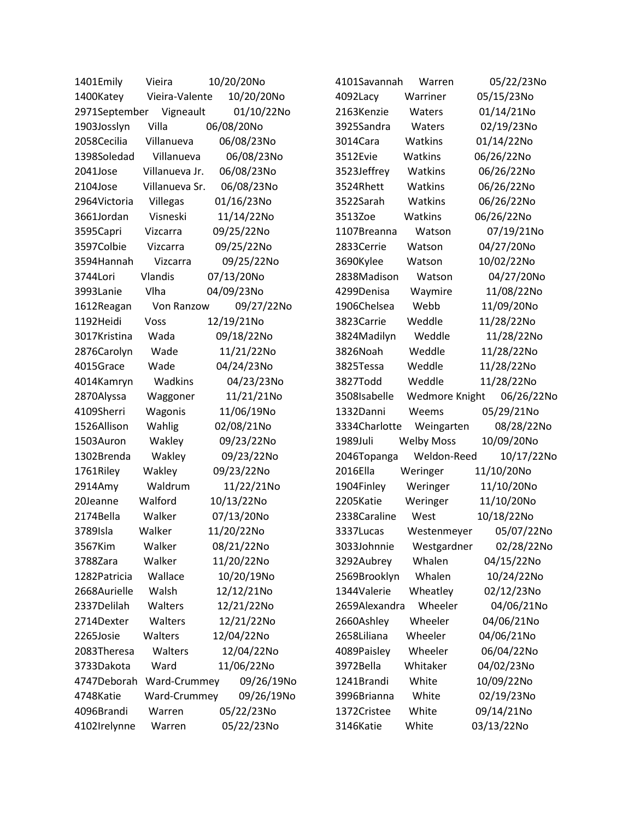| 1401Emily     | Vieira         | 10/20/20No |            | 4101Savannah  | Warren            | 05/22/23No |
|---------------|----------------|------------|------------|---------------|-------------------|------------|
| 1400Katey     | Vieira-Valente |            | 10/20/20No | 4092Lacy      | Warriner          | 05/15/23No |
| 2971September | Vigneault      |            | 01/10/22No | 2163Kenzie    | Waters            | 01/14/21No |
| 1903Josslyn   | Villa          | 06/08/20No |            | 3925Sandra    | Waters            | 02/19/23No |
| 2058Cecilia   | Villanueva     |            | 06/08/23No | 3014Cara      | Watkins           | 01/14/22No |
| 1398Soledad   | Villanueva     |            | 06/08/23No | 3512Evie      | Watkins           | 06/26/22No |
| 2041Jose      | Villanueva Jr. |            | 06/08/23No | 3523Jeffrey   | Watkins           | 06/26/22No |
| 2104Jose      | Villanueva Sr. |            | 06/08/23No | 3524Rhett     | Watkins           | 06/26/22No |
| 2964Victoria  | Villegas       |            | 01/16/23No | 3522Sarah     | Watkins           | 06/26/22No |
| 3661Jordan    | Visneski       |            | 11/14/22No | 3513Zoe       | Watkins           | 06/26/22No |
| 3595Capri     | Vizcarra       |            | 09/25/22No | 1107Breanna   | Watson            | 07/19/21No |
| 3597Colbie    | Vizcarra       |            | 09/25/22No | 2833Cerrie    | Watson            | 04/27/20No |
| 3594Hannah    | Vizcarra       |            | 09/25/22No | 3690Kylee     | Watson            | 10/02/22No |
| 3744Lori      | Vlandis        | 07/13/20No |            | 2838Madison   | Watson            | 04/27/20No |
| 3993Lanie     | Vlha           | 04/09/23No |            | 4299Denisa    | Waymire           | 11/08/22No |
| 1612Reagan    | Von Ranzow     |            | 09/27/22No | 1906Chelsea   | Webb              | 11/09/20No |
| 1192Heidi     | Voss           | 12/19/21No |            | 3823Carrie    | Weddle            | 11/28/22No |
| 3017Kristina  | Wada           |            | 09/18/22No | 3824Madilyn   | Weddle            | 11/28/22No |
| 2876Carolyn   | Wade           |            | 11/21/22No | 3826Noah      | Weddle            | 11/28/22No |
| 4015Grace     | Wade           |            | 04/24/23No | 3825Tessa     | Weddle            | 11/28/22No |
| 4014Kamryn    | Wadkins        |            | 04/23/23No | 3827Todd      | Weddle            | 11/28/22No |
| 2870Alyssa    | Waggoner       |            | 11/21/21No | 3508Isabelle  | Wedmore Knight    | 06/26/22No |
| 4109Sherri    | Wagonis        |            | 11/06/19No | 1332Danni     | Weems             | 05/29/21No |
| 1526Allison   | Wahlig         |            | 02/08/21No | 3334Charlotte | Weingarten        | 08/28/22No |
| 1503Auron     | Wakley         |            | 09/23/22No | 1989Juli      | <b>Welby Moss</b> | 10/09/20No |
| 1302Brenda    | Wakley         |            | 09/23/22No | 2046Topanga   | Weldon-Reed       | 10/17/22No |
| 1761Riley     | Wakley         |            | 09/23/22No | 2016Ella      | Weringer          | 11/10/20No |
| 2914Amy       | Waldrum        |            | 11/22/21No | 1904Finley    | Weringer          | 11/10/20No |
| 20Jeanne      | Walford        |            | 10/13/22No | 2205Katie     | Weringer          | 11/10/20No |
| 2174Bella     | Walker         |            | 07/13/20No | 2338Caraline  | West              | 10/18/22No |
| 3789Isla      | Walker         | 11/20/22No |            | 3337Lucas     | Westenmeyer       | 05/07/22No |
| 3567Kim       | Walker         |            | 08/21/22No | 3033Johnnie   | Westgardner       | 02/28/22No |
| 3788Zara      | Walker         |            | 11/20/22No | 3292Aubrey    | Whalen            | 04/15/22No |
| 1282Patricia  | Wallace        |            | 10/20/19No | 2569Brooklyn  | Whalen            | 10/24/22No |
| 2668Aurielle  | Walsh          |            | 12/12/21No | 1344Valerie   | Wheatley          | 02/12/23No |
| 2337Delilah   | Walters        |            | 12/21/22No | 2659Alexandra | Wheeler           | 04/06/21No |
| 2714Dexter    | Walters        |            | 12/21/22No | 2660Ashley    | Wheeler           | 04/06/21No |
| 2265Josie     | Walters        |            | 12/04/22No | 2658Liliana   | Wheeler           | 04/06/21No |
| 2083Theresa   | Walters        |            | 12/04/22No | 4089Paisley   | Wheeler           | 06/04/22No |
| 3733Dakota    | Ward           |            | 11/06/22No | 3972Bella     | Whitaker          | 04/02/23No |
| 4747Deborah   | Ward-Crummey   |            | 09/26/19No | 1241Brandi    | White             | 10/09/22No |
| 4748Katie     | Ward-Crummey   |            | 09/26/19No | 3996Brianna   | White             | 02/19/23No |
| 4096Brandi    | Warren         |            | 05/22/23No | 1372Cristee   | White             | 09/14/21No |
| 4102Irelynne  | Warren         |            | 05/22/23No | 3146Katie     | White             | 03/13/22No |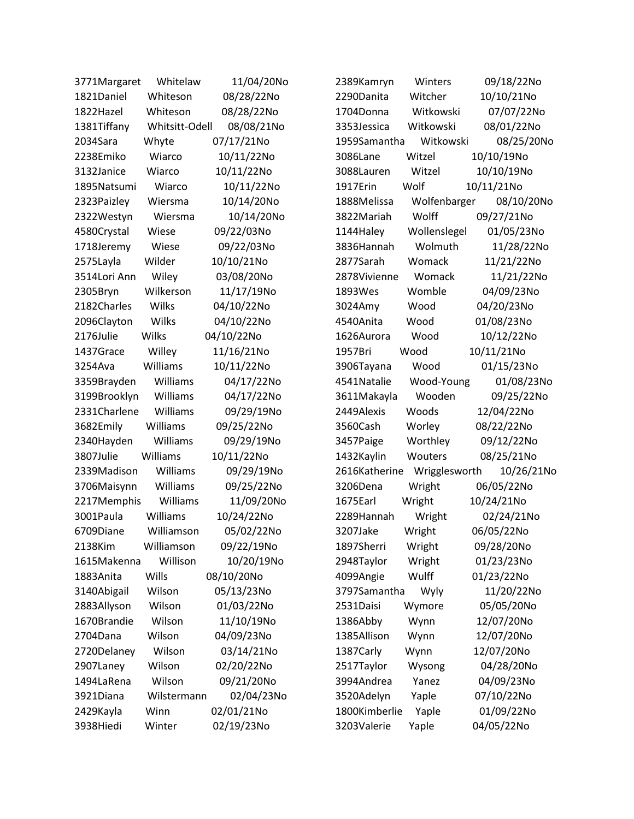| 3771Margaret | Whitelaw       | 11/04/20No | 2389Kamryn    | Winters       | 09/18/22No |
|--------------|----------------|------------|---------------|---------------|------------|
| 1821Daniel   | Whiteson       | 08/28/22No | 2290Danita    | Witcher       | 10/10/21No |
| 1822Hazel    | Whiteson       | 08/28/22No | 1704Donna     | Witkowski     | 07/07/22No |
| 1381Tiffany  | Whitsitt-Odell | 08/08/21No | 3353Jessica   | Witkowski     | 08/01/22No |
| 2034Sara     | Whyte          | 07/17/21No | 1959Samantha  | Witkowski     | 08/25/20No |
| 2238Emiko    | Wiarco         | 10/11/22No | 3086Lane      | Witzel        | 10/10/19No |
| 3132Janice   | Wiarco         | 10/11/22No | 3088Lauren    | Witzel        | 10/10/19No |
| 1895Natsumi  | Wiarco         | 10/11/22No | 1917Erin      | Wolf          | 10/11/21No |
| 2323Paizley  | Wiersma        | 10/14/20No | 1888Melissa   | Wolfenbarger  | 08/10/20No |
| 2322Westyn   | Wiersma        | 10/14/20No | 3822Mariah    | Wolff         | 09/27/21No |
| 4580Crystal  | Wiese          | 09/22/03No | 1144Haley     | Wollenslegel  | 01/05/23No |
| 1718Jeremy   | Wiese          | 09/22/03No | 3836Hannah    | Wolmuth       | 11/28/22No |
| 2575Layla    | Wilder         | 10/10/21No | 2877Sarah     | Womack        | 11/21/22No |
| 3514Lori Ann | Wiley          | 03/08/20No | 2878Vivienne  | Womack        | 11/21/22No |
| 2305Bryn     | Wilkerson      | 11/17/19No | 1893Wes       | Womble        | 04/09/23No |
| 2182Charles  | Wilks          | 04/10/22No | 3024Amy       | Wood          | 04/20/23No |
| 2096Clayton  | Wilks          | 04/10/22No | 4540Anita     | Wood          | 01/08/23No |
| 2176Julie    | Wilks          | 04/10/22No | 1626Aurora    | Wood          | 10/12/22No |
| 1437Grace    | Willey         | 11/16/21No | 1957Bri       | Wood          | 10/11/21No |
| 3254Ava      | Williams       | 10/11/22No | 3906Tayana    | Wood          | 01/15/23No |
| 3359Brayden  | Williams       | 04/17/22No | 4541Natalie   | Wood-Young    | 01/08/23No |
| 3199Brooklyn | Williams       | 04/17/22No | 3611Makayla   | Wooden        | 09/25/22No |
| 2331Charlene | Williams       | 09/29/19No | 2449Alexis    | Woods         | 12/04/22No |
| 3682Emily    | Williams       | 09/25/22No | 3560Cash      | Worley        | 08/22/22No |
| 2340Hayden   | Williams       | 09/29/19No | 3457Paige     | Worthley      | 09/12/22No |
| 3807Julie    | Williams       | 10/11/22No | 1432Kaylin    | Wouters       | 08/25/21No |
| 2339Madison  | Williams       | 09/29/19No | 2616Katherine | Wrigglesworth | 10/26/21No |
| 3706Maisynn  | Williams       | 09/25/22No | 3206Dena      | Wright        | 06/05/22No |
| 2217Memphis  | Williams       | 11/09/20No | 1675Earl      | Wright        | 10/24/21No |
| 3001Paula    | Williams       | 10/24/22No | 2289Hannah    | Wright        | 02/24/21No |
| 6709Diane    | Williamson     | 05/02/22No | 3207Jake      | Wright        | 06/05/22No |
| 2138Kim      | Williamson     | 09/22/19No | 1897Sherri    | Wright        | 09/28/20No |
| 1615Makenna  | Willison       | 10/20/19No | 2948Taylor    | Wright        | 01/23/23No |
| 1883Anita    | Wills          | 08/10/20No | 4099Angie     | Wulff         | 01/23/22No |
| 3140Abigail  | Wilson         | 05/13/23No | 3797Samantha  | Wyly          | 11/20/22No |
| 2883Allyson  | Wilson         | 01/03/22No | 2531Daisi     | Wymore        | 05/05/20No |
| 1670Brandie  | Wilson         | 11/10/19No | 1386Abby      | Wynn          | 12/07/20No |
| 2704Dana     | Wilson         | 04/09/23No | 1385Allison   | Wynn          | 12/07/20No |
| 2720Delaney  | Wilson         | 03/14/21No | 1387Carly     | Wynn          | 12/07/20No |
| 2907Laney    | Wilson         | 02/20/22No | 2517Taylor    | Wysong        | 04/28/20No |
| 1494LaRena   | Wilson         | 09/21/20No | 3994Andrea    | Yanez         | 04/09/23No |
| 3921Diana    | Wilstermann    | 02/04/23No | 3520Adelyn    | Yaple         | 07/10/22No |
| 2429Kayla    | Winn           | 02/01/21No | 1800Kimberlie | Yaple         | 01/09/22No |
| 3938Hiedi    | Winter         | 02/19/23No | 3203Valerie   | Yaple         | 04/05/22No |